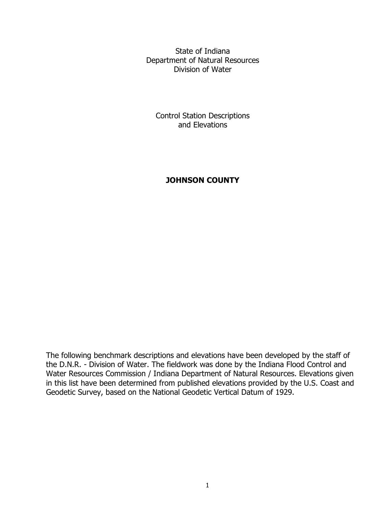State of Indiana Department of Natural Resources Division of Water

Control Station Descriptions and Elevations

# **JOHNSON COUNTY**

The following benchmark descriptions and elevations have been developed by the staff of the D.N.R. - Division of Water. The fieldwork was done by the Indiana Flood Control and Water Resources Commission / Indiana Department of Natural Resources. Elevations given in this list have been determined from published elevations provided by the U.S. Coast and Geodetic Survey, based on the National Geodetic Vertical Datum of 1929.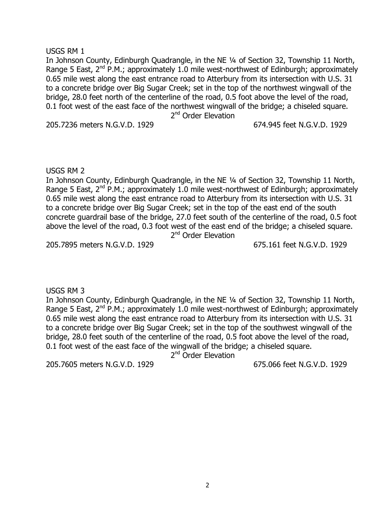#### 2

USGS RM 1 In Johnson County, Edinburgh Quadrangle, in the NE ¼ of Section 32, Township 11 North, Range 5 East,  $2^{nd}$  P.M.; approximately 1.0 mile west-northwest of Edinburgh; approximately 0.65 mile west along the east entrance road to Atterbury from its intersection with U.S. 31 to a concrete bridge over Big Sugar Creek; set in the top of the northwest wingwall of the

# USGS RM 2

In Johnson County, Edinburgh Quadrangle, in the NE ¼ of Section 32, Township 11 North, Range 5 East,  $2^{nd}$  P.M.; approximately 1.0 mile west-northwest of Edinburgh; approximately 0.65 mile west along the east entrance road to Atterbury from its intersection with U.S. 31 to a concrete bridge over Big Sugar Creek; set in the top of the east end of the south concrete guardrail base of the bridge, 27.0 feet south of the centerline of the road, 0.5 foot above the level of the road, 0.3 foot west of the east end of the bridge; a chiseled square. 2<sup>nd</sup> Order Elevation

bridge, 28.0 feet north of the centerline of the road, 0.5 foot above the level of the road, 0.1 foot west of the east face of the northwest wingwall of the bridge; a chiseled square. 2<sup>nd</sup> Order Elevation

205.7895 meters N.G.V.D. 1929 675.161 feet N.G.V.D. 1929

#### USGS RM 3

In Johnson County, Edinburgh Quadrangle, in the NE ¼ of Section 32, Township 11 North, Range 5 East,  $2^{nd}$  P.M.; approximately 1.0 mile west-northwest of Edinburgh; approximately 0.65 mile west along the east entrance road to Atterbury from its intersection with U.S. 31 to a concrete bridge over Big Sugar Creek; set in the top of the southwest wingwall of the bridge, 28.0 feet south of the centerline of the road, 0.5 foot above the level of the road, 0.1 foot west of the east face of the wingwall of the bridge; a chiseled square.

2<sup>nd</sup> Order Elevation

205.7605 meters N.G.V.D. 1929 675.066 feet N.G.V.D. 1929

205.7236 meters N.G.V.D. 1929 674.945 feet N.G.V.D. 1929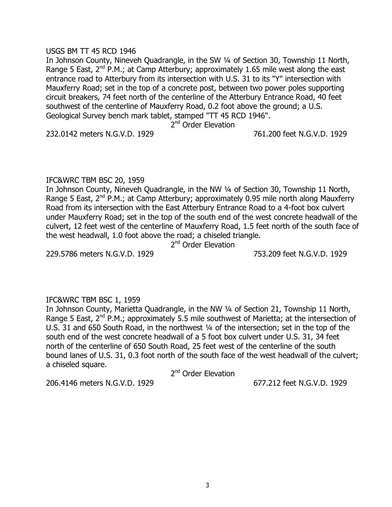### USGS BM TT 45 RCD 1946

In Johnson County, Nineveh Quadrangle, in the SW ¼ of Section 30, Township 11 North, Range 5 East,  $2^{nd}$  P.M.; at Camp Atterbury; approximately 1.65 mile west along the east entrance road to Atterbury from its intersection with U.S. 31 to its "Y" intersection with Mauxferry Road; set in the top of a concrete post, between two power poles supporting circuit breakers, 74 feet north of the centerline of the Atterbury Entrance Road, 40 feet southwest of the centerline of Mauxferry Road, 0.2 foot above the ground; a U.S. Geological Survey bench mark tablet, stamped "TT 45 RCD 1946".

2<sup>nd</sup> Order Elevation

232.0142 meters N.G.V.D. 1929 761.200 feet N.G.V.D. 1929

## IFC&WRC TBM BSC 20, 1959

In Johnson County, Nineveh Quadrangle, in the NW ¼ of Section 30, Township 11 North, Range 5 East,  $2^{nd}$  P.M.; at Camp Atterbury; approximately 0.95 mile north along Mauxferry Road from its intersection with the East Atterbury Entrance Road to a 4-foot box culvert under Mauxferry Road; set in the top of the south end of the west concrete headwall of the culvert, 12 feet west of the centerline of Mauxferry Road, 1.5 feet north of the south face of the west headwall, 1.0 foot above the road; a chiseled triangle.

2<sup>nd</sup> Order Elevation

229.5786 meters N.G.V.D. 1929 753.209 feet N.G.V.D. 1929

# IFC&WRC TBM BSC 1, 1959

In Johnson County, Marietta Quadrangle, in the NW ¼ of Section 21, Township 11 North, Range 5 East,  $2^{nd}$  P.M.; approximately 5.5 mile southwest of Marietta; at the intersection of U.S. 31 and 650 South Road, in the northwest ¼ of the intersection; set in the top of the south end of the west concrete headwall of a 5 foot box culvert under U.S. 31, 34 feet north of the centerline of 650 South Road, 25 feet west of the centerline of the south bound lanes of U.S. 31, 0.3 foot north of the south face of the west headwall of the culvert; a chiseled square.

2<sup>nd</sup> Order Elevation

206.4146 meters N.G.V.D. 1929 677.212 feet N.G.V.D. 1929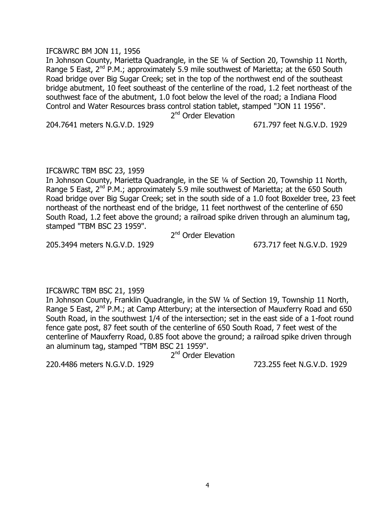## IFC&WRC BM JON 11, 1956

In Johnson County, Marietta Quadrangle, in the SE ¼ of Section 20, Township 11 North, Range 5 East,  $2^{nd}$  P.M.; approximately 5.9 mile southwest of Marietta; at the 650 South Road bridge over Big Sugar Creek; set in the top of the northwest end of the southeast bridge abutment, 10 feet southeast of the centerline of the road, 1.2 feet northeast of the southwest face of the abutment, 1.0 foot below the level of the road; a Indiana Flood Control and Water Resources brass control station tablet, stamped "JON 11 1956".

2<sup>nd</sup> Order Elevation

204.7641 meters N.G.V.D. 1929 671.797 feet N.G.V.D. 1929

## IFC&WRC TBM BSC 23, 1959

In Johnson County, Marietta Quadrangle, in the SE ¼ of Section 20, Township 11 North, Range 5 East,  $2^{nd}$  P.M.; approximately 5.9 mile southwest of Marietta; at the 650 South Road bridge over Big Sugar Creek; set in the south side of a 1.0 foot Boxelder tree, 23 feet northeast of the northeast end of the bridge, 11 feet northwest of the centerline of 650 South Road, 1.2 feet above the ground; a railroad spike driven through an aluminum tag, stamped "TBM BSC 23 1959".

2<sup>nd</sup> Order Elevation

205.3494 meters N.G.V.D. 1929 673.717 feet N.G.V.D. 1929

IFC&WRC TBM BSC 21, 1959

In Johnson County, Franklin Quadrangle, in the SW ¼ of Section 19, Township 11 North, Range 5 East,  $2^{nd}$  P.M.; at Camp Atterbury; at the intersection of Mauxferry Road and 650 South Road, in the southwest 1/4 of the intersection; set in the east side of a 1-foot round fence gate post, 87 feet south of the centerline of 650 South Road, 7 feet west of the centerline of Mauxferry Road, 0.85 foot above the ground; a railroad spike driven through an aluminum tag, stamped "TBM BSC 21 1959".

2<sup>nd</sup> Order Elevation

220.4486 meters N.G.V.D. 1929 723.255 feet N.G.V.D. 1929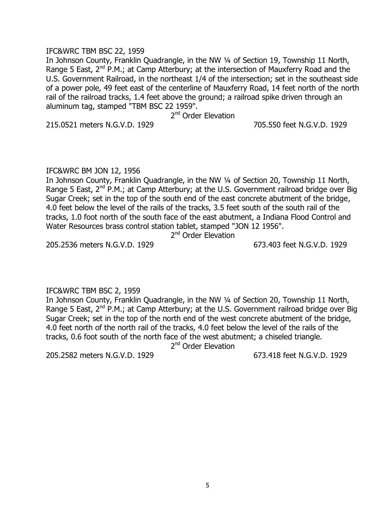## IFC&WRC TBM BSC 22, 1959

In Johnson County, Franklin Quadrangle, in the NW ¼ of Section 19, Township 11 North, Range 5 East,  $2^{nd}$  P.M.; at Camp Atterbury; at the intersection of Mauxferry Road and the U.S. Government Railroad, in the northeast 1/4 of the intersection; set in the southeast side of a power pole, 49 feet east of the centerline of Mauxferry Road, 14 feet north of the north rail of the railroad tracks, 1.4 feet above the ground; a railroad spike driven through an aluminum tag, stamped "TBM BSC 22 1959".

2<sup>nd</sup> Order Elevation

215.0521 meters N.G.V.D. 1929 705.550 feet N.G.V.D. 1929

# IFC&WRC BM JON 12, 1956

In Johnson County, Franklin Quadrangle, in the NW ¼ of Section 20, Township 11 North, Range 5 East,  $2^{nd}$  P.M.; at Camp Atterbury; at the U.S. Government railroad bridge over Big Sugar Creek; set in the top of the south end of the east concrete abutment of the bridge, 4.0 feet below the level of the rails of the tracks, 3.5 feet south of the south rail of the tracks, 1.0 foot north of the south face of the east abutment, a Indiana Flood Control and Water Resources brass control station tablet, stamped "JON 12 1956".

2<sup>nd</sup> Order Elevation

205.2536 meters N.G.V.D. 1929 673.403 feet N.G.V.D. 1929

# IFC&WRC TBM BSC 2, 1959

In Johnson County, Franklin Quadrangle, in the NW ¼ of Section 20, Township 11 North, Range 5 East,  $2^{nd}$  P.M.; at Camp Atterbury; at the U.S. Government railroad bridge over Big Sugar Creek; set in the top of the north end of the west concrete abutment of the bridge, 4.0 feet north of the north rail of the tracks, 4.0 feet below the level of the rails of the tracks, 0.6 foot south of the north face of the west abutment; a chiseled triangle.

2<sup>nd</sup> Order Elevation

205.2582 meters N.G.V.D. 1929 673.418 feet N.G.V.D. 1929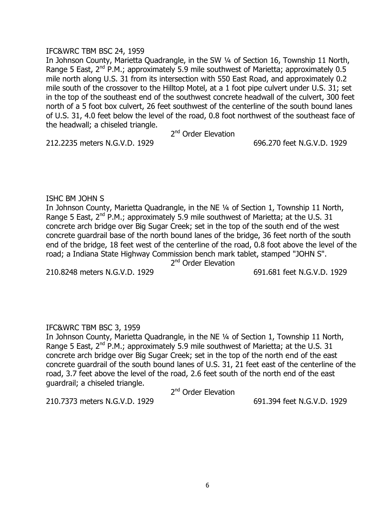## IFC&WRC TBM BSC 24, 1959

In Johnson County, Marietta Quadrangle, in the SW ¼ of Section 16, Township 11 North, Range 5 East,  $2^{nd}$  P.M.; approximately 5.9 mile southwest of Marietta; approximately 0.5 mile north along U.S. 31 from its intersection with 550 East Road, and approximately 0.2 mile south of the crossover to the Hilltop Motel, at a 1 foot pipe culvert under U.S. 31; set in the top of the southeast end of the southwest concrete headwall of the culvert, 300 feet north of a 5 foot box culvert, 26 feet southwest of the centerline of the south bound lanes of U.S. 31, 4.0 feet below the level of the road, 0.8 foot northwest of the southeast face of the headwall; a chiseled triangle.

2<sup>nd</sup> Order Elevation

212.2235 meters N.G.V.D. 1929 696.270 feet N.G.V.D. 1929

## ISHC BM JOHN S

In Johnson County, Marietta Quadrangle, in the NE ¼ of Section 1, Township 11 North, Range 5 East,  $2^{nd}$  P.M.; approximately 5.9 mile southwest of Marietta; at the U.S. 31 concrete arch bridge over Big Sugar Creek; set in the top of the south end of the west concrete guardrail base of the north bound lanes of the bridge, 36 feet north of the south end of the bridge, 18 feet west of the centerline of the road, 0.8 foot above the level of the road; a Indiana State Highway Commission bench mark tablet, stamped "JOHN S".

2<sup>nd</sup> Order Elevation

210.8248 meters N.G.V.D. 1929 691.681 feet N.G.V.D. 1929

# IFC&WRC TBM BSC 3, 1959

In Johnson County, Marietta Quadrangle, in the NE ¼ of Section 1, Township 11 North, Range 5 East,  $2^{nd}$  P.M.; approximately 5.9 mile southwest of Marietta; at the U.S. 31 concrete arch bridge over Big Sugar Creek; set in the top of the north end of the east concrete guardrail of the south bound lanes of U.S. 31, 21 feet east of the centerline of the road, 3.7 feet above the level of the road, 2.6 feet south of the north end of the east guardrail; a chiseled triangle.

2<sup>nd</sup> Order Elevation

210.7373 meters N.G.V.D. 1929 691.394 feet N.G.V.D. 1929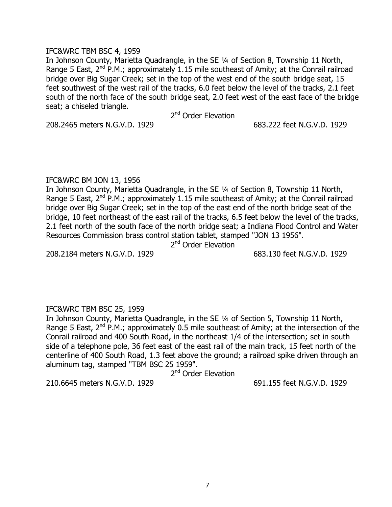## IFC&WRC TBM BSC 4, 1959

In Johnson County, Marietta Quadrangle, in the SE ¼ of Section 8, Township 11 North, Range 5 East,  $2^{nd}$  P.M.; approximately 1.15 mile southeast of Amity; at the Conrail railroad bridge over Big Sugar Creek; set in the top of the west end of the south bridge seat, 15 feet southwest of the west rail of the tracks, 6.0 feet below the level of the tracks, 2.1 feet south of the north face of the south bridge seat, 2.0 feet west of the east face of the bridge seat; a chiseled triangle.

2<sup>nd</sup> Order Elevation

208.2465 meters N.G.V.D. 1929 683.222 feet N.G.V.D. 1929

## IFC&WRC BM JON 13, 1956

In Johnson County, Marietta Quadrangle, in the SE ¼ of Section 8, Township 11 North, Range 5 East,  $2^{nd}$  P.M.; approximately 1.15 mile southeast of Amity; at the Conrail railroad bridge over Big Sugar Creek; set in the top of the east end of the north bridge seat of the bridge, 10 feet northeast of the east rail of the tracks, 6.5 feet below the level of the tracks, 2.1 feet north of the south face of the north bridge seat; a Indiana Flood Control and Water Resources Commission brass control station tablet, stamped "JON 13 1956".

2<sup>nd</sup> Order Elevation

208.2184 meters N.G.V.D. 1929 683.130 feet N.G.V.D. 1929

# IFC&WRC TBM BSC 25, 1959

In Johnson County, Marietta Quadrangle, in the SE ¼ of Section 5, Township 11 North, Range 5 East,  $2^{nd}$  P.M.; approximately 0.5 mile southeast of Amity; at the intersection of the Conrail railroad and 400 South Road, in the northeast 1/4 of the intersection; set in south side of a telephone pole, 36 feet east of the east rail of the main track, 15 feet north of the centerline of 400 South Road, 1.3 feet above the ground; a railroad spike driven through an aluminum tag, stamped "TBM BSC 25 1959".

2<sup>nd</sup> Order Elevation

210.6645 meters N.G.V.D. 1929 691.155 feet N.G.V.D. 1929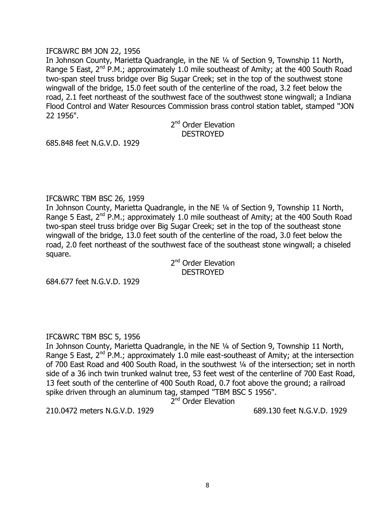## IFC&WRC BM JON 22, 1956

In Johnson County, Marietta Quadrangle, in the NE ¼ of Section 9, Township 11 North, Range 5 East,  $2^{nd}$  P.M.; approximately 1.0 mile southeast of Amity; at the 400 South Road two-span steel truss bridge over Big Sugar Creek; set in the top of the southwest stone wingwall of the bridge, 15.0 feet south of the centerline of the road, 3.2 feet below the road, 2.1 feet northeast of the southwest face of the southwest stone wingwall; a Indiana Flood Control and Water Resources Commission brass control station tablet, stamped "JON 22 1956".

> 2<sup>nd</sup> Order Elevation DESTROYED

685.848 feet N.G.V.D. 1929

## IFC&WRC TBM BSC 26, 1959

In Johnson County, Marietta Quadrangle, in the NE ¼ of Section 9, Township 11 North, Range 5 East, 2<sup>nd</sup> P.M.; approximately 1.0 mile southeast of Amity; at the 400 South Road two-span steel truss bridge over Big Sugar Creek; set in the top of the southeast stone wingwall of the bridge, 13.0 feet south of the centerline of the road, 3.0 feet below the road, 2.0 feet northeast of the southwest face of the southeast stone wingwall; a chiseled square.

2<sup>nd</sup> Order Elevation **DESTROYED** 

684.677 feet N.G.V.D. 1929

# IFC&WRC TBM BSC 5, 1956

In Johnson County, Marietta Quadrangle, in the NE ¼ of Section 9, Township 11 North, Range 5 East,  $2^{nd}$  P.M.; approximately 1.0 mile east-southeast of Amity; at the intersection of 700 East Road and 400 South Road, in the southwest ¼ of the intersection; set in north side of a 36 inch twin trunked walnut tree, 53 feet west of the centerline of 700 East Road, 13 feet south of the centerline of 400 South Road, 0.7 foot above the ground; a railroad spike driven through an aluminum tag, stamped "TBM BSC 5 1956".

2<sup>nd</sup> Order Elevation

210.0472 meters N.G.V.D. 1929 689.130 feet N.G.V.D. 1929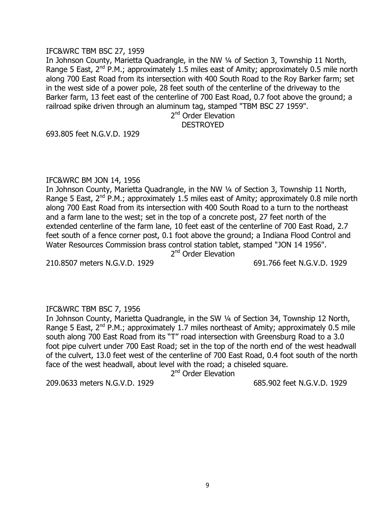#### IFC&WRC TBM BSC 27, 1959

In Johnson County, Marietta Quadrangle, in the NW ¼ of Section 3, Township 11 North, Range 5 East,  $2^{nd}$  P.M.; approximately 1.5 miles east of Amity; approximately 0.5 mile north along 700 East Road from its intersection with 400 South Road to the Roy Barker farm; set in the west side of a power pole, 28 feet south of the centerline of the driveway to the Barker farm, 13 feet east of the centerline of 700 East Road, 0.7 foot above the ground; a railroad spike driven through an aluminum tag, stamped "TBM BSC 27 1959".

2<sup>nd</sup> Order Elevation DESTROYED

693.805 feet N.G.V.D. 1929

#### IFC&WRC BM JON 14, 1956

In Johnson County, Marietta Quadrangle, in the NW ¼ of Section 3, Township 11 North, Range 5 East,  $2^{nd}$  P.M.; approximately 1.5 miles east of Amity; approximately 0.8 mile north along 700 East Road from its intersection with 400 South Road to a turn to the northeast and a farm lane to the west; set in the top of a concrete post, 27 feet north of the extended centerline of the farm lane, 10 feet east of the centerline of 700 East Road, 2.7 feet south of a fence corner post, 0.1 foot above the ground; a Indiana Flood Control and Water Resources Commission brass control station tablet, stamped "JON 14 1956".

2<sup>nd</sup> Order Elevation

210.8507 meters N.G.V.D. 1929 691.766 feet N.G.V.D. 1929

## IFC&WRC TBM BSC 7, 1956

In Johnson County, Marietta Quadrangle, in the SW ¼ of Section 34, Township 12 North, Range 5 East,  $2^{nd}$  P.M.; approximately 1.7 miles northeast of Amity; approximately 0.5 mile south along 700 East Road from its "T" road intersection with Greensburg Road to a 3.0 foot pipe culvert under 700 East Road; set in the top of the north end of the west headwall of the culvert, 13.0 feet west of the centerline of 700 East Road, 0.4 foot south of the north face of the west headwall, about level with the road; a chiseled square.

2<sup>nd</sup> Order Elevation

209.0633 meters N.G.V.D. 1929 685.902 feet N.G.V.D. 1929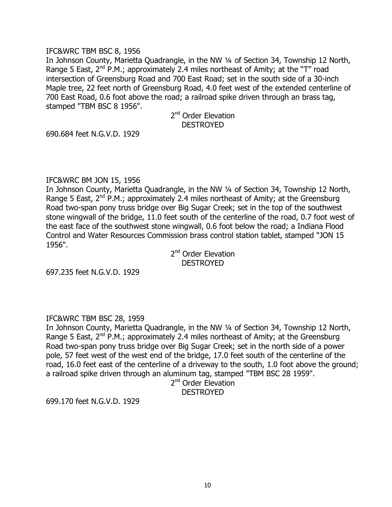## IFC&WRC TBM BSC 8, 1956

In Johnson County, Marietta Quadrangle, in the NW ¼ of Section 34, Township 12 North, Range 5 East,  $2^{nd}$  P.M.; approximately 2.4 miles northeast of Amity; at the "T" road intersection of Greensburg Road and 700 East Road; set in the south side of a 30-inch Maple tree, 22 feet north of Greensburg Road, 4.0 feet west of the extended centerline of 700 East Road, 0.6 foot above the road; a railroad spike driven through an brass tag, stamped "TBM BSC 8 1956".

> 2<sup>nd</sup> Order Elevation DESTROYED

690.684 feet N.G.V.D. 1929

## IFC&WRC BM JON 15, 1956

In Johnson County, Marietta Quadrangle, in the NW ¼ of Section 34, Township 12 North, Range 5 East,  $2^{nd}$  P.M.; approximately 2.4 miles northeast of Amity; at the Greensburg Road two-span pony truss bridge over Big Sugar Creek; set in the top of the southwest stone wingwall of the bridge, 11.0 feet south of the centerline of the road, 0.7 foot west of the east face of the southwest stone wingwall, 0.6 foot below the road; a Indiana Flood Control and Water Resources Commission brass control station tablet, stamped "JON 15 1956".

2<sup>nd</sup> Order Elevation **DESTROYED** 

697.235 feet N.G.V.D. 1929

# IFC&WRC TBM BSC 28, 1959

In Johnson County, Marietta Quadrangle, in the NW ¼ of Section 34, Township 12 North, Range 5 East,  $2^{nd}$  P.M.; approximately 2.4 miles northeast of Amity; at the Greensburg Road two-span pony truss bridge over Big Sugar Creek; set in the north side of a power pole, 57 feet west of the west end of the bridge, 17.0 feet south of the centerline of the road, 16.0 feet east of the centerline of a driveway to the south, 1.0 foot above the ground; a railroad spike driven through an aluminum tag, stamped "TBM BSC 28 1959".

2<sup>nd</sup> Order Elevation

**DESTROYED** 

699.170 feet N.G.V.D. 1929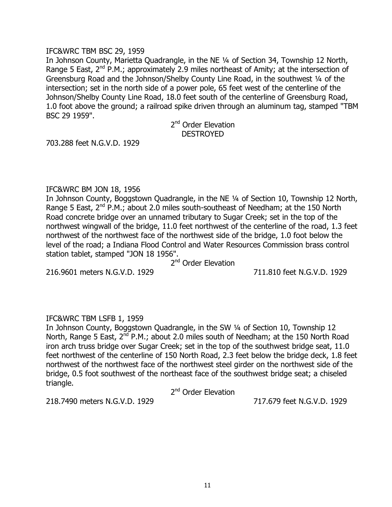#### IFC&WRC TBM BSC 29, 1959

In Johnson County, Marietta Quadrangle, in the NE ¼ of Section 34, Township 12 North, Range 5 East,  $2^{nd}$  P.M.; approximately 2.9 miles northeast of Amity; at the intersection of Greensburg Road and the Johnson/Shelby County Line Road, in the southwest ¼ of the intersection; set in the north side of a power pole, 65 feet west of the centerline of the Johnson/Shelby County Line Road, 18.0 feet south of the centerline of Greensburg Road, 1.0 foot above the ground; a railroad spike driven through an aluminum tag, stamped "TBM BSC 29 1959".

> 2<sup>nd</sup> Order Elevation DESTROYED

703.288 feet N.G.V.D. 1929

## IFC&WRC BM JON 18, 1956

In Johnson County, Boggstown Quadrangle, in the NE ¼ of Section 10, Township 12 North, Range 5 East,  $2^{nd}$  P.M.; about 2.0 miles south-southeast of Needham; at the 150 North Road concrete bridge over an unnamed tributary to Sugar Creek; set in the top of the northwest wingwall of the bridge, 11.0 feet northwest of the centerline of the road, 1.3 feet northwest of the northwest face of the northwest side of the bridge, 1.0 foot below the level of the road; a Indiana Flood Control and Water Resources Commission brass control station tablet, stamped "JON 18 1956".

2<sup>nd</sup> Order Elevation

216.9601 meters N.G.V.D. 1929 711.810 feet N.G.V.D. 1929

# IFC&WRC TBM LSFB 1, 1959

In Johnson County, Boggstown Quadrangle, in the SW ¼ of Section 10, Township 12 North, Range 5 East,  $2^{nd}$  P.M.; about 2.0 miles south of Needham; at the 150 North Road iron arch truss bridge over Sugar Creek; set in the top of the southwest bridge seat, 11.0 feet northwest of the centerline of 150 North Road, 2.3 feet below the bridge deck, 1.8 feet northwest of the northwest face of the northwest steel girder on the northwest side of the bridge, 0.5 foot southwest of the northeast face of the southwest bridge seat; a chiseled triangle.

2<sup>nd</sup> Order Elevation

218.7490 meters N.G.V.D. 1929 717.679 feet N.G.V.D. 1929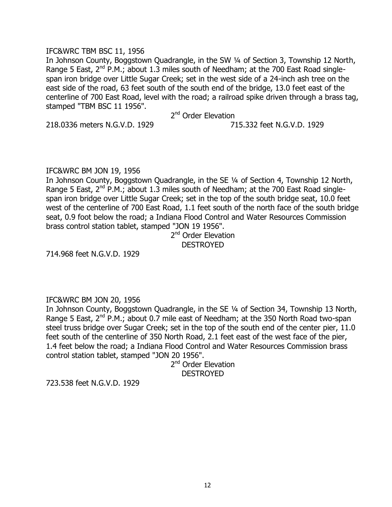## IFC&WRC TBM BSC 11, 1956

In Johnson County, Boggstown Quadrangle, in the SW ¼ of Section 3, Township 12 North, Range 5 East,  $2^{nd}$  P.M.; about 1.3 miles south of Needham; at the 700 East Road singlespan iron bridge over Little Sugar Creek; set in the west side of a 24-inch ash tree on the east side of the road, 63 feet south of the south end of the bridge, 13.0 feet east of the centerline of 700 East Road, level with the road; a railroad spike driven through a brass tag, stamped "TBM BSC 11 1956".

2<sup>nd</sup> Order Elevation

218.0336 meters N.G.V.D. 1929 715.332 feet N.G.V.D. 1929

# IFC&WRC BM JON 19, 1956

In Johnson County, Boggstown Quadrangle, in the SE ¼ of Section 4, Township 12 North, Range 5 East,  $2^{nd}$  P.M.; about 1.3 miles south of Needham; at the 700 East Road singlespan iron bridge over Little Sugar Creek; set in the top of the south bridge seat, 10.0 feet west of the centerline of 700 East Road, 1.1 feet south of the north face of the south bridge seat, 0.9 foot below the road; a Indiana Flood Control and Water Resources Commission brass control station tablet, stamped "JON 19 1956".

# 2<sup>nd</sup> Order Elevation DESTROYED

714.968 feet N.G.V.D. 1929

# IFC&WRC BM JON 20, 1956

In Johnson County, Boggstown Quadrangle, in the SE ¼ of Section 34, Township 13 North, Range 5 East,  $2^{nd}$  P.M.; about 0.7 mile east of Needham; at the 350 North Road two-span steel truss bridge over Sugar Creek; set in the top of the south end of the center pier, 11.0 feet south of the centerline of 350 North Road, 2.1 feet east of the west face of the pier, 1.4 feet below the road; a Indiana Flood Control and Water Resources Commission brass control station tablet, stamped "JON 20 1956".

2<sup>nd</sup> Order Elevation **DESTROYED** 

723.538 feet N.G.V.D. 1929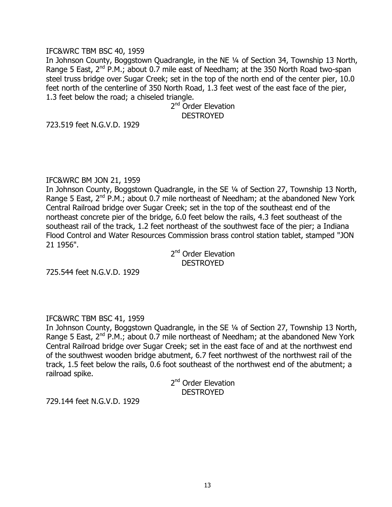### IFC&WRC TBM BSC 40, 1959

In Johnson County, Boggstown Quadrangle, in the NE ¼ of Section 34, Township 13 North, Range 5 East,  $2^{nd}$  P.M.; about 0.7 mile east of Needham; at the 350 North Road two-span steel truss bridge over Sugar Creek; set in the top of the north end of the center pier, 10.0 feet north of the centerline of 350 North Road, 1.3 feet west of the east face of the pier, 1.3 feet below the road; a chiseled triangle.

> 2<sup>nd</sup> Order Elevation **DESTROYED**

723.519 feet N.G.V.D. 1929

#### IFC&WRC BM JON 21, 1959

In Johnson County, Boggstown Quadrangle, in the SE ¼ of Section 27, Township 13 North, Range 5 East,  $2^{nd}$  P.M.; about 0.7 mile northeast of Needham; at the abandoned New York Central Railroad bridge over Sugar Creek; set in the top of the southeast end of the northeast concrete pier of the bridge, 6.0 feet below the rails, 4.3 feet southeast of the southeast rail of the track, 1.2 feet northeast of the southwest face of the pier; a Indiana Flood Control and Water Resources Commission brass control station tablet, stamped "JON 21 1956".

2<sup>nd</sup> Order Elevation **DESTROYED** 

725.544 feet N.G.V.D. 1929

#### IFC&WRC TBM BSC 41, 1959

In Johnson County, Boggstown Quadrangle, in the SE ¼ of Section 27, Township 13 North, Range 5 East,  $2^{nd}$  P.M.; about 0.7 mile northeast of Needham; at the abandoned New York Central Railroad bridge over Sugar Creek; set in the east face of and at the northwest end of the southwest wooden bridge abutment, 6.7 feet northwest of the northwest rail of the track, 1.5 feet below the rails, 0.6 foot southeast of the northwest end of the abutment; a railroad spike.

2<sup>nd</sup> Order Elevation **DESTROYED** 

729.144 feet N.G.V.D. 1929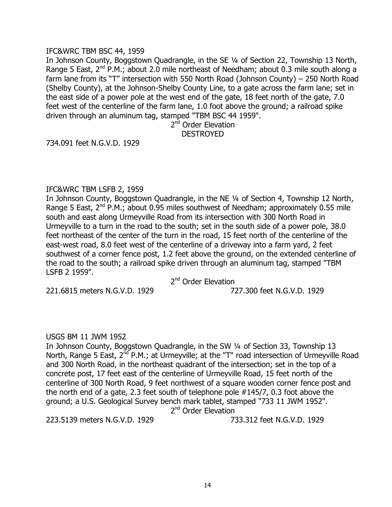### IFC&WRC TBM BSC 44, 1959

In Johnson County, Boggstown Quadrangle, in the SE ¼ of Section 22, Township 13 North, Range 5 East,  $2^{nd}$  P.M.; about 2.0 mile northeast of Needham; about 0.3 mile south along a farm lane from its "T" intersection with 550 North Road (Johnson County) – 250 North Road (Shelby County), at the Johnson-Shelby County Line, to a gate across the farm lane; set in the east side of a power pole at the west end of the gate, 18 feet north of the gate, 7.0 feet west of the centerline of the farm lane, 1.0 foot above the ground; a railroad spike driven through an aluminum tag, stamped "TBM BSC 44 1959".

> 2<sup>nd</sup> Order Elevation DESTROYED

734.091 feet N.G.V.D. 1929

## IFC&WRC TBM LSFB 2, 1959

In Johnson County, Boggstown Quadrangle, in the NE ¼ of Section 4, Township 12 North, Range 5 East,  $2^{nd}$  P.M.; about 0.95 miles southwest of Needham; approximately 0.55 mile south and east along Urmeyville Road from its intersection with 300 North Road in Urmeyville to a turn in the road to the south; set in the south side of a power pole, 38.0 feet northeast of the center of the turn in the road, 15 feet north of the centerline of the east-west road, 8.0 feet west of the centerline of a driveway into a farm yard, 2 feet southwest of a corner fence post, 1.2 feet above the ground, on the extended centerline of the road to the south; a railroad spike driven through an aluminum tag, stamped "TBM LSFB 2 1959".

2<sup>nd</sup> Order Elevation

221.6815 meters N.G.V.D. 1929 727.300 feet N.G.V.D. 1929

# USGS BM 11 JWM 1952

In Johnson County, Boggstown Quadrangle, in the SW ¼ of Section 33, Township 13 North, Range 5 East,  $2^{nd}$  P.M.; at Urmeyville; at the "T" road intersection of Urmeyville Road and 300 North Road, in the northeast quadrant of the intersection; set in the top of a concrete post, 17 feet east of the centerline of Urmeyville Road, 15 feet north of the centerline of 300 North Road, 9 feet northwest of a square wooden corner fence post and the north end of a gate, 2.3 feet south of telephone pole #145/7, 0.3 foot above the ground; a U.S. Geological Survey bench mark tablet, stamped "733 11 JWM 1952". 2<sup>nd</sup> Order Elevation

223.5139 meters N.G.V.D. 1929 733.312 feet N.G.V.D. 1929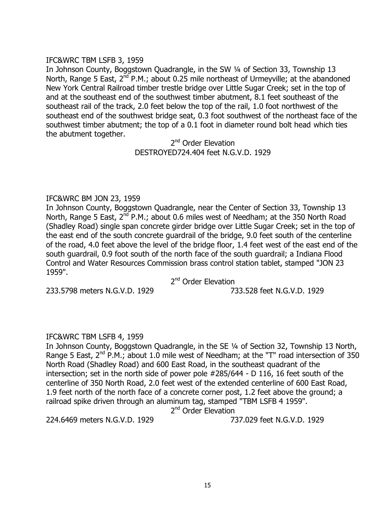# IFC&WRC TBM LSFB 3, 1959

In Johnson County, Boggstown Quadrangle, in the SW ¼ of Section 33, Township 13 North, Range 5 East,  $2^{nd}$  P.M.; about 0.25 mile northeast of Urmeyville; at the abandoned New York Central Railroad timber trestle bridge over Little Sugar Creek; set in the top of and at the southeast end of the southwest timber abutment, 8.1 feet southeast of the southeast rail of the track, 2.0 feet below the top of the rail, 1.0 foot northwest of the southeast end of the southwest bridge seat, 0.3 foot southwest of the northeast face of the southwest timber abutment; the top of a 0.1 foot in diameter round bolt head which ties the abutment together.

> 2<sup>nd</sup> Order Elevation DESTROYED724.404 feet N.G.V.D. 1929

# IFC&WRC BM JON 23, 1959

In Johnson County, Boggstown Quadrangle, near the Center of Section 33, Township 13 North, Range 5 East, 2<sup>nd</sup> P.M.; about 0.6 miles west of Needham; at the 350 North Road (Shadley Road) single span concrete girder bridge over Little Sugar Creek; set in the top of the east end of the south concrete guardrail of the bridge, 9.0 feet south of the centerline of the road, 4.0 feet above the level of the bridge floor, 1.4 feet west of the east end of the south guardrail, 0.9 foot south of the north face of the south guardrail; a Indiana Flood Control and Water Resources Commission brass control station tablet, stamped "JON 23 1959".

2<sup>nd</sup> Order Elevation

233.5798 meters N.G.V.D. 1929 733.528 feet N.G.V.D. 1929

# IFC&WRC TBM LSFB 4, 1959

In Johnson County, Boggstown Quadrangle, in the SE ¼ of Section 32, Township 13 North, Range 5 East,  $2^{nd}$  P.M.; about 1.0 mile west of Needham; at the "T" road intersection of 350 North Road (Shadley Road) and 600 East Road, in the southeast quadrant of the intersection; set in the north side of power pole #285/644 - D 116, 16 feet south of the centerline of 350 North Road, 2.0 feet west of the extended centerline of 600 East Road, 1.9 feet north of the north face of a concrete corner post, 1.2 feet above the ground; a railroad spike driven through an aluminum tag, stamped "TBM LSFB 4 1959".

2<sup>nd</sup> Order Elevation

224.6469 meters N.G.V.D. 1929 737.029 feet N.G.V.D. 1929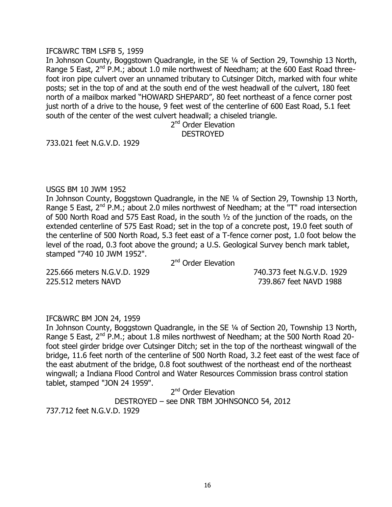#### IFC&WRC TBM LSFB 5, 1959

In Johnson County, Boggstown Quadrangle, in the SE ¼ of Section 29, Township 13 North, Range 5 East,  $2^{nd}$  P.M.; about 1.0 mile northwest of Needham; at the 600 East Road threefoot iron pipe culvert over an unnamed tributary to Cutsinger Ditch, marked with four white posts; set in the top of and at the south end of the west headwall of the culvert, 180 feet north of a mailbox marked "HOWARD SHEPARD", 80 feet northeast of a fence corner post just north of a drive to the house, 9 feet west of the centerline of 600 East Road, 5.1 feet south of the center of the west culvert headwall; a chiseled triangle.

2<sup>nd</sup> Order Elevation DESTROYED

733.021 feet N.G.V.D. 1929

## USGS BM 10 JWM 1952

In Johnson County, Boggstown Quadrangle, in the NE ¼ of Section 29, Township 13 North, Range 5 East,  $2^{nd}$  P.M.; about 2.0 miles northwest of Needham; at the "T" road intersection of 500 North Road and 575 East Road, in the south ½ of the junction of the roads, on the extended centerline of 575 East Road; set in the top of a concrete post, 19.0 feet south of the centerline of 500 North Road, 5.3 feet east of a T-fence corner post, 1.0 foot below the level of the road, 0.3 foot above the ground; a U.S. Geological Survey bench mark tablet, stamped "740 10 JWM 1952".

2<sup>nd</sup> Order Elevation

225.666 meters N.G.V.D. 1929 740.373 feet N.G.V.D. 1929 225.512 meters NAVD 739.867 feet NAVD 1988

# IFC&WRC BM JON 24, 1959

In Johnson County, Boggstown Quadrangle, in the SE ¼ of Section 20, Township 13 North, Range 5 East, 2<sup>nd</sup> P.M.; about 1.8 miles northwest of Needham; at the 500 North Road 20foot steel girder bridge over Cutsinger Ditch; set in the top of the northeast wingwall of the bridge, 11.6 feet north of the centerline of 500 North Road, 3.2 feet east of the west face of the east abutment of the bridge, 0.8 foot southwest of the northeast end of the northeast wingwall; a Indiana Flood Control and Water Resources Commission brass control station tablet, stamped "JON 24 1959".

2<sup>nd</sup> Order Elevation DESTROYED – see DNR TBM JOHNSONCO 54, 2012 737.712 feet N.G.V.D. 1929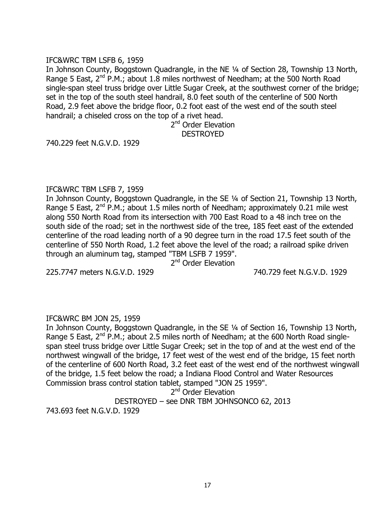# IFC&WRC TBM LSFB 6, 1959

In Johnson County, Boggstown Quadrangle, in the NE ¼ of Section 28, Township 13 North, Range 5 East,  $2^{nd}$  P.M.; about 1.8 miles northwest of Needham; at the 500 North Road single-span steel truss bridge over Little Sugar Creek, at the southwest corner of the bridge; set in the top of the south steel handrail, 8.0 feet south of the centerline of 500 North Road, 2.9 feet above the bridge floor, 0.2 foot east of the west end of the south steel handrail; a chiseled cross on the top of a rivet head.

> 2<sup>nd</sup> Order Elevation DESTROYED

740.229 feet N.G.V.D. 1929

## IFC&WRC TBM LSFB 7, 1959

In Johnson County, Boggstown Quadrangle, in the SE ¼ of Section 21, Township 13 North, Range 5 East,  $2^{nd}$  P.M.; about 1.5 miles north of Needham; approximately 0.21 mile west along 550 North Road from its intersection with 700 East Road to a 48 inch tree on the south side of the road; set in the northwest side of the tree, 185 feet east of the extended centerline of the road leading north of a 90 degree turn in the road 17.5 feet south of the centerline of 550 North Road, 1.2 feet above the level of the road; a railroad spike driven through an aluminum tag, stamped "TBM LSFB 7 1959".

2<sup>nd</sup> Order Elevation

225.7747 meters N.G.V.D. 1929 740.729 feet N.G.V.D. 1929

# IFC&WRC BM JON 25, 1959

In Johnson County, Boggstown Quadrangle, in the SE ¼ of Section 16, Township 13 North, Range 5 East,  $2^{nd}$  P.M.; about 2.5 miles north of Needham; at the 600 North Road singlespan steel truss bridge over Little Sugar Creek; set in the top of and at the west end of the northwest wingwall of the bridge, 17 feet west of the west end of the bridge, 15 feet north of the centerline of 600 North Road, 3.2 feet east of the west end of the northwest wingwall of the bridge, 1.5 feet below the road; a Indiana Flood Control and Water Resources Commission brass control station tablet, stamped "JON 25 1959".

2<sup>nd</sup> Order Elevation

DESTROYED – see DNR TBM JOHNSONCO 62, 2013

743.693 feet N.G.V.D. 1929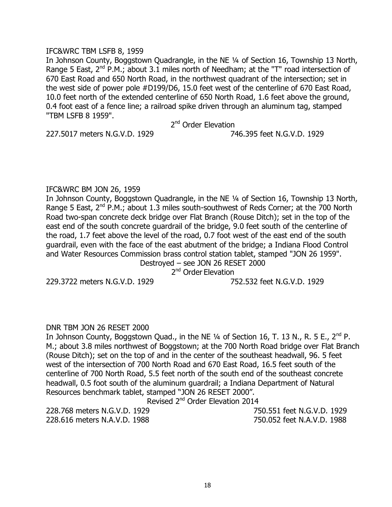#### IFC&WRC TBM LSFB 8, 1959

In Johnson County, Boggstown Quadrangle, in the NE ¼ of Section 16, Township 13 North, Range 5 East,  $2^{nd}$  P.M.; about 3.1 miles north of Needham; at the "T" road intersection of 670 East Road and 650 North Road, in the northwest quadrant of the intersection; set in the west side of power pole #D199/D6, 15.0 feet west of the centerline of 670 East Road, 10.0 feet north of the extended centerline of 650 North Road, 1.6 feet above the ground, 0.4 foot east of a fence line; a railroad spike driven through an aluminum tag, stamped "TBM LSFB 8 1959".

2<sup>nd</sup> Order Elevation

227.5017 meters N.G.V.D. 1929 746.395 feet N.G.V.D. 1929

# IFC&WRC BM JON 26, 1959

In Johnson County, Boggstown Quadrangle, in the NE ¼ of Section 16, Township 13 North, Range 5 East,  $2^{nd}$  P.M.; about 1.3 miles south-southwest of Reds Corner; at the 700 North Road two-span concrete deck bridge over Flat Branch (Rouse Ditch); set in the top of the east end of the south concrete guardrail of the bridge, 9.0 feet south of the centerline of the road, 1.7 feet above the level of the road, 0.7 foot west of the east end of the south guardrail, even with the face of the east abutment of the bridge; a Indiana Flood Control and Water Resources Commission brass control station tablet, stamped "JON 26 1959".

Destroyed – see JON 26 RESET 2000 2<sup>nd</sup> Order Elevation

229.3722 meters N.G.V.D. 1929 752.532 feet N.G.V.D. 1929

# DNR TBM JON 26 RESET 2000

In Johnson County, Boggstown Quad., in the NE 1/4 of Section 16, T. 13 N., R. 5 E., 2<sup>nd</sup> P. M.; about 3.8 miles northwest of Boggstown; at the 700 North Road bridge over Flat Branch (Rouse Ditch); set on the top of and in the center of the southeast headwall, 96. 5 feet west of the intersection of 700 North Road and 670 East Road, 16.5 feet south of the centerline of 700 North Road, 5.5 feet north of the south end of the southeast concrete headwall, 0.5 foot south of the aluminum guardrail; a Indiana Department of Natural Resources benchmark tablet, stamped "JON 26 RESET 2000".

Revised 2<sup>nd</sup> Order Elevation 2014

228.768 meters N.G.V.D. 1929 750.551 feet N.G.V.D. 1929 228.616 meters N.A.V.D. 1988 750.052 feet N.A.V.D. 1988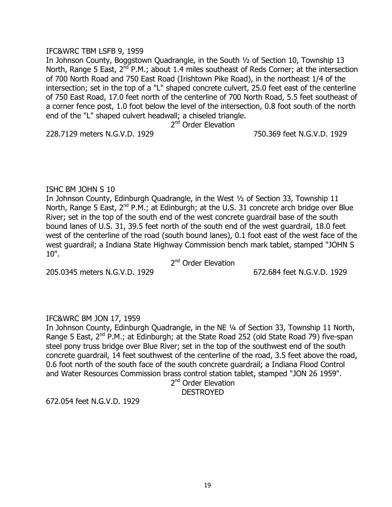## IFC&WRC TBM LSFB 9, 1959

In Johnson County, Boggstown Quadrangle, in the South ½ of Section 10, Township 13 North, Range 5 East,  $2^{nd}$  P.M.; about 1.4 miles southeast of Reds Corner; at the intersection of 700 North Road and 750 East Road (Irishtown Pike Road), in the northeast 1/4 of the intersection; set in the top of a "L" shaped concrete culvert, 25.0 feet east of the centerline of 750 East Road, 17.0 feet north of the centerline of 700 North Road, 5.5 feet southeast of a corner fence post, 1.0 foot below the level of the intersection, 0.8 foot south of the north end of the "L" shaped culvert headwall; a chiseled triangle.

2<sup>nd</sup> Order Elevation

228.7129 meters N.G.V.D. 1929 750.369 feet N.G.V.D. 1929

# ISHC BM JOHN S 10

In Johnson County, Edinburgh Quadrangle, in the West ½ of Section 33, Township 11 North, Range 5 East, 2<sup>nd</sup> P.M.; at Edinburgh; at the U.S. 31 concrete arch bridge over Blue River; set in the top of the south end of the west concrete guardrail base of the south bound lanes of U.S. 31, 39.5 feet north of the south end of the west guardrail, 18.0 feet west of the centerline of the road (south bound lanes), 0.1 foot east of the west face of the west guardrail; a Indiana State Highway Commission bench mark tablet, stamped "JOHN S 10".

2<sup>nd</sup> Order Elevation

205.0345 meters N.G.V.D. 1929 672.684 feet N.G.V.D. 1929

# IFC&WRC BM JON 17, 1959

In Johnson County, Edinburgh Quadrangle, in the NE ¼ of Section 33, Township 11 North, Range 5 East,  $2^{nd}$  P.M.; at Edinburgh; at the State Road 252 (old State Road 79) five-span steel pony truss bridge over Blue River; set in the top of the southwest end of the south concrete guardrail, 14 feet southwest of the centerline of the road, 3.5 feet above the road, 0.6 foot north of the south face of the south concrete guardrail; a Indiana Flood Control and Water Resources Commission brass control station tablet, stamped "JON 26 1959".

2<sup>nd</sup> Order Elevation

**DESTROYED** 

672.054 feet N.G.V.D. 1929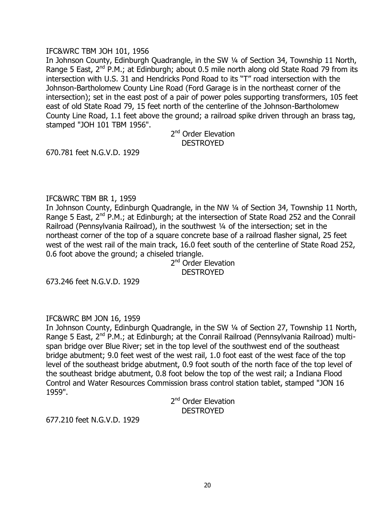## IFC&WRC TBM JOH 101, 1956

In Johnson County, Edinburgh Quadrangle, in the SW ¼ of Section 34, Township 11 North, Range 5 East,  $2^{nd}$  P.M.; at Edinburgh; about 0.5 mile north along old State Road 79 from its intersection with U.S. 31 and Hendricks Pond Road to its "T" road intersection with the Johnson-Bartholomew County Line Road (Ford Garage is in the northeast corner of the intersection); set in the east post of a pair of power poles supporting transformers, 105 feet east of old State Road 79, 15 feet north of the centerline of the Johnson-Bartholomew County Line Road, 1.1 feet above the ground; a railroad spike driven through an brass tag, stamped "JOH 101 TBM 1956".

> 2<sup>nd</sup> Order Elevation DESTROYED

670.781 feet N.G.V.D. 1929

## IFC&WRC TBM BR 1, 1959

In Johnson County, Edinburgh Quadrangle, in the NW ¼ of Section 34, Township 11 North, Range 5 East,  $2^{nd}$  P.M.; at Edinburgh; at the intersection of State Road 252 and the Conrail Railroad (Pennsylvania Railroad), in the southwest ¼ of the intersection; set in the northeast corner of the top of a square concrete base of a railroad flasher signal, 25 feet west of the west rail of the main track, 16.0 feet south of the centerline of State Road 252, 0.6 foot above the ground; a chiseled triangle.

2<sup>nd</sup> Order Elevation **DESTROYED** 

673.246 feet N.G.V.D. 1929

# IFC&WRC BM JON 16, 1959

In Johnson County, Edinburgh Quadrangle, in the SW ¼ of Section 27, Township 11 North, Range 5 East, 2<sup>nd</sup> P.M.; at Edinburgh; at the Conrail Railroad (Pennsylvania Railroad) multispan bridge over Blue River; set in the top level of the southwest end of the southeast bridge abutment; 9.0 feet west of the west rail, 1.0 foot east of the west face of the top level of the southeast bridge abutment, 0.9 foot south of the north face of the top level of the southeast bridge abutment, 0.8 foot below the top of the west rail; a Indiana Flood Control and Water Resources Commission brass control station tablet, stamped "JON 16 1959".

> 2<sup>nd</sup> Order Elevation **DESTROYED**

677.210 feet N.G.V.D. 1929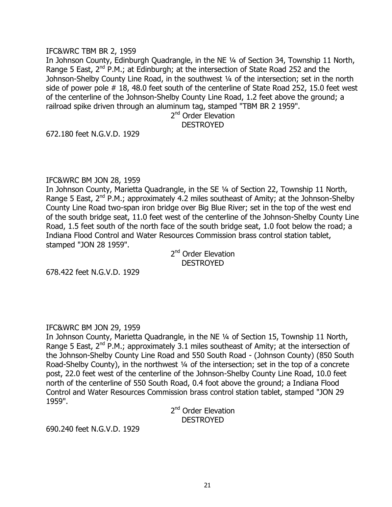#### IFC&WRC TBM BR 2, 1959

In Johnson County, Edinburgh Quadrangle, in the NE ¼ of Section 34, Township 11 North, Range 5 East,  $2^{nd}$  P.M.; at Edinburgh; at the intersection of State Road 252 and the Johnson-Shelby County Line Road, in the southwest 1/4 of the intersection; set in the north side of power pole # 18, 48.0 feet south of the centerline of State Road 252, 15.0 feet west of the centerline of the Johnson-Shelby County Line Road, 1.2 feet above the ground; a railroad spike driven through an aluminum tag, stamped "TBM BR 2 1959".

2<sup>nd</sup> Order Elevation

# DESTROYED

672.180 feet N.G.V.D. 1929

## IFC&WRC BM JON 28, 1959

In Johnson County, Marietta Quadrangle, in the SE ¼ of Section 22, Township 11 North, Range 5 East,  $2^{nd}$  P.M.; approximately 4.2 miles southeast of Amity; at the Johnson-Shelby County Line Road two-span iron bridge over Big Blue River; set in the top of the west end of the south bridge seat, 11.0 feet west of the centerline of the Johnson-Shelby County Line Road, 1.5 feet south of the north face of the south bridge seat, 1.0 foot below the road; a Indiana Flood Control and Water Resources Commission brass control station tablet, stamped "JON 28 1959".

> 2<sup>nd</sup> Order Elevation DESTROYED

678.422 feet N.G.V.D. 1929

# IFC&WRC BM JON 29, 1959

In Johnson County, Marietta Quadrangle, in the NE ¼ of Section 15, Township 11 North, Range 5 East,  $2^{nd}$  P.M.; approximately 3.1 miles southeast of Amity; at the intersection of the Johnson-Shelby County Line Road and 550 South Road - (Johnson County) (850 South Road-Shelby County), in the northwest ¼ of the intersection; set in the top of a concrete post, 22.0 feet west of the centerline of the Johnson-Shelby County Line Road, 10.0 feet north of the centerline of 550 South Road, 0.4 foot above the ground; a Indiana Flood Control and Water Resources Commission brass control station tablet, stamped "JON 29 1959".

2<sup>nd</sup> Order Elevation DESTROYED

690.240 feet N.G.V.D. 1929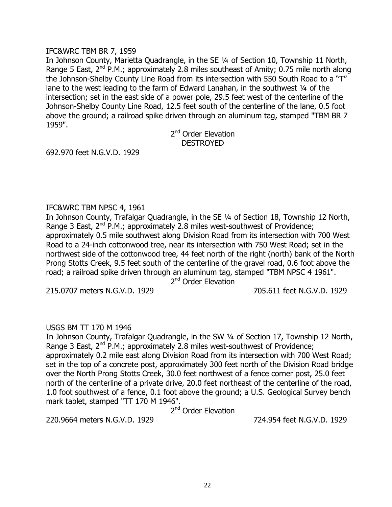### IFC&WRC TBM BR 7, 1959

In Johnson County, Marietta Quadrangle, in the SE ¼ of Section 10, Township 11 North, Range 5 East,  $2^{nd}$  P.M.; approximately 2.8 miles southeast of Amity; 0.75 mile north along the Johnson-Shelby County Line Road from its intersection with 550 South Road to a "T" lane to the west leading to the farm of Edward Lanahan, in the southwest 1/4 of the intersection; set in the east side of a power pole, 29.5 feet west of the centerline of the Johnson-Shelby County Line Road, 12.5 feet south of the centerline of the lane, 0.5 foot above the ground; a railroad spike driven through an aluminum tag, stamped "TBM BR 7 1959".

> 2<sup>nd</sup> Order Elevation DESTROYED

692.970 feet N.G.V.D. 1929

## IFC&WRC TBM NPSC 4, 1961

In Johnson County, Trafalgar Quadrangle, in the SE ¼ of Section 18, Township 12 North, Range 3 East,  $2^{nd}$  P.M.; approximately 2.8 miles west-southwest of Providence; approximately 0.5 mile southwest along Division Road from its intersection with 700 West Road to a 24-inch cottonwood tree, near its intersection with 750 West Road; set in the northwest side of the cottonwood tree, 44 feet north of the right (north) bank of the North Prong Stotts Creek, 9.5 feet south of the centerline of the gravel road, 0.6 foot above the road; a railroad spike driven through an aluminum tag, stamped "TBM NPSC 4 1961".

2<sup>nd</sup> Order Elevation

215.0707 meters N.G.V.D. 1929 705.611 feet N.G.V.D. 1929

# USGS BM TT 170 M 1946

In Johnson County, Trafalgar Quadrangle, in the SW ¼ of Section 17, Township 12 North, Range 3 East,  $2^{nd}$  P.M.; approximately 2.8 miles west-southwest of Providence; approximately 0.2 mile east along Division Road from its intersection with 700 West Road; set in the top of a concrete post, approximately 300 feet north of the Division Road bridge over the North Prong Stotts Creek, 30.0 feet northwest of a fence corner post, 25.0 feet north of the centerline of a private drive, 20.0 feet northeast of the centerline of the road, 1.0 foot southwest of a fence, 0.1 foot above the ground; a U.S. Geological Survey bench mark tablet, stamped "TT 170 M 1946".

2<sup>nd</sup> Order Elevation

220.9664 meters N.G.V.D. 1929 724.954 feet N.G.V.D. 1929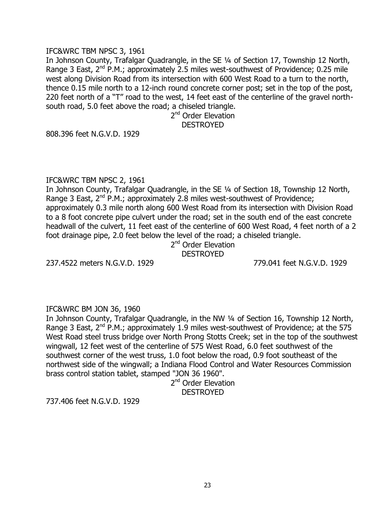### IFC&WRC TBM NPSC 3, 1961

In Johnson County, Trafalgar Quadrangle, in the SE ¼ of Section 17, Township 12 North, Range 3 East,  $2^{nd}$  P.M.; approximately 2.5 miles west-southwest of Providence; 0.25 mile west along Division Road from its intersection with 600 West Road to a turn to the north, thence 0.15 mile north to a 12-inch round concrete corner post; set in the top of the post, 220 feet north of a "T" road to the west, 14 feet east of the centerline of the gravel northsouth road, 5.0 feet above the road; a chiseled triangle.

2<sup>nd</sup> Order Elevation DESTROYED

808.396 feet N.G.V.D. 1929

#### IFC&WRC TBM NPSC 2, 1961

In Johnson County, Trafalgar Quadrangle, in the SE ¼ of Section 18, Township 12 North, Range 3 East,  $2^{nd}$  P.M.; approximately 2.8 miles west-southwest of Providence; approximately 0.3 mile north along 600 West Road from its intersection with Division Road to a 8 foot concrete pipe culvert under the road; set in the south end of the east concrete headwall of the culvert, 11 feet east of the centerline of 600 West Road, 4 feet north of a 2 foot drainage pipe, 2.0 feet below the level of the road; a chiseled triangle.

## 2<sup>nd</sup> Order Elevation **DESTROYED**

237.4522 meters N.G.V.D. 1929 779.041 feet N.G.V.D. 1929

# IFC&WRC BM JON 36, 1960

In Johnson County, Trafalgar Quadrangle, in the NW 1/4 of Section 16, Township 12 North, Range 3 East,  $2^{nd}$  P.M.; approximately 1.9 miles west-southwest of Providence; at the 575 West Road steel truss bridge over North Prong Stotts Creek; set in the top of the southwest wingwall, 12 feet west of the centerline of 575 West Road, 6.0 feet southwest of the southwest corner of the west truss, 1.0 foot below the road, 0.9 foot southeast of the northwest side of the wingwall; a Indiana Flood Control and Water Resources Commission brass control station tablet, stamped "JON 36 1960".

2<sup>nd</sup> Order Elevation **DESTROYED** 

737.406 feet N.G.V.D. 1929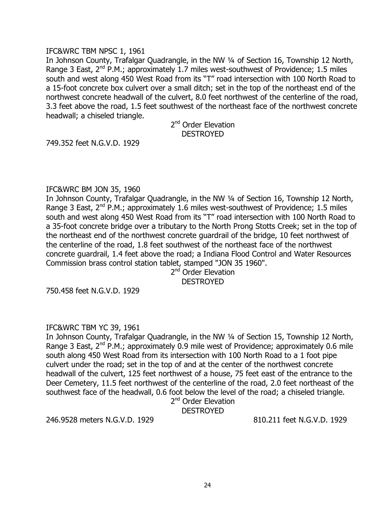## IFC&WRC TBM NPSC 1, 1961

In Johnson County, Trafalgar Quadrangle, in the NW 1/4 of Section 16, Township 12 North, Range 3 East,  $2^{nd}$  P.M.; approximately 1.7 miles west-southwest of Providence; 1.5 miles south and west along 450 West Road from its "T" road intersection with 100 North Road to a 15-foot concrete box culvert over a small ditch; set in the top of the northeast end of the northwest concrete headwall of the culvert, 8.0 feet northwest of the centerline of the road, 3.3 feet above the road, 1.5 feet southwest of the northeast face of the northwest concrete headwall; a chiseled triangle.

> 2<sup>nd</sup> Order Elevation DESTROYED

749.352 feet N.G.V.D. 1929

## IFC&WRC BM JON 35, 1960

In Johnson County, Trafalgar Quadrangle, in the NW ¼ of Section 16, Township 12 North, Range 3 East,  $2^{nd}$  P.M.; approximately 1.6 miles west-southwest of Providence; 1.5 miles south and west along 450 West Road from its "T" road intersection with 100 North Road to a 35-foot concrete bridge over a tributary to the North Prong Stotts Creek; set in the top of the northeast end of the northwest concrete guardrail of the bridge, 10 feet northwest of the centerline of the road, 1.8 feet southwest of the northeast face of the northwest concrete guardrail, 1.4 feet above the road; a Indiana Flood Control and Water Resources Commission brass control station tablet, stamped "JON 35 1960".

2<sup>nd</sup> Order Elevation DESTROYED

750.458 feet N.G.V.D. 1929

# IFC&WRC TBM YC 39, 1961

In Johnson County, Trafalgar Quadrangle, in the NW 1/4 of Section 15, Township 12 North, Range 3 East,  $2^{nd}$  P.M.; approximately 0.9 mile west of Providence; approximately 0.6 mile south along 450 West Road from its intersection with 100 North Road to a 1 foot pipe culvert under the road; set in the top of and at the center of the northwest concrete headwall of the culvert, 125 feet northwest of a house, 75 feet east of the entrance to the Deer Cemetery, 11.5 feet northwest of the centerline of the road, 2.0 feet northeast of the southwest face of the headwall, 0.6 foot below the level of the road; a chiseled triangle.

# 2<sup>nd</sup> Order Elevation

**DESTROYED** 

246.9528 meters N.G.V.D. 1929 810.211 feet N.G.V.D. 1929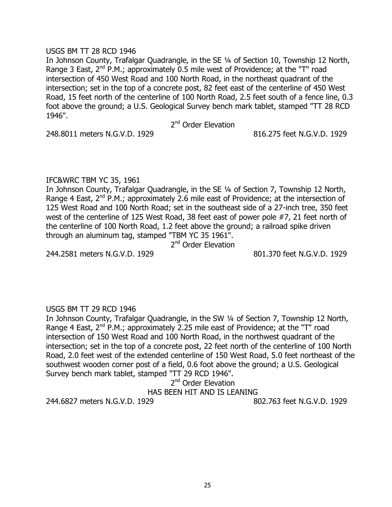### USGS BM TT 28 RCD 1946

In Johnson County, Trafalgar Quadrangle, in the SE ¼ of Section 10, Township 12 North, Range 3 East,  $2^{nd}$  P.M.; approximately 0.5 mile west of Providence; at the "T" road intersection of 450 West Road and 100 North Road, in the northeast quadrant of the intersection; set in the top of a concrete post, 82 feet east of the centerline of 450 West Road, 15 feet north of the centerline of 100 North Road, 2.5 feet south of a fence line, 0.3 foot above the ground; a U.S. Geological Survey bench mark tablet, stamped "TT 28 RCD 1946".

2<sup>nd</sup> Order Elevation

248.8011 meters N.G.V.D. 1929 816.275 feet N.G.V.D. 1929

# IFC&WRC TBM YC 35, 1961

In Johnson County, Trafalgar Quadrangle, in the SE ¼ of Section 7, Township 12 North, Range 4 East,  $2^{nd}$  P.M.; approximately 2.6 mile east of Providence; at the intersection of 125 West Road and 100 North Road; set in the southeast side of a 27-inch tree, 350 feet west of the centerline of 125 West Road, 38 feet east of power pole #7, 21 feet north of the centerline of 100 North Road, 1.2 feet above the ground; a railroad spike driven through an aluminum tag, stamped "TBM YC 35 1961".

2<sup>nd</sup> Order Elevation

244.2581 meters N.G.V.D. 1929 801.370 feet N.G.V.D. 1929

# USGS BM TT 29 RCD 1946

In Johnson County, Trafalgar Quadrangle, in the SW ¼ of Section 7, Township 12 North, Range 4 East,  $2^{nd}$  P.M.; approximately 2.25 mile east of Providence; at the "T" road intersection of 150 West Road and 100 North Road, in the northwest quadrant of the intersection; set in the top of a concrete post, 22 feet north of the centerline of 100 North Road, 2.0 feet west of the extended centerline of 150 West Road, 5.0 feet northeast of the southwest wooden corner post of a field, 0.6 foot above the ground; a U.S. Geological Survey bench mark tablet, stamped "TT 29 RCD 1946".

2<sup>nd</sup> Order Elevation

HAS BEEN HIT AND IS LEANING

244.6827 meters N.G.V.D. 1929 802.763 feet N.G.V.D. 1929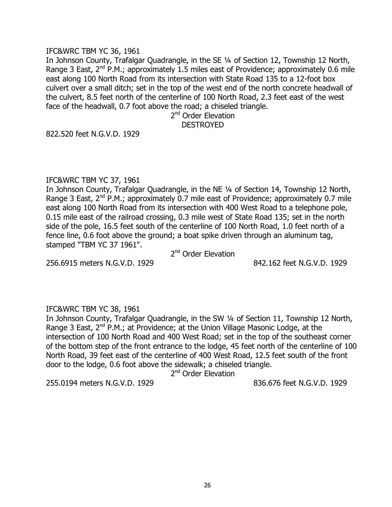#### IFC&WRC TBM YC 36, 1961

In Johnson County, Trafalgar Quadrangle, in the SE ¼ of Section 12, Township 12 North, Range 3 East,  $2^{nd}$  P.M.; approximately 1.5 miles east of Providence; approximately 0.6 mile east along 100 North Road from its intersection with State Road 135 to a 12-foot box culvert over a small ditch; set in the top of the west end of the north concrete headwall of the culvert, 8.5 feet north of the centerline of 100 North Road, 2.3 feet east of the west face of the headwall, 0.7 foot above the road; a chiseled triangle.

2<sup>nd</sup> Order Elevation DESTROYED

822.520 feet N.G.V.D. 1929

#### IFC&WRC TBM YC 37, 1961

In Johnson County, Trafalgar Quadrangle, in the NE ¼ of Section 14, Township 12 North, Range 3 East,  $2^{nd}$  P.M.; approximately 0.7 mile east of Providence; approximately 0.7 mile east along 100 North Road from its intersection with 400 West Road to a telephone pole, 0.15 mile east of the railroad crossing, 0.3 mile west of State Road 135; set in the north side of the pole, 16.5 feet south of the centerline of 100 North Road, 1.0 feet north of a fence line, 0.6 foot above the ground; a boat spike driven through an aluminum tag, stamped "TBM YC 37 1961".

2<sup>nd</sup> Order Elevation

256.6915 meters N.G.V.D. 1929 842.162 feet N.G.V.D. 1929

#### IFC&WRC TBM YC 38, 1961

In Johnson County, Trafalgar Quadrangle, in the SW ¼ of Section 11, Township 12 North, Range 3 East, 2<sup>nd</sup> P.M.; at Providence; at the Union Village Masonic Lodge, at the intersection of 100 North Road and 400 West Road; set in the top of the southeast corner of the bottom step of the front entrance to the lodge, 45 feet north of the centerline of 100 North Road, 39 feet east of the centerline of 400 West Road, 12.5 feet south of the front door to the lodge, 0.6 foot above the sidewalk; a chiseled triangle.

2<sup>nd</sup> Order Elevation

255.0194 meters N.G.V.D. 1929 836.676 feet N.G.V.D. 1929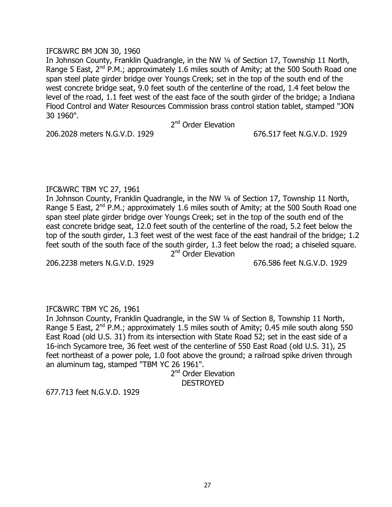## IFC&WRC BM JON 30, 1960

In Johnson County, Franklin Quadrangle, in the NW ¼ of Section 17, Township 11 North, Range 5 East,  $2^{nd}$  P.M.; approximately 1.6 miles south of Amity; at the 500 South Road one span steel plate girder bridge over Youngs Creek; set in the top of the south end of the west concrete bridge seat, 9.0 feet south of the centerline of the road, 1.4 feet below the level of the road, 1.1 feet west of the east face of the south girder of the bridge; a Indiana Flood Control and Water Resources Commission brass control station tablet, stamped "JON 30 1960".

2<sup>nd</sup> Order Elevation

206.2028 meters N.G.V.D. 1929 676.517 feet N.G.V.D. 1929

# IFC&WRC TBM YC 27, 1961

In Johnson County, Franklin Quadrangle, in the NW ¼ of Section 17, Township 11 North, Range 5 East,  $2^{nd}$  P.M.; approximately 1.6 miles south of Amity; at the 500 South Road one span steel plate girder bridge over Youngs Creek; set in the top of the south end of the east concrete bridge seat, 12.0 feet south of the centerline of the road, 5.2 feet below the top of the south girder, 1.3 feet west of the west face of the east handrail of the bridge; 1.2 feet south of the south face of the south girder, 1.3 feet below the road; a chiseled square. 2<sup>nd</sup> Order Elevation

206.2238 meters N.G.V.D. 1929 676.586 feet N.G.V.D. 1929

# IFC&WRC TBM YC 26, 1961

In Johnson County, Franklin Quadrangle, in the SW 1/4 of Section 8, Township 11 North, Range 5 East,  $2^{nd}$  P.M.; approximately 1.5 miles south of Amity; 0.45 mile south along 550 East Road (old U.S. 31) from its intersection with State Road 52; set in the east side of a 16-inch Sycamore tree, 36 feet west of the centerline of 550 East Road (old U.S. 31), 25 feet northeast of a power pole, 1.0 foot above the ground; a railroad spike driven through an aluminum tag, stamped "TBM YC 26 1961".

2<sup>nd</sup> Order Elevation DESTROYED

677.713 feet N.G.V.D. 1929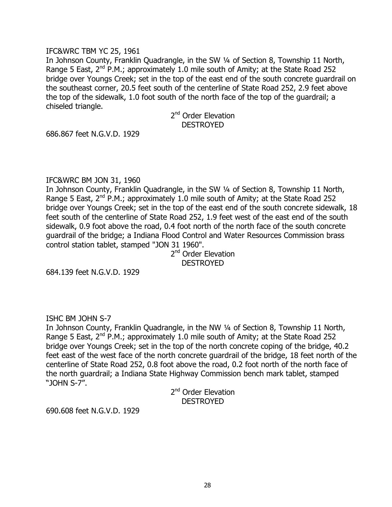#### IFC&WRC TBM YC 25, 1961

In Johnson County, Franklin Quadrangle, in the SW 1/4 of Section 8, Township 11 North, Range 5 East,  $2^{nd}$  P.M.; approximately 1.0 mile south of Amity; at the State Road 252 bridge over Youngs Creek; set in the top of the east end of the south concrete guardrail on the southeast corner, 20.5 feet south of the centerline of State Road 252, 2.9 feet above the top of the sidewalk, 1.0 foot south of the north face of the top of the guardrail; a chiseled triangle.

> 2<sup>nd</sup> Order Elevation DESTROYED

686.867 feet N.G.V.D. 1929

## IFC&WRC BM JON 31, 1960

In Johnson County, Franklin Quadrangle, in the SW 1/4 of Section 8, Township 11 North, Range 5 East,  $2^{nd}$  P.M.; approximately 1.0 mile south of Amity; at the State Road 252 bridge over Youngs Creek; set in the top of the east end of the south concrete sidewalk, 18 feet south of the centerline of State Road 252, 1.9 feet west of the east end of the south sidewalk, 0.9 foot above the road, 0.4 foot north of the north face of the south concrete guardrail of the bridge; a Indiana Flood Control and Water Resources Commission brass control station tablet, stamped "JON 31 1960".

2<sup>nd</sup> Order Elevation **DESTROYED** 

684.139 feet N.G.V.D. 1929

# ISHC BM JOHN S-7

In Johnson County, Franklin Quadrangle, in the NW 1/4 of Section 8, Township 11 North, Range 5 East,  $2^{nd}$  P.M.; approximately 1.0 mile south of Amity; at the State Road 252 bridge over Youngs Creek; set in the top of the north concrete coping of the bridge, 40.2 feet east of the west face of the north concrete guardrail of the bridge, 18 feet north of the centerline of State Road 252, 0.8 foot above the road, 0.2 foot north of the north face of the north guardrail; a Indiana State Highway Commission bench mark tablet, stamped "JOHN S-7".

> 2<sup>nd</sup> Order Elevation DESTROYED

690.608 feet N.G.V.D. 1929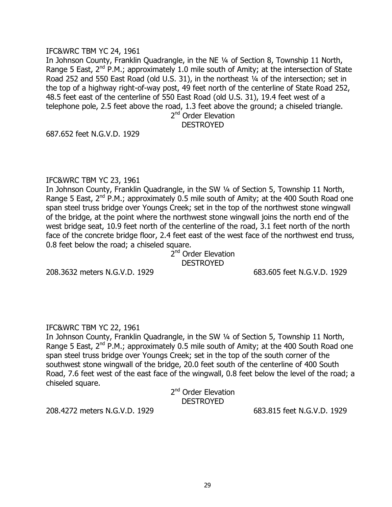### IFC&WRC TBM YC 24, 1961

In Johnson County, Franklin Quadrangle, in the NE ¼ of Section 8, Township 11 North, Range 5 East,  $2^{nd}$  P.M.; approximately 1.0 mile south of Amity; at the intersection of State Road 252 and 550 East Road (old U.S. 31), in the northeast 1/4 of the intersection; set in the top of a highway right-of-way post, 49 feet north of the centerline of State Road 252, 48.5 feet east of the centerline of 550 East Road (old U.S. 31), 19.4 feet west of a telephone pole, 2.5 feet above the road, 1.3 feet above the ground; a chiseled triangle.

2<sup>nd</sup> Order Elevation

# DESTROYED

687.652 feet N.G.V.D. 1929

#### IFC&WRC TBM YC 23, 1961

In Johnson County, Franklin Quadrangle, in the SW 1/4 of Section 5, Township 11 North, Range 5 East,  $2^{nd}$  P.M.; approximately 0.5 mile south of Amity; at the 400 South Road one span steel truss bridge over Youngs Creek; set in the top of the northwest stone wingwall of the bridge, at the point where the northwest stone wingwall joins the north end of the west bridge seat, 10.9 feet north of the centerline of the road, 3.1 feet north of the north face of the concrete bridge floor, 2.4 feet east of the west face of the northwest end truss, 0.8 feet below the road; a chiseled square.

> 2<sup>nd</sup> Order Elevation **DESTROYED**

208.3632 meters N.G.V.D. 1929 683.605 feet N.G.V.D. 1929

#### IFC&WRC TBM YC 22, 1961

In Johnson County, Franklin Quadrangle, in the SW ¼ of Section 5, Township 11 North, Range 5 East,  $2^{nd}$  P.M.; approximately 0.5 mile south of Amity; at the 400 South Road one span steel truss bridge over Youngs Creek; set in the top of the south corner of the southwest stone wingwall of the bridge, 20.0 feet south of the centerline of 400 South Road, 7.6 feet west of the east face of the wingwall, 0.8 feet below the level of the road; a chiseled square.

> 2<sup>nd</sup> Order Elevation DESTROYED

208.4272 meters N.G.V.D. 1929 683.815 feet N.G.V.D. 1929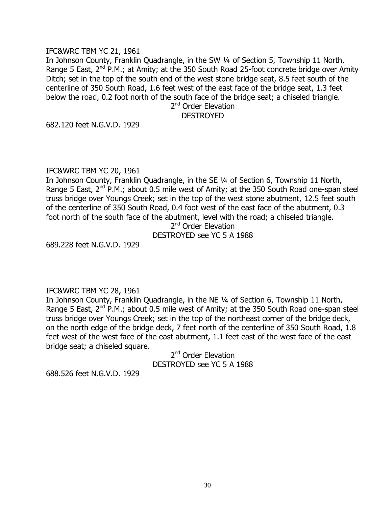## IFC&WRC TBM YC 21, 1961

In Johnson County, Franklin Quadrangle, in the SW 1/4 of Section 5, Township 11 North, Range 5 East, 2<sup>nd</sup> P.M.; at Amity; at the 350 South Road 25-foot concrete bridge over Amity Ditch; set in the top of the south end of the west stone bridge seat, 8.5 feet south of the centerline of 350 South Road, 1.6 feet west of the east face of the bridge seat, 1.3 feet below the road, 0.2 foot north of the south face of the bridge seat; a chiseled triangle.

2<sup>nd</sup> Order Elevation **DESTROYED** 

682.120 feet N.G.V.D. 1929

#### IFC&WRC TBM YC 20, 1961

In Johnson County, Franklin Quadrangle, in the SE ¼ of Section 6, Township 11 North, Range 5 East,  $2^{nd}$  P.M.; about 0.5 mile west of Amity; at the 350 South Road one-span steel truss bridge over Youngs Creek; set in the top of the west stone abutment, 12.5 feet south of the centerline of 350 South Road, 0.4 foot west of the east face of the abutment, 0.3 foot north of the south face of the abutment, level with the road; a chiseled triangle.

2<sup>nd</sup> Order Elevation DESTROYED see YC 5 A 1988

689.228 feet N.G.V.D. 1929

# IFC&WRC TBM YC 28, 1961

In Johnson County, Franklin Quadrangle, in the NE ¼ of Section 6, Township 11 North, Range 5 East,  $2^{nd}$  P.M.; about 0.5 mile west of Amity; at the 350 South Road one-span steel truss bridge over Youngs Creek; set in the top of the northeast corner of the bridge deck, on the north edge of the bridge deck, 7 feet north of the centerline of 350 South Road, 1.8 feet west of the west face of the east abutment, 1.1 feet east of the west face of the east bridge seat; a chiseled square.

> 2<sup>nd</sup> Order Elevation DESTROYED see YC 5 A 1988

688.526 feet N.G.V.D. 1929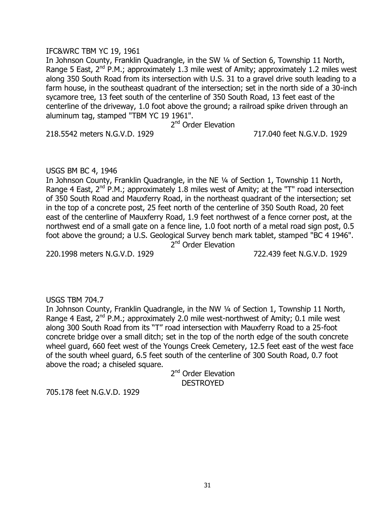## IFC&WRC TBM YC 19, 1961

In Johnson County, Franklin Quadrangle, in the SW ¼ of Section 6, Township 11 North, Range 5 East,  $2^{nd}$  P.M.; approximately 1.3 mile west of Amity; approximately 1.2 miles west along 350 South Road from its intersection with U.S. 31 to a gravel drive south leading to a farm house, in the southeast quadrant of the intersection; set in the north side of a 30-inch sycamore tree, 13 feet south of the centerline of 350 South Road, 13 feet east of the centerline of the driveway, 1.0 foot above the ground; a railroad spike driven through an aluminum tag, stamped "TBM YC 19 1961".

2<sup>nd</sup> Order Elevation

218.5542 meters N.G.V.D. 1929 717.040 feet N.G.V.D. 1929

# USGS BM BC 4, 1946

In Johnson County, Franklin Quadrangle, in the NE ¼ of Section 1, Township 11 North, Range 4 East,  $2^{nd}$  P.M.; approximately 1.8 miles west of Amity; at the "T" road intersection of 350 South Road and Mauxferry Road, in the northeast quadrant of the intersection; set in the top of a concrete post, 25 feet north of the centerline of 350 South Road, 20 feet east of the centerline of Mauxferry Road, 1.9 feet northwest of a fence corner post, at the northwest end of a small gate on a fence line, 1.0 foot north of a metal road sign post, 0.5 foot above the ground; a U.S. Geological Survey bench mark tablet, stamped "BC 4 1946". 2<sup>nd</sup> Order Elevation

220.1998 meters N.G.V.D. 1929 722.439 feet N.G.V.D. 1929

# USGS TBM 704.7

In Johnson County, Franklin Quadrangle, in the NW 1/4 of Section 1, Township 11 North, Range 4 East,  $2^{nd}$  P.M.; approximately 2.0 mile west-northwest of Amity; 0.1 mile west along 300 South Road from its "T" road intersection with Mauxferry Road to a 25-foot concrete bridge over a small ditch; set in the top of the north edge of the south concrete wheel guard, 660 feet west of the Youngs Creek Cemetery, 12.5 feet east of the west face of the south wheel guard, 6.5 feet south of the centerline of 300 South Road, 0.7 foot above the road; a chiseled square.

> 2<sup>nd</sup> Order Elevation DESTROYED

705.178 feet N.G.V.D. 1929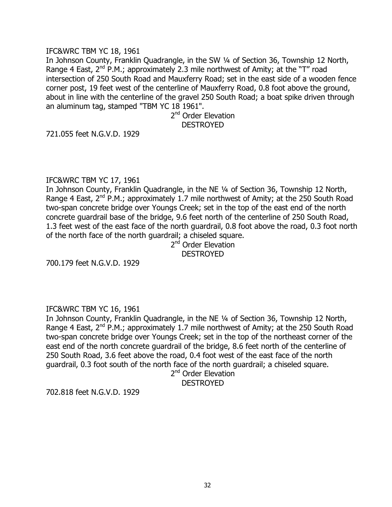### IFC&WRC TBM YC 18, 1961

In Johnson County, Franklin Quadrangle, in the SW ¼ of Section 36, Township 12 North, Range 4 East,  $2^{nd}$  P.M.; approximately 2.3 mile northwest of Amity; at the "T" road intersection of 250 South Road and Mauxferry Road; set in the east side of a wooden fence corner post, 19 feet west of the centerline of Mauxferry Road, 0.8 foot above the ground, about in line with the centerline of the gravel 250 South Road; a boat spike driven through an aluminum tag, stamped "TBM YC 18 1961".

> 2<sup>nd</sup> Order Elevation DESTROYED

721.055 feet N.G.V.D. 1929

## IFC&WRC TBM YC 17, 1961

In Johnson County, Franklin Quadrangle, in the NE ¼ of Section 36, Township 12 North, Range 4 East,  $2^{nd}$  P.M.; approximately 1.7 mile northwest of Amity; at the 250 South Road two-span concrete bridge over Youngs Creek; set in the top of the east end of the north concrete guardrail base of the bridge, 9.6 feet north of the centerline of 250 South Road, 1.3 feet west of the east face of the north guardrail, 0.8 foot above the road, 0.3 foot north of the north face of the north guardrail; a chiseled square.

2<sup>nd</sup> Order Elevation DESTROYED

700.179 feet N.G.V.D. 1929

# IFC&WRC TBM YC 16, 1961

In Johnson County, Franklin Quadrangle, in the NE ¼ of Section 36, Township 12 North, Range 4 East,  $2^{nd}$  P.M.; approximately 1.7 mile northwest of Amity; at the 250 South Road two-span concrete bridge over Youngs Creek; set in the top of the northeast corner of the east end of the north concrete guardrail of the bridge, 8.6 feet north of the centerline of 250 South Road, 3.6 feet above the road, 0.4 foot west of the east face of the north guardrail, 0.3 foot south of the north face of the north guardrail; a chiseled square.

2<sup>nd</sup> Order Elevation DESTROYED

702.818 feet N.G.V.D. 1929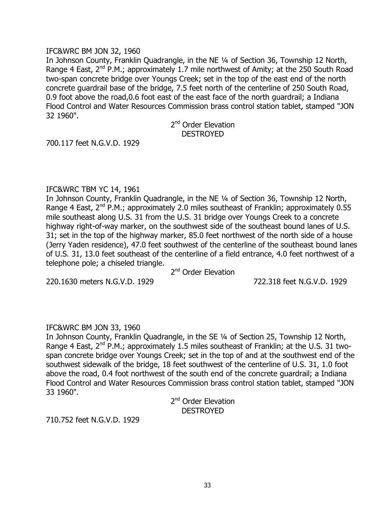### IFC&WRC BM JON 32, 1960

In Johnson County, Franklin Quadrangle, in the NE ¼ of Section 36, Township 12 North, Range 4 East,  $2^{nd}$  P.M.; approximately 1.7 mile northwest of Amity; at the 250 South Road two-span concrete bridge over Youngs Creek; set in the top of the east end of the north concrete guardrail base of the bridge, 7.5 feet north of the centerline of 250 South Road, 0.9 foot above the road,0.6 foot east of the east face of the north guardrail; a Indiana Flood Control and Water Resources Commission brass control station tablet, stamped "JON 32 1960".

> 2<sup>nd</sup> Order Elevation DESTROYED

700.117 feet N.G.V.D. 1929

## IFC&WRC TBM YC 14, 1961

In Johnson County, Franklin Quadrangle, in the NE ¼ of Section 36, Township 12 North, Range 4 East,  $2^{nd}$  P.M.; approximately 2.0 miles southeast of Franklin; approximately 0.55 mile southeast along U.S. 31 from the U.S. 31 bridge over Youngs Creek to a concrete highway right-of-way marker, on the southwest side of the southeast bound lanes of U.S. 31; set in the top of the highway marker, 85.0 feet northwest of the north side of a house (Jerry Yaden residence), 47.0 feet southwest of the centerline of the southeast bound lanes of U.S. 31, 13.0 feet southeast of the centerline of a field entrance, 4.0 feet northwest of a telephone pole; a chiseled triangle.

2<sup>nd</sup> Order Elevation

220.1630 meters N.G.V.D. 1929 722.318 feet N.G.V.D. 1929

# IFC&WRC BM JON 33, 1960

In Johnson County, Franklin Quadrangle, in the SE ¼ of Section 25, Township 12 North, Range 4 East,  $2^{nd}$  P.M.; approximately 1.5 miles southeast of Franklin; at the U.S. 31 twospan concrete bridge over Youngs Creek; set in the top of and at the southwest end of the southwest sidewalk of the bridge, 18 feet southwest of the centerline of U.S. 31, 1.0 foot above the road, 0.4 foot northwest of the south end of the concrete guardrail; a Indiana Flood Control and Water Resources Commission brass control station tablet, stamped "JON 33 1960".

> 2<sup>nd</sup> Order Elevation **DESTROYED**

710.752 feet N.G.V.D. 1929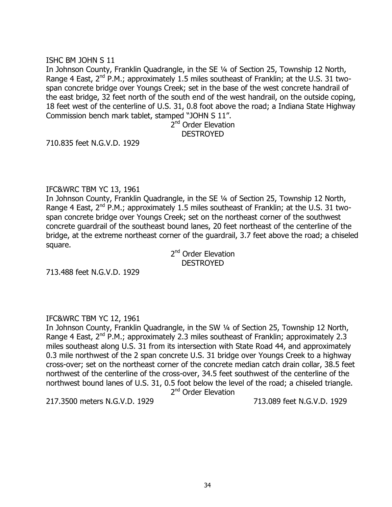## ISHC BM JOHN S 11

In Johnson County, Franklin Quadrangle, in the SE ¼ of Section 25, Township 12 North, Range 4 East,  $2^{nd}$  P.M.; approximately 1.5 miles southeast of Franklin; at the U.S. 31 twospan concrete bridge over Youngs Creek; set in the base of the west concrete handrail of the east bridge, 32 feet north of the south end of the west handrail, on the outside coping, 18 feet west of the centerline of U.S. 31, 0.8 foot above the road; a Indiana State Highway Commission bench mark tablet, stamped "JOHN S 11".

> 2<sup>nd</sup> Order Elevation DESTROYED

710.835 feet N.G.V.D. 1929

## IFC&WRC TBM YC 13, 1961

In Johnson County, Franklin Quadrangle, in the SE ¼ of Section 25, Township 12 North, Range 4 East,  $2^{nd}$  P.M.; approximately 1.5 miles southeast of Franklin; at the U.S. 31 twospan concrete bridge over Youngs Creek; set on the northeast corner of the southwest concrete guardrail of the southeast bound lanes, 20 feet northeast of the centerline of the bridge, at the extreme northeast corner of the guardrail, 3.7 feet above the road; a chiseled square.

> 2<sup>nd</sup> Order Elevation DESTROYED

713.488 feet N.G.V.D. 1929

# IFC&WRC TBM YC 12, 1961

In Johnson County, Franklin Quadrangle, in the SW ¼ of Section 25, Township 12 North, Range 4 East,  $2^{nd}$  P.M.; approximately 2.3 miles southeast of Franklin; approximately 2.3 miles southeast along U.S. 31 from its intersection with State Road 44, and approximately 0.3 mile northwest of the 2 span concrete U.S. 31 bridge over Youngs Creek to a highway cross-over; set on the northeast corner of the concrete median catch drain collar, 38.5 feet northwest of the centerline of the cross-over, 34.5 feet southwest of the centerline of the northwest bound lanes of U.S. 31, 0.5 foot below the level of the road; a chiseled triangle.

2<sup>nd</sup> Order Elevation

217.3500 meters N.G.V.D. 1929 713.089 feet N.G.V.D. 1929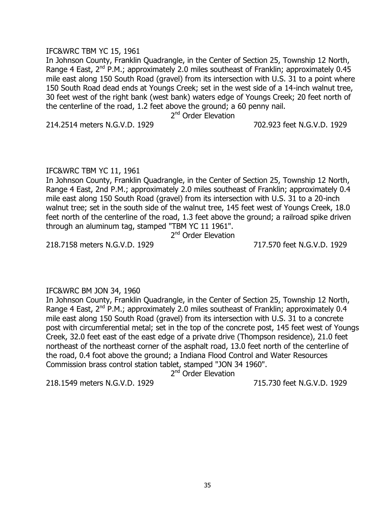## IFC&WRC TBM YC 15, 1961

In Johnson County, Franklin Quadrangle, in the Center of Section 25, Township 12 North, Range 4 East,  $2^{nd}$  P.M.; approximately 2.0 miles southeast of Franklin; approximately 0.45 mile east along 150 South Road (gravel) from its intersection with U.S. 31 to a point where 150 South Road dead ends at Youngs Creek; set in the west side of a 14-inch walnut tree, 30 feet west of the right bank (west bank) waters edge of Youngs Creek; 20 feet north of the centerline of the road, 1.2 feet above the ground; a 60 penny nail.

2<sup>nd</sup> Order Elevation

214.2514 meters N.G.V.D. 1929 702.923 feet N.G.V.D. 1929

## IFC&WRC TBM YC 11, 1961

In Johnson County, Franklin Quadrangle, in the Center of Section 25, Township 12 North, Range 4 East, 2nd P.M.; approximately 2.0 miles southeast of Franklin; approximately 0.4 mile east along 150 South Road (gravel) from its intersection with U.S. 31 to a 20-inch walnut tree; set in the south side of the walnut tree, 145 feet west of Youngs Creek, 18.0 feet north of the centerline of the road, 1.3 feet above the ground; a railroad spike driven through an aluminum tag, stamped "TBM YC 11 1961".

2<sup>nd</sup> Order Elevation

218.7158 meters N.G.V.D. 1929 717.570 feet N.G.V.D. 1929

# IFC&WRC BM JON 34, 1960

In Johnson County, Franklin Quadrangle, in the Center of Section 25, Township 12 North, Range 4 East,  $2^{nd}$  P.M.; approximately 2.0 miles southeast of Franklin; approximately 0.4 mile east along 150 South Road (gravel) from its intersection with U.S. 31 to a concrete post with circumferential metal; set in the top of the concrete post, 145 feet west of Youngs Creek, 32.0 feet east of the east edge of a private drive (Thompson residence), 21.0 feet northeast of the northeast corner of the asphalt road, 13.0 feet north of the centerline of the road, 0.4 foot above the ground; a Indiana Flood Control and Water Resources Commission brass control station tablet, stamped "JON 34 1960".

2<sup>nd</sup> Order Elevation

218.1549 meters N.G.V.D. 1929 715.730 feet N.G.V.D. 1929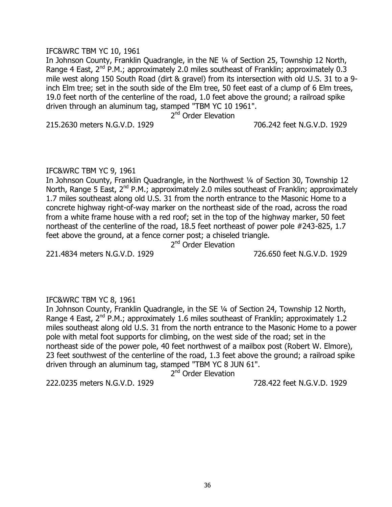## IFC&WRC TBM YC 10, 1961

In Johnson County, Franklin Quadrangle, in the NE ¼ of Section 25, Township 12 North, Range 4 East,  $2^{nd}$  P.M.; approximately 2.0 miles southeast of Franklin; approximately 0.3 mile west along 150 South Road (dirt & gravel) from its intersection with old U.S. 31 to a 9 inch Elm tree; set in the south side of the Elm tree, 50 feet east of a clump of 6 Elm trees, 19.0 feet north of the centerline of the road, 1.0 feet above the ground; a railroad spike driven through an aluminum tag, stamped "TBM YC 10 1961".

2<sup>nd</sup> Order Elevation

215.2630 meters N.G.V.D. 1929 706.242 feet N.G.V.D. 1929

## IFC&WRC TBM YC 9, 1961

In Johnson County, Franklin Quadrangle, in the Northwest ¼ of Section 30, Township 12 North, Range 5 East,  $2^{nd}$  P.M.; approximately 2.0 miles southeast of Franklin; approximately 1.7 miles southeast along old U.S. 31 from the north entrance to the Masonic Home to a concrete highway right-of-way marker on the northeast side of the road, across the road from a white frame house with a red roof; set in the top of the highway marker, 50 feet northeast of the centerline of the road, 18.5 feet northeast of power pole #243-825, 1.7 feet above the ground, at a fence corner post; a chiseled triangle.

2<sup>nd</sup> Order Elevation

221.4834 meters N.G.V.D. 1929 726.650 feet N.G.V.D. 1929

# IFC&WRC TBM YC 8, 1961

In Johnson County, Franklin Quadrangle, in the SE ¼ of Section 24, Township 12 North, Range 4 East,  $2^{nd}$  P.M.; approximately 1.6 miles southeast of Franklin; approximately 1.2 miles southeast along old U.S. 31 from the north entrance to the Masonic Home to a power pole with metal foot supports for climbing, on the west side of the road; set in the northeast side of the power pole, 40 feet northwest of a mailbox post (Robert W. Elmore), 23 feet southwest of the centerline of the road, 1.3 feet above the ground; a railroad spike driven through an aluminum tag, stamped "TBM YC 8 JUN 61".

2<sup>nd</sup> Order Elevation

222.0235 meters N.G.V.D. 1929 728.422 feet N.G.V.D. 1929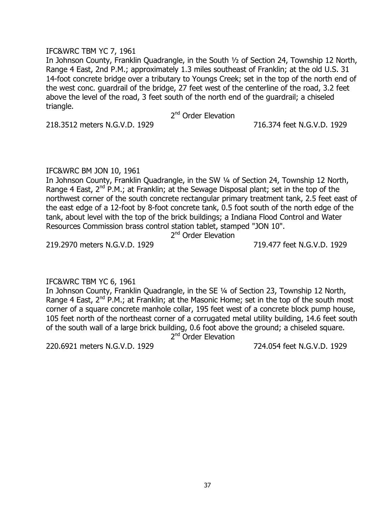### IFC&WRC TBM YC 7, 1961

In Johnson County, Franklin Quadrangle, in the South ½ of Section 24, Township 12 North, Range 4 East, 2nd P.M.; approximately 1.3 miles southeast of Franklin; at the old U.S. 31 14-foot concrete bridge over a tributary to Youngs Creek; set in the top of the north end of the west conc. guardrail of the bridge, 27 feet west of the centerline of the road, 3.2 feet above the level of the road, 3 feet south of the north end of the guardrail; a chiseled triangle.

2<sup>nd</sup> Order Elevation

218.3512 meters N.G.V.D. 1929 716.374 feet N.G.V.D. 1929

### IFC&WRC BM JON 10, 1961

In Johnson County, Franklin Quadrangle, in the SW ¼ of Section 24, Township 12 North, Range 4 East,  $2^{nd}$  P.M.; at Franklin; at the Sewage Disposal plant; set in the top of the northwest corner of the south concrete rectangular primary treatment tank, 2.5 feet east of the east edge of a 12-foot by 8-foot concrete tank, 0.5 foot south of the north edge of the tank, about level with the top of the brick buildings; a Indiana Flood Control and Water Resources Commission brass control station tablet, stamped "JON 10".

2<sup>nd</sup> Order Elevation

219.2970 meters N.G.V.D. 1929 719.477 feet N.G.V.D. 1929

### IFC&WRC TBM YC 6, 1961

In Johnson County, Franklin Quadrangle, in the SE ¼ of Section 23, Township 12 North, Range 4 East,  $2^{nd}$  P.M.; at Franklin; at the Masonic Home; set in the top of the south most corner of a square concrete manhole collar, 195 feet west of a concrete block pump house, 105 feet north of the northeast corner of a corrugated metal utility building, 14.6 feet south of the south wall of a large brick building, 0.6 foot above the ground; a chiseled square. 2<sup>nd</sup> Order Elevation

220.6921 meters N.G.V.D. 1929 724.054 feet N.G.V.D. 1929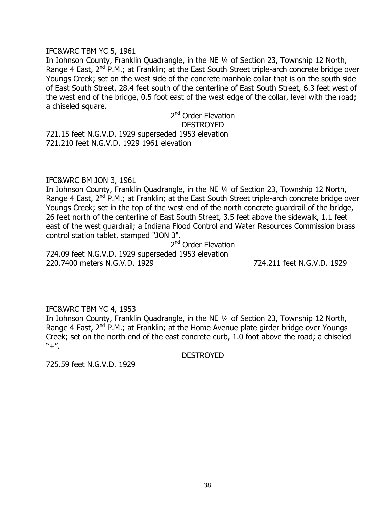#### IFC&WRC TBM YC 5, 1961

In Johnson County, Franklin Quadrangle, in the NE ¼ of Section 23, Township 12 North, Range 4 East, 2<sup>nd</sup> P.M.; at Franklin; at the East South Street triple-arch concrete bridge over Youngs Creek; set on the west side of the concrete manhole collar that is on the south side of East South Street, 28.4 feet south of the centerline of East South Street, 6.3 feet west of the west end of the bridge, 0.5 foot east of the west edge of the collar, level with the road; a chiseled square.

# 2<sup>nd</sup> Order Elevation DESTROYED

721.15 feet N.G.V.D. 1929 superseded 1953 elevation 721.210 feet N.G.V.D. 1929 1961 elevation

### IFC&WRC BM JON 3, 1961

In Johnson County, Franklin Quadrangle, in the NE ¼ of Section 23, Township 12 North, Range 4 East, 2<sup>nd</sup> P.M.; at Franklin; at the East South Street triple-arch concrete bridge over Youngs Creek; set in the top of the west end of the north concrete guardrail of the bridge, 26 feet north of the centerline of East South Street, 3.5 feet above the sidewalk, 1.1 feet east of the west guardrail; a Indiana Flood Control and Water Resources Commission brass control station tablet, stamped "JON 3".

2<sup>nd</sup> Order Elevation 724.09 feet N.G.V.D. 1929 superseded 1953 elevation 220.7400 meters N.G.V.D. 1929 724.211 feet N.G.V.D. 1929

### IFC&WRC TBM YC 4, 1953

In Johnson County, Franklin Quadrangle, in the NE ¼ of Section 23, Township 12 North, Range 4 East,  $2^{nd}$  P.M.; at Franklin; at the Home Avenue plate girder bridge over Youngs Creek; set on the north end of the east concrete curb, 1.0 foot above the road; a chiseled  $"+''.$ 

DESTROYED

725.59 feet N.G.V.D. 1929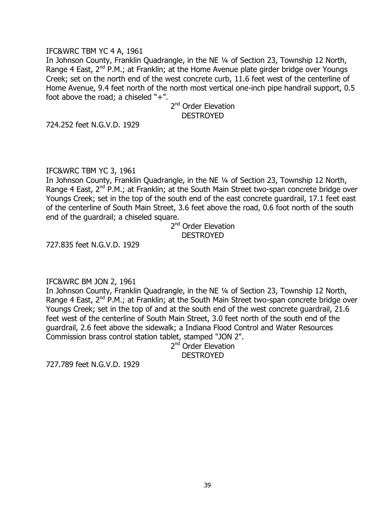### IFC&WRC TBM YC 4 A, 1961

In Johnson County, Franklin Quadrangle, in the NE ¼ of Section 23, Township 12 North, Range 4 East,  $2^{nd}$  P.M.; at Franklin; at the Home Avenue plate girder bridge over Youngs Creek; set on the north end of the west concrete curb, 11.6 feet west of the centerline of Home Avenue, 9.4 feet north of the north most vertical one-inch pipe handrail support, 0.5 foot above the road; a chiseled " $+$ ".

> 2<sup>nd</sup> Order Elevation DESTROYED

724.252 feet N.G.V.D. 1929

### IFC&WRC TBM YC 3, 1961

In Johnson County, Franklin Quadrangle, in the NE ¼ of Section 23, Township 12 North, Range 4 East,  $2^{nd}$  P.M.; at Franklin; at the South Main Street two-span concrete bridge over Youngs Creek; set in the top of the south end of the east concrete guardrail, 17.1 feet east of the centerline of South Main Street, 3.6 feet above the road, 0.6 foot north of the south end of the guardrail; a chiseled square.

2<sup>nd</sup> Order Elevation DESTROYED

727.835 feet N.G.V.D. 1929

### IFC&WRC BM JON 2, 1961

In Johnson County, Franklin Quadrangle, in the NE ¼ of Section 23, Township 12 North, Range 4 East,  $2^{nd}$  P.M.; at Franklin; at the South Main Street two-span concrete bridge over Youngs Creek; set in the top of and at the south end of the west concrete guardrail, 21.6 feet west of the centerline of South Main Street, 3.0 feet north of the south end of the guardrail, 2.6 feet above the sidewalk; a Indiana Flood Control and Water Resources Commission brass control station tablet, stamped "JON 2".

2<sup>nd</sup> Order Elevation DESTROYED

727.789 feet N.G.V.D. 1929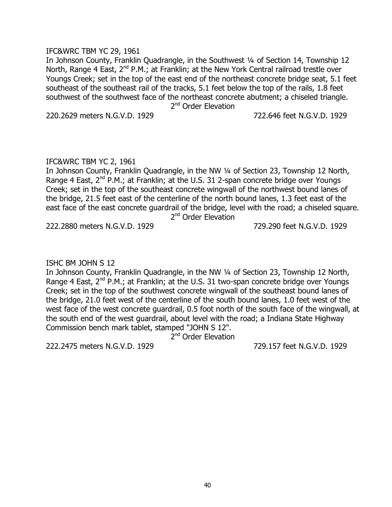### IFC&WRC TBM YC 29, 1961

In Johnson County, Franklin Quadrangle, in the Southwest ¼ of Section 14, Township 12 North, Range 4 East, 2<sup>nd</sup> P.M.; at Franklin; at the New York Central railroad trestle over Youngs Creek; set in the top of the east end of the northeast concrete bridge seat, 5.1 feet southeast of the southeast rail of the tracks, 5.1 feet below the top of the rails, 1.8 feet southwest of the southwest face of the northeast concrete abutment; a chiseled triangle. 2<sup>nd</sup> Order Elevation

220.2629 meters N.G.V.D. 1929 722.646 feet N.G.V.D. 1929

### IFC&WRC TBM YC 2, 1961

In Johnson County, Franklin Quadrangle, in the NW ¼ of Section 23, Township 12 North, Range 4 East,  $2^{nd}$  P.M.; at Franklin; at the U.S. 31 2-span concrete bridge over Youngs Creek; set in the top of the southeast concrete wingwall of the northwest bound lanes of the bridge, 21.5 feet east of the centerline of the north bound lanes, 1.3 feet east of the east face of the east concrete guardrail of the bridge, level with the road; a chiseled square. 2<sup>nd</sup> Order Elevation

222.2880 meters N.G.V.D. 1929 729.290 feet N.G.V.D. 1929

### ISHC BM JOHN S 12

In Johnson County, Franklin Quadrangle, in the NW ¼ of Section 23, Township 12 North, Range 4 East,  $2^{nd}$  P.M.; at Franklin; at the U.S. 31 two-span concrete bridge over Youngs Creek; set in the top of the southwest concrete wingwall of the southeast bound lanes of the bridge, 21.0 feet west of the centerline of the south bound lanes, 1.0 feet west of the west face of the west concrete guardrail, 0.5 foot north of the south face of the wingwall, at the south end of the west guardrail, about level with the road; a Indiana State Highway Commission bench mark tablet, stamped "JOHN S 12".

2<sup>nd</sup> Order Elevation

222.2475 meters N.G.V.D. 1929 729.157 feet N.G.V.D. 1929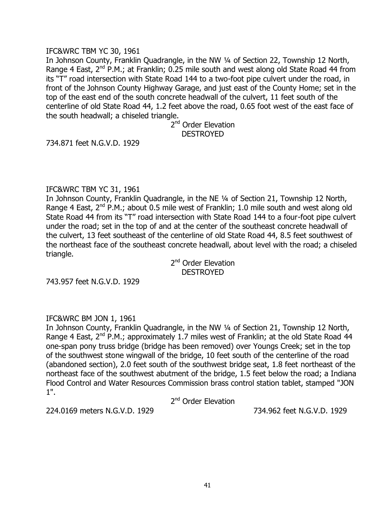### IFC&WRC TBM YC 30, 1961

In Johnson County, Franklin Quadrangle, in the NW ¼ of Section 22, Township 12 North, Range 4 East,  $2^{nd}$  P.M.; at Franklin; 0.25 mile south and west along old State Road 44 from its "T" road intersection with State Road 144 to a two-foot pipe culvert under the road, in front of the Johnson County Highway Garage, and just east of the County Home; set in the top of the east end of the south concrete headwall of the culvert, 11 feet south of the centerline of old State Road 44, 1.2 feet above the road, 0.65 foot west of the east face of the south headwall; a chiseled triangle.

> 2<sup>nd</sup> Order Elevation DESTROYED

734.871 feet N.G.V.D. 1929

### IFC&WRC TBM YC 31, 1961

In Johnson County, Franklin Quadrangle, in the NE ¼ of Section 21, Township 12 North, Range 4 East, 2<sup>nd</sup> P.M.; about 0.5 mile west of Franklin; 1.0 mile south and west along old State Road 44 from its "T" road intersection with State Road 144 to a four-foot pipe culvert under the road; set in the top of and at the center of the southeast concrete headwall of the culvert, 13 feet southeast of the centerline of old State Road 44, 8.5 feet southwest of the northeast face of the southeast concrete headwall, about level with the road; a chiseled triangle.

> 2<sup>nd</sup> Order Elevation **DESTROYED**

743.957 feet N.G.V.D. 1929

### IFC&WRC BM JON 1, 1961

In Johnson County, Franklin Quadrangle, in the NW ¼ of Section 21, Township 12 North, Range 4 East,  $2^{nd}$  P.M.; approximately 1.7 miles west of Franklin; at the old State Road 44 one-span pony truss bridge (bridge has been removed) over Youngs Creek; set in the top of the southwest stone wingwall of the bridge, 10 feet south of the centerline of the road (abandoned section), 2.0 feet south of the southwest bridge seat, 1.8 feet northeast of the northeast face of the southwest abutment of the bridge, 1.5 feet below the road; a Indiana Flood Control and Water Resources Commission brass control station tablet, stamped "JON 1".

2<sup>nd</sup> Order Elevation

224.0169 meters N.G.V.D. 1929 734.962 feet N.G.V.D. 1929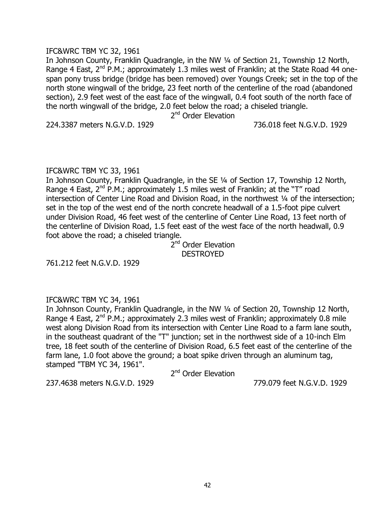### IFC&WRC TBM YC 32, 1961

In Johnson County, Franklin Quadrangle, in the NW ¼ of Section 21, Township 12 North, Range 4 East,  $2^{nd}$  P.M.; approximately 1.3 miles west of Franklin; at the State Road 44 onespan pony truss bridge (bridge has been removed) over Youngs Creek; set in the top of the north stone wingwall of the bridge, 23 feet north of the centerline of the road (abandoned section), 2.9 feet west of the east face of the wingwall, 0.4 foot south of the north face of the north wingwall of the bridge, 2.0 feet below the road; a chiseled triangle.

2<sup>nd</sup> Order Elevation

224.3387 meters N.G.V.D. 1929 736.018 feet N.G.V.D. 1929

### IFC&WRC TBM YC 33, 1961

In Johnson County, Franklin Ouadrangle, in the SE 1/4 of Section 17, Township 12 North, Range 4 East,  $2^{nd}$  P.M.; approximately 1.5 miles west of Franklin; at the "T" road intersection of Center Line Road and Division Road, in the northwest 1/4 of the intersection; set in the top of the west end of the north concrete headwall of a 1.5-foot pipe culvert under Division Road, 46 feet west of the centerline of Center Line Road, 13 feet north of the centerline of Division Road, 1.5 feet east of the west face of the north headwall, 0.9 foot above the road; a chiseled triangle.

2<sup>nd</sup> Order Elevation **DESTROYED** 

761.212 feet N.G.V.D. 1929

### IFC&WRC TBM YC 34, 1961

In Johnson County, Franklin Quadrangle, in the NW ¼ of Section 20, Township 12 North, Range 4 East,  $2^{nd}$  P.M.; approximately 2.3 miles west of Franklin; approximately 0.8 mile west along Division Road from its intersection with Center Line Road to a farm lane south, in the southeast quadrant of the "T" junction; set in the northwest side of a 10-inch Elm tree, 18 feet south of the centerline of Division Road, 6.5 feet east of the centerline of the farm lane, 1.0 foot above the ground; a boat spike driven through an aluminum tag, stamped "TBM YC 34, 1961".

2<sup>nd</sup> Order Elevation

237.4638 meters N.G.V.D. 1929 779.079 feet N.G.V.D. 1929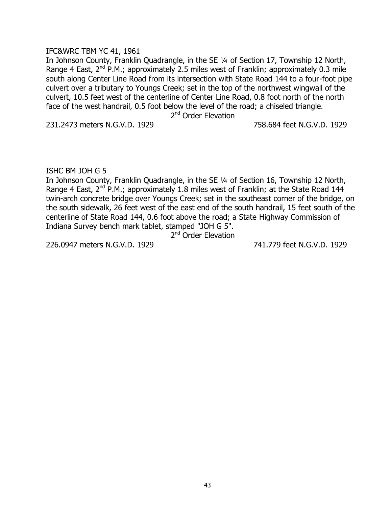### IFC&WRC TBM YC 41, 1961

In Johnson County, Franklin Quadrangle, in the SE ¼ of Section 17, Township 12 North, Range 4 East,  $2^{nd}$  P.M.; approximately 2.5 miles west of Franklin; approximately 0.3 mile south along Center Line Road from its intersection with State Road 144 to a four-foot pipe culvert over a tributary to Youngs Creek; set in the top of the northwest wingwall of the culvert, 10.5 feet west of the centerline of Center Line Road, 0.8 foot north of the north face of the west handrail, 0.5 foot below the level of the road; a chiseled triangle.

2<sup>nd</sup> Order Elevation

231.2473 meters N.G.V.D. 1929 758.684 feet N.G.V.D. 1929

ISHC BM JOH G 5

In Johnson County, Franklin Quadrangle, in the SE ¼ of Section 16, Township 12 North, Range 4 East,  $2^{nd}$  P.M.; approximately 1.8 miles west of Franklin; at the State Road 144 twin-arch concrete bridge over Youngs Creek; set in the southeast corner of the bridge, on the south sidewalk, 26 feet west of the east end of the south handrail, 15 feet south of the centerline of State Road 144, 0.6 foot above the road; a State Highway Commission of Indiana Survey bench mark tablet, stamped "JOH G 5".

2<sup>nd</sup> Order Elevation

226.0947 meters N.G.V.D. 1929 741.779 feet N.G.V.D. 1929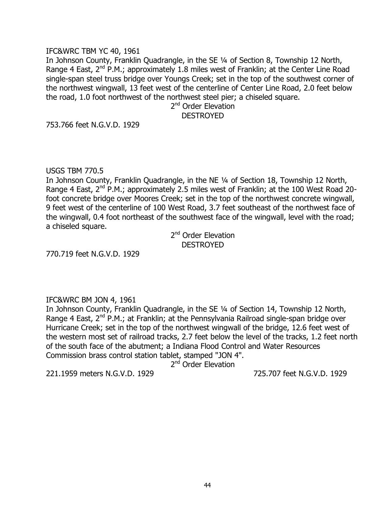### IFC&WRC TBM YC 40, 1961

In Johnson County, Franklin Quadrangle, in the SE ¼ of Section 8, Township 12 North, Range 4 East,  $2^{nd}$  P.M.; approximately 1.8 miles west of Franklin; at the Center Line Road single-span steel truss bridge over Youngs Creek; set in the top of the southwest corner of the northwest wingwall, 13 feet west of the centerline of Center Line Road, 2.0 feet below the road, 1.0 foot northwest of the northwest steel pier; a chiseled square.

2<sup>nd</sup> Order Elevation **DESTROYED** 

753.766 feet N.G.V.D. 1929

USGS TBM 770.5

In Johnson County, Franklin Quadrangle, in the NE ¼ of Section 18, Township 12 North, Range 4 East,  $2^{nd}$  P.M.; approximately 2.5 miles west of Franklin; at the 100 West Road 20foot concrete bridge over Moores Creek; set in the top of the northwest concrete wingwall, 9 feet west of the centerline of 100 West Road, 3.7 feet southeast of the northwest face of the wingwall, 0.4 foot northeast of the southwest face of the wingwall, level with the road; a chiseled square.

2<sup>nd</sup> Order Elevation **DESTROYED** 

770.719 feet N.G.V.D. 1929

### IFC&WRC BM JON 4, 1961

In Johnson County, Franklin Quadrangle, in the SE ¼ of Section 14, Township 12 North, Range 4 East,  $2^{nd}$  P.M.; at Franklin; at the Pennsylvania Railroad single-span bridge over Hurricane Creek; set in the top of the northwest wingwall of the bridge, 12.6 feet west of the western most set of railroad tracks, 2.7 feet below the level of the tracks, 1.2 feet north of the south face of the abutment; a Indiana Flood Control and Water Resources Commission brass control station tablet, stamped "JON 4".

2<sup>nd</sup> Order Elevation

221.1959 meters N.G.V.D. 1929 725.707 feet N.G.V.D. 1929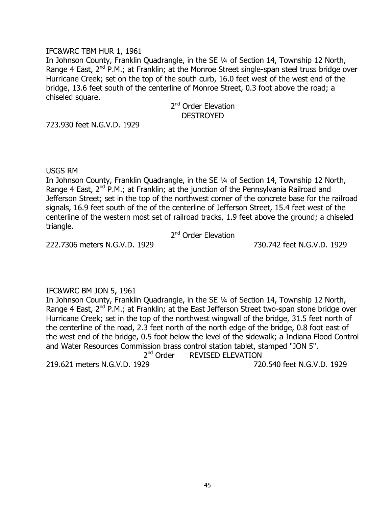### IFC&WRC TBM HUR 1, 1961

In Johnson County, Franklin Quadrangle, in the SE ¼ of Section 14, Township 12 North, Range 4 East, 2<sup>nd</sup> P.M.; at Franklin; at the Monroe Street single-span steel truss bridge over Hurricane Creek; set on the top of the south curb, 16.0 feet west of the west end of the bridge, 13.6 feet south of the centerline of Monroe Street, 0.3 foot above the road; a chiseled square.

> 2<sup>nd</sup> Order Elevation **DESTROYED**

723.930 feet N.G.V.D. 1929

#### USGS RM

In Johnson County, Franklin Quadrangle, in the SE ¼ of Section 14, Township 12 North, Range 4 East,  $2^{nd}$  P.M.; at Franklin; at the junction of the Pennsylvania Railroad and Jefferson Street; set in the top of the northwest corner of the concrete base for the railroad signals, 16.9 feet south of the of the centerline of Jefferson Street, 15.4 feet west of the centerline of the western most set of railroad tracks, 1.9 feet above the ground; a chiseled triangle.

2<sup>nd</sup> Order Elevation

222.7306 meters N.G.V.D. 1929 730.742 feet N.G.V.D. 1929

### IFC&WRC BM JON 5, 1961

In Johnson County, Franklin Quadrangle, in the SE ¼ of Section 14, Township 12 North, Range 4 East,  $2^{nd}$  P.M.; at Franklin; at the East Jefferson Street two-span stone bridge over Hurricane Creek; set in the top of the northwest wingwall of the bridge, 31.5 feet north of the centerline of the road, 2.3 feet north of the north edge of the bridge, 0.8 foot east of the west end of the bridge, 0.5 foot below the level of the sidewalk; a Indiana Flood Control and Water Resources Commission brass control station tablet, stamped "JON 5".  $2<sup>nd</sup>$  Order REVISED ELEVATION

219.621 meters N.G.V.D. 1929 720.540 feet N.G.V.D. 1929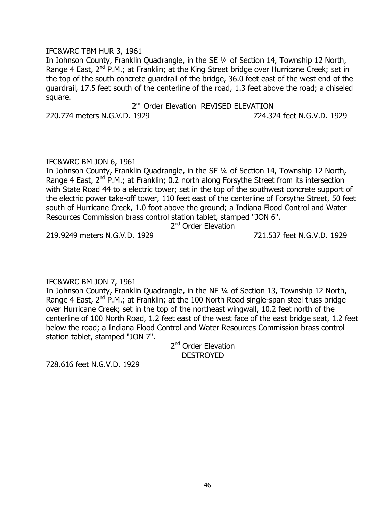IFC&WRC TBM HUR 3, 1961

In Johnson County, Franklin Quadrangle, in the SE ¼ of Section 14, Township 12 North, Range 4 East,  $2^{nd}$  P.M.; at Franklin; at the King Street bridge over Hurricane Creek; set in the top of the south concrete guardrail of the bridge, 36.0 feet east of the west end of the guardrail, 17.5 feet south of the centerline of the road, 1.3 feet above the road; a chiseled square.

2<sup>nd</sup> Order Elevation REVISED ELEVATION 220.774 meters N.G.V.D. 1929 724.324 feet N.G.V.D. 1929

### IFC&WRC BM JON 6, 1961

In Johnson County, Franklin Quadrangle, in the SE ¼ of Section 14, Township 12 North, Range 4 East,  $2^{nd}$  P.M.; at Franklin; 0.2 north along Forsythe Street from its intersection with State Road 44 to a electric tower; set in the top of the southwest concrete support of the electric power take-off tower, 110 feet east of the centerline of Forsythe Street, 50 feet south of Hurricane Creek, 1.0 foot above the ground; a Indiana Flood Control and Water Resources Commission brass control station tablet, stamped "JON 6".

2<sup>nd</sup> Order Elevation

219.9249 meters N.G.V.D. 1929 721.537 feet N.G.V.D. 1929

# IFC&WRC BM JON 7, 1961

In Johnson County, Franklin Quadrangle, in the NE ¼ of Section 13, Township 12 North, Range 4 East, 2<sup>nd</sup> P.M.; at Franklin; at the 100 North Road single-span steel truss bridge over Hurricane Creek; set in the top of the northeast wingwall, 10.2 feet north of the centerline of 100 North Road, 1.2 feet east of the west face of the east bridge seat, 1.2 feet below the road; a Indiana Flood Control and Water Resources Commission brass control station tablet, stamped "JON 7".

> 2<sup>nd</sup> Order Elevation DESTROYED

728.616 feet N.G.V.D. 1929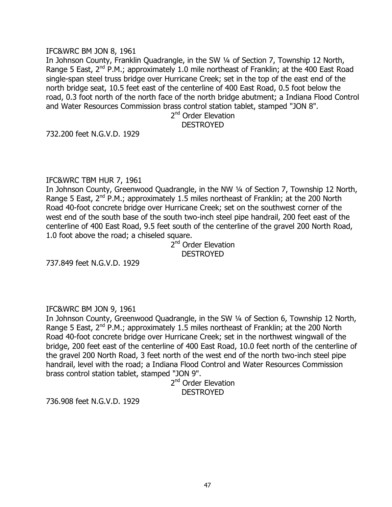### IFC&WRC BM JON 8, 1961

In Johnson County, Franklin Quadrangle, in the SW 1/4 of Section 7, Township 12 North, Range 5 East,  $2^{nd}$  P.M.; approximately 1.0 mile northeast of Franklin; at the 400 East Road single-span steel truss bridge over Hurricane Creek; set in the top of the east end of the north bridge seat, 10.5 feet east of the centerline of 400 East Road, 0.5 foot below the road, 0.3 foot north of the north face of the north bridge abutment; a Indiana Flood Control and Water Resources Commission brass control station tablet, stamped "JON 8".

2<sup>nd</sup> Order Elevation DESTROYED

732.200 feet N.G.V.D. 1929

### IFC&WRC TBM HUR 7, 1961

In Johnson County, Greenwood Quadrangle, in the NW 1/4 of Section 7, Township 12 North, Range 5 East,  $2^{nd}$  P.M.; approximately 1.5 miles northeast of Franklin; at the 200 North Road 40-foot concrete bridge over Hurricane Creek; set on the southwest corner of the west end of the south base of the south two-inch steel pipe handrail, 200 feet east of the centerline of 400 East Road, 9.5 feet south of the centerline of the gravel 200 North Road, 1.0 foot above the road; a chiseled square.

2<sup>nd</sup> Order Elevation **DESTROYED** 

737.849 feet N.G.V.D. 1929

### IFC&WRC BM JON 9, 1961

In Johnson County, Greenwood Quadrangle, in the SW ¼ of Section 6, Township 12 North, Range 5 East,  $2^{nd}$  P.M.; approximately 1.5 miles northeast of Franklin; at the 200 North Road 40-foot concrete bridge over Hurricane Creek; set in the northwest wingwall of the bridge, 200 feet east of the centerline of 400 East Road, 10.0 feet north of the centerline of the gravel 200 North Road, 3 feet north of the west end of the north two-inch steel pipe handrail, level with the road; a Indiana Flood Control and Water Resources Commission brass control station tablet, stamped "JON 9".

2<sup>nd</sup> Order Elevation **DESTROYED** 

736.908 feet N.G.V.D. 1929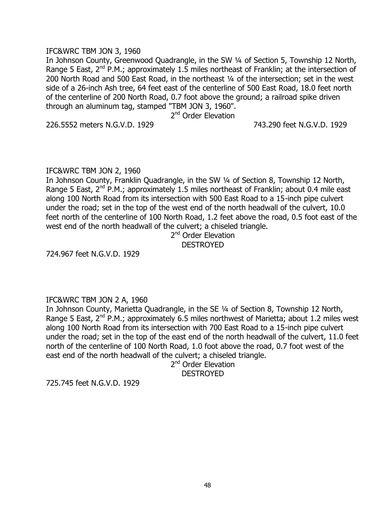### IFC&WRC TBM JON 3, 1960

In Johnson County, Greenwood Quadrangle, in the SW 1/4 of Section 5, Township 12 North, Range 5 East,  $2^{nd}$  P.M.; approximately 1.5 miles northeast of Franklin; at the intersection of 200 North Road and 500 East Road, in the northeast ¼ of the intersection; set in the west side of a 26-inch Ash tree, 64 feet east of the centerline of 500 East Road, 18.0 feet north of the centerline of 200 North Road, 0.7 foot above the ground; a railroad spike driven through an aluminum tag, stamped "TBM JON 3, 1960".

2<sup>nd</sup> Order Elevation

226.5552 meters N.G.V.D. 1929 743.290 feet N.G.V.D. 1929

IFC&WRC TBM JON 2, 1960

In Johnson County, Franklin Ouadrangle, in the SW 1/4 of Section 8, Township 12 North, Range 5 East,  $2^{nd}$  P.M.; approximately 1.5 miles northeast of Franklin; about 0.4 mile east along 100 North Road from its intersection with 500 East Road to a 15-inch pipe culvert under the road; set in the top of the west end of the north headwall of the culvert, 10.0 feet north of the centerline of 100 North Road, 1.2 feet above the road, 0.5 foot east of the west end of the north headwall of the culvert; a chiseled triangle.

2<sup>nd</sup> Order Elevation DESTROYED

724.967 feet N.G.V.D. 1929

### IFC&WRC TBM JON 2 A, 1960

In Johnson County, Marietta Quadrangle, in the SE ¼ of Section 8, Township 12 North, Range 5 East,  $2^{nd}$  P.M.; approximately 6.5 miles northwest of Marietta; about 1.2 miles west along 100 North Road from its intersection with 700 East Road to a 15-inch pipe culvert under the road; set in the top of the east end of the north headwall of the culvert, 11.0 feet north of the centerline of 100 North Road, 1.0 foot above the road, 0.7 foot west of the east end of the north headwall of the culvert; a chiseled triangle.

2<sup>nd</sup> Order Elevation **DESTROYED** 

725.745 feet N.G.V.D. 1929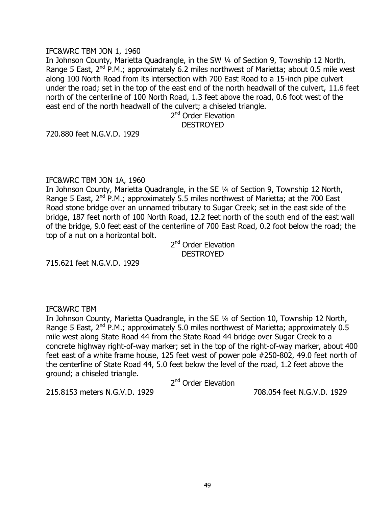#### IFC&WRC TBM JON 1, 1960

In Johnson County, Marietta Quadrangle, in the SW ¼ of Section 9, Township 12 North, Range 5 East,  $2^{nd}$  P.M.; approximately 6.2 miles northwest of Marietta; about 0.5 mile west along 100 North Road from its intersection with 700 East Road to a 15-inch pipe culvert under the road; set in the top of the east end of the north headwall of the culvert, 11.6 feet north of the centerline of 100 North Road, 1.3 feet above the road, 0.6 foot west of the east end of the north headwall of the culvert; a chiseled triangle.

2<sup>nd</sup> Order Elevation DESTROYED

720.880 feet N.G.V.D. 1929

### IFC&WRC TBM JON 1A, 1960

In Johnson County, Marietta Quadrangle, in the SE ¼ of Section 9, Township 12 North, Range 5 East,  $2^{nd}$  P.M.; approximately 5.5 miles northwest of Marietta; at the 700 East Road stone bridge over an unnamed tributary to Sugar Creek; set in the east side of the bridge, 187 feet north of 100 North Road, 12.2 feet north of the south end of the east wall of the bridge, 9.0 feet east of the centerline of 700 East Road, 0.2 foot below the road; the top of a nut on a horizontal bolt.

2<sup>nd</sup> Order Elevation **DESTROYED** 

715.621 feet N.G.V.D. 1929

### IFC&WRC TBM

In Johnson County, Marietta Quadrangle, in the SE ¼ of Section 10, Township 12 North, Range 5 East,  $2^{nd}$  P.M.; approximately 5.0 miles northwest of Marietta; approximately 0.5 mile west along State Road 44 from the State Road 44 bridge over Sugar Creek to a concrete highway right-of-way marker; set in the top of the right-of-way marker, about 400 feet east of a white frame house, 125 feet west of power pole #250-802, 49.0 feet north of the centerline of State Road 44, 5.0 feet below the level of the road, 1.2 feet above the ground; a chiseled triangle.

2<sup>nd</sup> Order Elevation

215.8153 meters N.G.V.D. 1929 708.054 feet N.G.V.D. 1929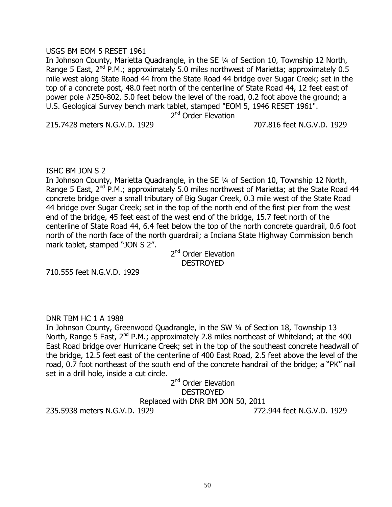### USGS BM EOM 5 RESET 1961

In Johnson County, Marietta Quadrangle, in the SE ¼ of Section 10, Township 12 North, Range 5 East,  $2^{nd}$  P.M.; approximately 5.0 miles northwest of Marietta; approximately 0.5 mile west along State Road 44 from the State Road 44 bridge over Sugar Creek; set in the top of a concrete post, 48.0 feet north of the centerline of State Road 44, 12 feet east of power pole #250-802, 5.0 feet below the level of the road, 0.2 foot above the ground; a U.S. Geological Survey bench mark tablet, stamped "EOM 5, 1946 RESET 1961".

2<sup>nd</sup> Order Elevation

215.7428 meters N.G.V.D. 1929 707.816 feet N.G.V.D. 1929

### ISHC BM JON S 2

In Johnson County, Marietta Quadrangle, in the SE ¼ of Section 10, Township 12 North, Range 5 East,  $2^{nd}$  P.M.; approximately 5.0 miles northwest of Marietta; at the State Road 44 concrete bridge over a small tributary of Big Sugar Creek, 0.3 mile west of the State Road 44 bridge over Sugar Creek; set in the top of the north end of the first pier from the west end of the bridge, 45 feet east of the west end of the bridge, 15.7 feet north of the centerline of State Road 44, 6.4 feet below the top of the north concrete guardrail, 0.6 foot north of the north face of the north guardrail; a Indiana State Highway Commission bench mark tablet, stamped "JON S 2".

2<sup>nd</sup> Order Elevation DESTROYED

710.555 feet N.G.V.D. 1929

### DNR TBM HC 1 A 1988

In Johnson County, Greenwood Quadrangle, in the SW ¼ of Section 18, Township 13 North, Range 5 East,  $2^{nd}$  P.M.; approximately 2.8 miles northeast of Whiteland; at the 400 East Road bridge over Hurricane Creek; set in the top of the southeast concrete headwall of the bridge, 12.5 feet east of the centerline of 400 East Road, 2.5 feet above the level of the road, 0.7 foot northeast of the south end of the concrete handrail of the bridge; a "PK" nail set in a drill hole, inside a cut circle.

## 2<sup>nd</sup> Order Elevation **DESTROYED** Replaced with DNR BM JON 50, 2011

235.5938 meters N.G.V.D. 1929 772.944 feet N.G.V.D. 1929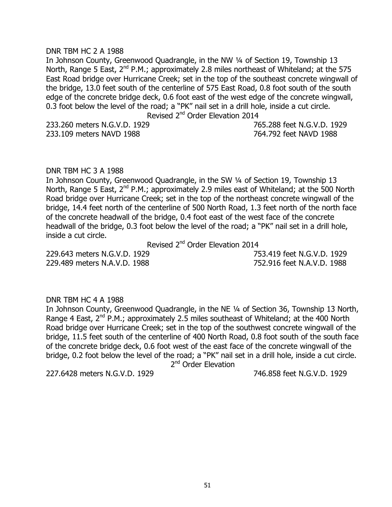## DNR TBM HC 2 A 1988

In Johnson County, Greenwood Quadrangle, in the NW ¼ of Section 19, Township 13 North, Range 5 East, 2<sup>nd</sup> P.M.; approximately 2.8 miles northeast of Whiteland; at the 575 East Road bridge over Hurricane Creek; set in the top of the southeast concrete wingwall of the bridge, 13.0 feet south of the centerline of 575 East Road, 0.8 foot south of the south edge of the concrete bridge deck, 0.6 foot east of the west edge of the concrete wingwall, 0.3 foot below the level of the road; a "PK" nail set in a drill hole, inside a cut circle.

Revised 2<sup>nd</sup> Order Elevation 2014

233.260 meters N.G.V.D. 1929 765.288 feet N.G.V.D. 1929 233.109 meters NAVD 1988 764.792 feet NAVD 1988

#### DNR TBM HC 3 A 1988

In Johnson County, Greenwood Quadrangle, in the SW ¼ of Section 19, Township 13 North, Range 5 East, 2<sup>nd</sup> P.M.; approximately 2.9 miles east of Whiteland; at the 500 North Road bridge over Hurricane Creek; set in the top of the northeast concrete wingwall of the bridge, 14.4 feet north of the centerline of 500 North Road, 1.3 feet north of the north face of the concrete headwall of the bridge, 0.4 foot east of the west face of the concrete headwall of the bridge, 0.3 foot below the level of the road; a "PK" nail set in a drill hole, inside a cut circle.

Revised 2<sup>nd</sup> Order Elevation 2014

229.643 meters N.G.V.D. 1929 753.419 feet N.G.V.D. 1929 229.489 meters N.A.V.D. 1988 752.916 feet N.A.V.D. 1988

#### DNR TBM HC 4 A 1988

In Johnson County, Greenwood Quadrangle, in the NE ¼ of Section 36, Township 13 North, Range 4 East,  $2^{nd}$  P.M.; approximately 2.5 miles southeast of Whiteland; at the 400 North Road bridge over Hurricane Creek; set in the top of the southwest concrete wingwall of the bridge, 11.5 feet south of the centerline of 400 North Road, 0.8 foot south of the south face of the concrete bridge deck, 0.6 foot west of the east face of the concrete wingwall of the bridge, 0.2 foot below the level of the road; a "PK" nail set in a drill hole, inside a cut circle. 2<sup>nd</sup> Order Elevation

227.6428 meters N.G.V.D. 1929 746.858 feet N.G.V.D. 1929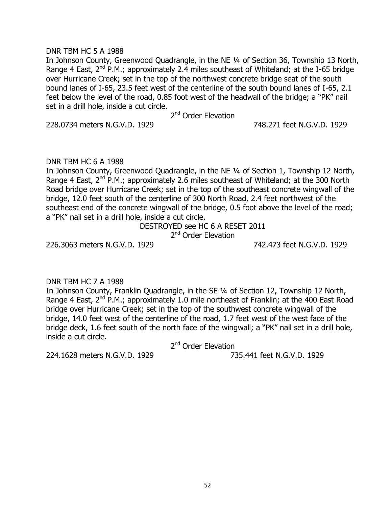### DNR TBM HC 5 A 1988

In Johnson County, Greenwood Quadrangle, in the NE ¼ of Section 36, Township 13 North, Range 4 East,  $2^{nd}$  P.M.; approximately 2.4 miles southeast of Whiteland; at the I-65 bridge over Hurricane Creek; set in the top of the northwest concrete bridge seat of the south bound lanes of I-65, 23.5 feet west of the centerline of the south bound lanes of I-65, 2.1 feet below the level of the road, 0.85 foot west of the headwall of the bridge; a "PK" nail set in a drill hole, inside a cut circle.

2<sup>nd</sup> Order Elevation

228.0734 meters N.G.V.D. 1929 748.271 feet N.G.V.D. 1929

### DNR TBM HC 6 A 1988

In Johnson County, Greenwood Quadrangle, in the NE ¼ of Section 1, Township 12 North, Range 4 East,  $2^{nd}$  P.M.; approximately 2.6 miles southeast of Whiteland; at the 300 North Road bridge over Hurricane Creek; set in the top of the southeast concrete wingwall of the bridge, 12.0 feet south of the centerline of 300 North Road, 2.4 feet northwest of the southeast end of the concrete wingwall of the bridge, 0.5 foot above the level of the road; a "PK" nail set in a drill hole, inside a cut circle.

> DESTROYED see HC 6 A RESET 2011 2<sup>nd</sup> Order Elevation

226.3063 meters N.G.V.D. 1929 742.473 feet N.G.V.D. 1929

### DNR TBM HC 7 A 1988

In Johnson County, Franklin Quadrangle, in the SE ¼ of Section 12, Township 12 North, Range 4 East, 2<sup>nd</sup> P.M.; approximately 1.0 mile northeast of Franklin; at the 400 East Road bridge over Hurricane Creek; set in the top of the southwest concrete wingwall of the bridge, 14.0 feet west of the centerline of the road, 1.7 feet west of the west face of the bridge deck, 1.6 feet south of the north face of the wingwall; a "PK" nail set in a drill hole, inside a cut circle.

2<sup>nd</sup> Order Elevation

224.1628 meters N.G.V.D. 1929 735.441 feet N.G.V.D. 1929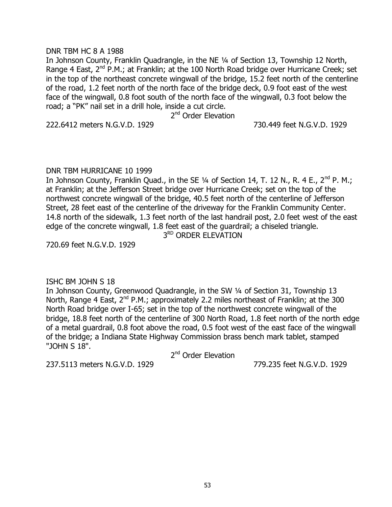#### DNR TBM HC 8 A 1988

In Johnson County, Franklin Quadrangle, in the NE ¼ of Section 13, Township 12 North, Range 4 East,  $2^{nd}$  P.M.; at Franklin; at the 100 North Road bridge over Hurricane Creek; set in the top of the northeast concrete wingwall of the bridge, 15.2 feet north of the centerline of the road, 1.2 feet north of the north face of the bridge deck, 0.9 foot east of the west face of the wingwall, 0.8 foot south of the north face of the wingwall, 0.3 foot below the road; a "PK" nail set in a drill hole, inside a cut circle.

2<sup>nd</sup> Order Elevation

222.6412 meters N.G.V.D. 1929 730.449 feet N.G.V.D. 1929

#### DNR TBM HURRICANE 10 1999

In Johnson County, Franklin Ouad., in the SE  $\frac{1}{4}$  of Section 14, T, 12 N., R, 4 E., 2<sup>nd</sup> P, M.; at Franklin; at the Jefferson Street bridge over Hurricane Creek; set on the top of the northwest concrete wingwall of the bridge, 40.5 feet north of the centerline of Jefferson Street, 28 feet east of the centerline of the driveway for the Franklin Community Center. 14.8 north of the sidewalk, 1.3 feet north of the last handrail post, 2.0 feet west of the east edge of the concrete wingwall, 1.8 feet east of the guardrail; a chiseled triangle.

3RD ORDER ELEVATION

720.69 feet N.G.V.D. 1929

#### ISHC BM JOHN S 18

In Johnson County, Greenwood Quadrangle, in the SW ¼ of Section 31, Township 13 North, Range 4 East,  $2^{nd}$  P.M.; approximately 2.2 miles northeast of Franklin; at the 300 North Road bridge over I-65; set in the top of the northwest concrete wingwall of the bridge, 18.8 feet north of the centerline of 300 North Road, 1.8 feet north of the north edge of a metal guardrail, 0.8 foot above the road, 0.5 foot west of the east face of the wingwall of the bridge; a Indiana State Highway Commission brass bench mark tablet, stamped "JOHN S 18".

2<sup>nd</sup> Order Elevation

237.5113 meters N.G.V.D. 1929 779.235 feet N.G.V.D. 1929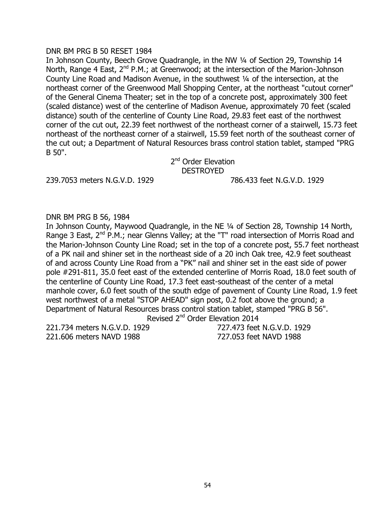#### DNR BM PRG B 50 RESET 1984

In Johnson County, Beech Grove Quadrangle, in the NW 1/4 of Section 29, Township 14 North, Range 4 East,  $2^{nd}$  P.M.; at Greenwood; at the intersection of the Marion-Johnson County Line Road and Madison Avenue, in the southwest ¼ of the intersection, at the northeast corner of the Greenwood Mall Shopping Center, at the northeast "cutout corner" of the General Cinema Theater; set in the top of a concrete post, approximately 300 feet (scaled distance) west of the centerline of Madison Avenue, approximately 70 feet (scaled distance) south of the centerline of County Line Road, 29.83 feet east of the northwest corner of the cut out, 22.39 feet northwest of the northeast corner of a stairwell, 15.73 feet northeast of the northeast corner of a stairwell, 15.59 feet north of the southeast corner of the cut out; a Department of Natural Resources brass control station tablet, stamped "PRG B 50".

2<sup>nd</sup> Order Elevation **DESTROYED** 

239.7053 meters N.G.V.D. 1929 786.433 feet N.G.V.D. 1929

### DNR BM PRG B 56, 1984

In Johnson County, Maywood Quadrangle, in the NE ¼ of Section 28, Township 14 North, Range 3 East, 2<sup>nd</sup> P.M.; near Glenns Valley; at the "T" road intersection of Morris Road and the Marion-Johnson County Line Road; set in the top of a concrete post, 55.7 feet northeast of a PK nail and shiner set in the northeast side of a 20 inch Oak tree, 42.9 feet southeast of and across County Line Road from a "PK" nail and shiner set in the east side of power pole #291-811, 35.0 feet east of the extended centerline of Morris Road, 18.0 feet south of the centerline of County Line Road, 17.3 feet east-southeast of the center of a metal manhole cover, 6.0 feet south of the south edge of pavement of County Line Road, 1.9 feet west northwest of a metal "STOP AHEAD" sign post, 0.2 foot above the ground; a Department of Natural Resources brass control station tablet, stamped "PRG B 56". Revised 2<sup>nd</sup> Order Elevation 2014

221.734 meters N.G.V.D. 1929 727.473 feet N.G.V.D. 1929 221.606 meters NAVD 1988 727.053 feet NAVD 1988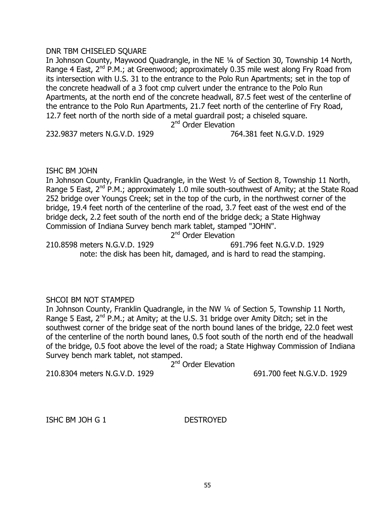### DNR TBM CHISELED SQUARE

In Johnson County, Maywood Quadrangle, in the NE ¼ of Section 30, Township 14 North, Range 4 East,  $2^{nd}$  P.M.; at Greenwood; approximately 0.35 mile west along Fry Road from its intersection with U.S. 31 to the entrance to the Polo Run Apartments; set in the top of the concrete headwall of a 3 foot cmp culvert under the entrance to the Polo Run Apartments, at the north end of the concrete headwall, 87.5 feet west of the centerline of the entrance to the Polo Run Apartments, 21.7 feet north of the centerline of Fry Road, 12.7 feet north of the north side of a metal guardrail post; a chiseled square.

2<sup>nd</sup> Order Elevation

232.9837 meters N.G.V.D. 1929 764.381 feet N.G.V.D. 1929

### ISHC BM JOHN

In Johnson County, Franklin Quadrangle, in the West ½ of Section 8, Township 11 North, Range 5 East,  $2^{nd}$  P.M.; approximately 1.0 mile south-southwest of Amity; at the State Road 252 bridge over Youngs Creek; set in the top of the curb, in the northwest corner of the bridge, 19.4 feet north of the centerline of the road, 3.7 feet east of the west end of the bridge deck, 2.2 feet south of the north end of the bridge deck; a State Highway Commission of Indiana Survey bench mark tablet, stamped "JOHN".

2<sup>nd</sup> Order Elevation

210.8598 meters N.G.V.D. 1929 691.796 feet N.G.V.D. 1929 note: the disk has been hit, damaged, and is hard to read the stamping.

### SHCOI BM NOT STAMPED

In Johnson County, Franklin Quadrangle, in the NW 1/4 of Section 5, Township 11 North, Range 5 East,  $2^{nd}$  P.M.; at Amity; at the U.S. 31 bridge over Amity Ditch; set in the southwest corner of the bridge seat of the north bound lanes of the bridge, 22.0 feet west of the centerline of the north bound lanes, 0.5 foot south of the north end of the headwall of the bridge, 0.5 foot above the level of the road; a State Highway Commission of Indiana Survey bench mark tablet, not stamped.

2<sup>nd</sup> Order Elevation

210.8304 meters N.G.V.D. 1929 691.700 feet N.G.V.D. 1929

ISHC BM JOH G 1 DESTROYED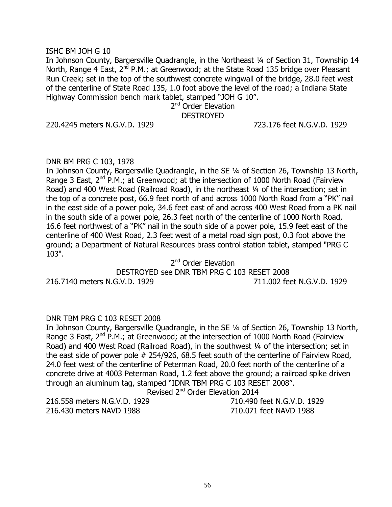### ISHC BM JOH G 10

In Johnson County, Bargersville Quadrangle, in the Northeast 1/4 of Section 31, Township 14 North, Range 4 East,  $2^{nd}$  P.M.; at Greenwood; at the State Road 135 bridge over Pleasant Run Creek; set in the top of the southwest concrete wingwall of the bridge, 28.0 feet west of the centerline of State Road 135, 1.0 foot above the level of the road; a Indiana State Highway Commission bench mark tablet, stamped "JOH G 10".

## 2<sup>nd</sup> Order Elevation **DESTROYED**

220.4245 meters N.G.V.D. 1929 723.176 feet N.G.V.D. 1929

### DNR BM PRG C 103, 1978

In Johnson County, Bargersville Quadrangle, in the SE ¼ of Section 26, Township 13 North, Range 3 East,  $2^{nd}$  P.M.; at Greenwood; at the intersection of 1000 North Road (Fairview) Road) and 400 West Road (Railroad Road), in the northeast ¼ of the intersection; set in the top of a concrete post, 66.9 feet north of and across 1000 North Road from a "PK" nail in the east side of a power pole, 34.6 feet east of and across 400 West Road from a PK nail in the south side of a power pole, 26.3 feet north of the centerline of 1000 North Road, 16.6 feet northwest of a "PK" nail in the south side of a power pole, 15.9 feet east of the centerline of 400 West Road, 2.3 feet west of a metal road sign post, 0.3 foot above the ground; a Department of Natural Resources brass control station tablet, stamped "PRG C 103".

2<sup>nd</sup> Order Elevation

DESTROYED see DNR TBM PRG C 103 RESET 2008 216.7140 meters N.G.V.D. 1929 711.002 feet N.G.V.D. 1929

### DNR TBM PRG C 103 RESET 2008

In Johnson County, Bargersville Quadrangle, in the SE ¼ of Section 26, Township 13 North, Range 3 East,  $2^{nd}$  P.M.; at Greenwood; at the intersection of 1000 North Road (Fairview Road) and 400 West Road (Railroad Road), in the southwest 1/4 of the intersection; set in the east side of power pole # 254/926, 68.5 feet south of the centerline of Fairview Road, 24.0 feet west of the centerline of Peterman Road, 20.0 feet north of the centerline of a concrete drive at 4003 Peterman Road, 1.2 feet above the ground; a railroad spike driven through an aluminum tag, stamped "IDNR TBM PRG C 103 RESET 2008".

Revised 2<sup>nd</sup> Order Elevation 2014

216.430 meters NAVD 1988 710.071 feet NAVD 1988

216.558 meters N.G.V.D. 1929 710.490 feet N.G.V.D. 1929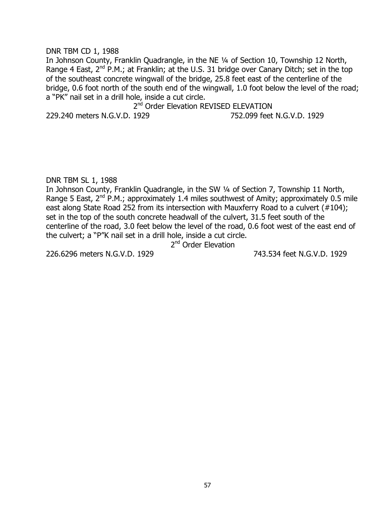### DNR TBM CD 1, 1988

In Johnson County, Franklin Quadrangle, in the NE ¼ of Section 10, Township 12 North, Range 4 East,  $2^{nd}$  P.M.; at Franklin; at the U.S. 31 bridge over Canary Ditch; set in the top of the southeast concrete wingwall of the bridge, 25.8 feet east of the centerline of the bridge, 0.6 foot north of the south end of the wingwall, 1.0 foot below the level of the road; a "PK" nail set in a drill hole, inside a cut circle.

2<sup>nd</sup> Order Elevation REVISED ELEVATION

229.240 meters N.G.V.D. 1929 752.099 feet N.G.V.D. 1929

DNR TBM SL 1, 1988

In Johnson County, Franklin Quadrangle, in the SW 1/4 of Section 7, Township 11 North, Range 5 East,  $2^{nd}$  P.M.; approximately 1.4 miles southwest of Amity; approximately 0.5 mile east along State Road 252 from its intersection with Mauxferry Road to a culvert (#104); set in the top of the south concrete headwall of the culvert, 31.5 feet south of the centerline of the road, 3.0 feet below the level of the road, 0.6 foot west of the east end of the culvert; a "P"K nail set in a drill hole, inside a cut circle.

2<sup>nd</sup> Order Elevation

226.6296 meters N.G.V.D. 1929 743.534 feet N.G.V.D. 1929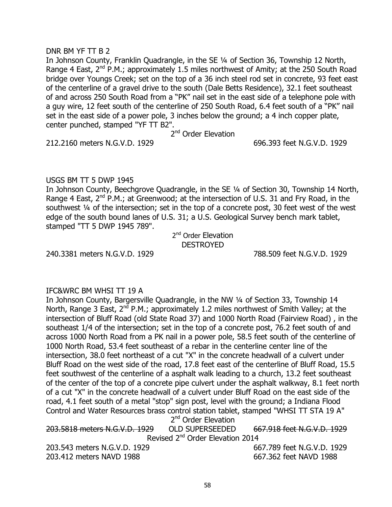### DNR BM YF TT B 2

In Johnson County, Franklin Quadrangle, in the SE ¼ of Section 36, Township 12 North, Range 4 East,  $2^{nd}$  P.M.; approximately 1.5 miles northwest of Amity; at the 250 South Road bridge over Youngs Creek; set on the top of a 36 inch steel rod set in concrete, 93 feet east of the centerline of a gravel drive to the south (Dale Betts Residence), 32.1 feet southeast of and across 250 South Road from a "PK" nail set in the east side of a telephone pole with a guy wire, 12 feet south of the centerline of 250 South Road, 6.4 feet south of a "PK" nail set in the east side of a power pole, 3 inches below the ground; a 4 inch copper plate, center punched, stamped "YF TT B2".

2<sup>nd</sup> Order Elevation

212.2160 meters N.G.V.D. 1929 696.393 feet N.G.V.D. 1929

### USGS BM TT 5 DWP 1945

In Johnson County, Beechgrove Quadrangle, in the SE ¼ of Section 30, Township 14 North, Range 4 East,  $2^{nd}$  P.M.; at Greenwood; at the intersection of U.S. 31 and Fry Road, in the southwest 1/4 of the intersection; set in the top of a concrete post, 30 feet west of the west edge of the south bound lanes of U.S. 31; a U.S. Geological Survey bench mark tablet, stamped "TT 5 DWP 1945 789".

> 2<sup>nd</sup> Order Elevation **DESTROYED**

240.3381 meters N.G.V.D. 1929 788.509 feet N.G.V.D. 1929

### IFC&WRC BM WHSI TT 19 A

In Johnson County, Bargersville Quadrangle, in the NW ¼ of Section 33, Township 14 North, Range 3 East,  $2^{nd}$  P.M.; approximately 1.2 miles northwest of Smith Valley; at the intersection of Bluff Road (old State Road 37) and 1000 North Road (Fairview Road) , in the southeast 1/4 of the intersection; set in the top of a concrete post, 76.2 feet south of and across 1000 North Road from a PK nail in a power pole, 58.5 feet south of the centerline of 1000 North Road, 53.4 feet southeast of a rebar in the centerline center line of the intersection, 38.0 feet northeast of a cut "X" in the concrete headwall of a culvert under Bluff Road on the west side of the road, 17.8 feet east of the centerline of Bluff Road, 15.5 feet southwest of the centerline of a asphalt walk leading to a church, 13.2 feet southeast of the center of the top of a concrete pipe culvert under the asphalt walkway, 8.1 feet north of a cut "X" in the concrete headwall of a culvert under Bluff Road on the east side of the road, 4.1 feet south of a metal "stop" sign post, level with the ground; a Indiana Flood Control and Water Resources brass control station tablet, stamped "WHSI TT STA 19 A" 2<sup>nd</sup> Order Elevation

| 203.5818 meters N.G.V.D. 1929                | OLD SUPERSEEDED | 667.918 feet N.G.V.D. 1929 |
|----------------------------------------------|-----------------|----------------------------|
| Revised 2 <sup>nd</sup> Order Elevation 2014 |                 |                            |
| 203.543 meters N.G.V.D. 1929                 |                 | 667.789 feet N.G.V.D. 1929 |
| 203.412 meters NAVD 1988                     |                 | 667.362 feet NAVD 1988     |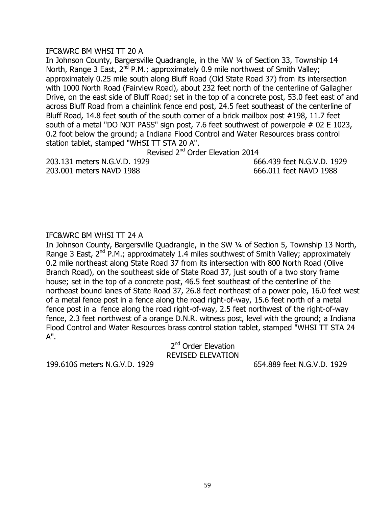### IFC&WRC BM WHSI TT 20 A

In Johnson County, Bargersville Quadrangle, in the NW 1/4 of Section 33, Township 14 North, Range 3 East,  $2^{nd}$  P.M.; approximately 0.9 mile northwest of Smith Valley; approximately 0.25 mile south along Bluff Road (Old State Road 37) from its intersection with 1000 North Road (Fairview Road), about 232 feet north of the centerline of Gallagher Drive, on the east side of Bluff Road; set in the top of a concrete post, 53.0 feet east of and across Bluff Road from a chainlink fence end post, 24.5 feet southeast of the centerline of Bluff Road, 14.8 feet south of the south corner of a brick mailbox post #198, 11.7 feet south of a metal "DO NOT PASS" sign post, 7.6 feet southwest of powerpole # 02 E 1023, 0.2 foot below the ground; a Indiana Flood Control and Water Resources brass control station tablet, stamped "WHSI TT STA 20 A".

Revised 2<sup>nd</sup> Order Elevation 2014

203.131 meters N.G.V.D. 1929 666.439 feet N.G.V.D. 1929 203.001 meters NAVD 1988 666.011 feet NAVD 1988

## IFC&WRC BM WHSI TT 24 A

In Johnson County, Bargersville Quadrangle, in the SW 1/4 of Section 5, Township 13 North, Range 3 East, 2<sup>nd</sup> P.M.; approximately 1.4 miles southwest of Smith Valley; approximately 0.2 mile northeast along State Road 37 from its intersection with 800 North Road (Olive Branch Road), on the southeast side of State Road 37, just south of a two story frame house; set in the top of a concrete post, 46.5 feet southeast of the centerline of the northeast bound lanes of State Road 37, 26.8 feet northeast of a power pole, 16.0 feet west of a metal fence post in a fence along the road right-of-way, 15.6 feet north of a metal fence post in a fence along the road right-of-way, 2.5 feet northwest of the right-of-way fence, 2.3 feet northwest of a orange D.N.R. witness post, level with the ground; a Indiana Flood Control and Water Resources brass control station tablet, stamped "WHSI TT STA 24 A".

2<sup>nd</sup> Order Elevation REVISED ELEVATION

199.6106 meters N.G.V.D. 1929 654.889 feet N.G.V.D. 1929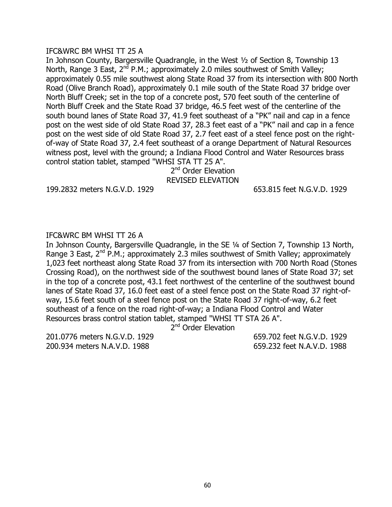### IFC&WRC BM WHSI TT 25 A

In Johnson County, Bargersville Quadrangle, in the West ½ of Section 8, Township 13 North, Range 3 East,  $2^{nd}$  P.M.; approximately 2.0 miles southwest of Smith Valley; approximately 0.55 mile southwest along State Road 37 from its intersection with 800 North Road (Olive Branch Road), approximately 0.1 mile south of the State Road 37 bridge over North Bluff Creek; set in the top of a concrete post, 570 feet south of the centerline of North Bluff Creek and the State Road 37 bridge, 46.5 feet west of the centerline of the south bound lanes of State Road 37, 41.9 feet southeast of a "PK" nail and cap in a fence post on the west side of old State Road 37, 28.3 feet east of a "PK" nail and cap in a fence post on the west side of old State Road 37, 2.7 feet east of a steel fence post on the rightof-way of State Road 37, 2.4 feet southeast of a orange Department of Natural Resources witness post, level with the ground; a Indiana Flood Control and Water Resources brass control station tablet, stamped "WHSI STA TT 25 A".

### 2<sup>nd</sup> Order Elevation REVISED ELEVATION

199.2832 meters N.G.V.D. 1929 653.815 feet N.G.V.D. 1929

### IFC&WRC BM WHSI TT 26 A

In Johnson County, Bargersville Quadrangle, in the SE ¼ of Section 7, Township 13 North, Range 3 East,  $2^{nd}$  P.M.; approximately 2.3 miles southwest of Smith Valley; approximately 1,023 feet northeast along State Road 37 from its intersection with 700 North Road (Stones Crossing Road), on the northwest side of the southwest bound lanes of State Road 37; set in the top of a concrete post, 43.1 feet northwest of the centerline of the southwest bound lanes of State Road 37, 16.0 feet east of a steel fence post on the State Road 37 right-ofway, 15.6 feet south of a steel fence post on the State Road 37 right-of-way, 6.2 feet southeast of a fence on the road right-of-way; a Indiana Flood Control and Water Resources brass control station tablet, stamped "WHSI TT STA 26 A".

2<sup>nd</sup> Order Elevation

201.0776 meters N.G.V.D. 1929 659.702 feet N.G.V.D. 1929 200.934 meters N.A.V.D. 1988 659.232 feet N.A.V.D. 1988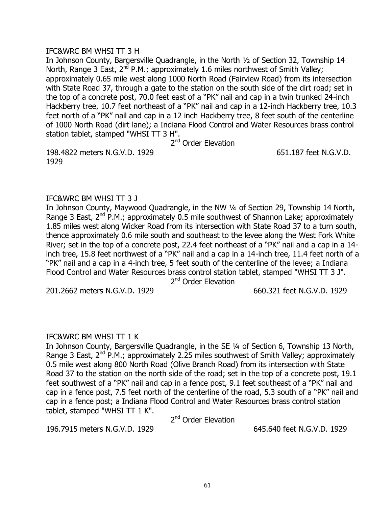### IFC&WRC BM WHSI TT 3 H

In Johnson County, Bargersville Quadrangle, in the North ½ of Section 32, Township 14 North, Range 3 East,  $2^{nd}$  P.M.; approximately 1.6 miles northwest of Smith Valley; approximately 0.65 mile west along 1000 North Road (Fairview Road) from its intersection with State Road 37, through a gate to the station on the south side of the dirt road; set in the top of a concrete post, 70.0 feet east of a "PK" nail and cap in a twin trunked 24-inch Hackberry tree, 10.7 feet northeast of a "PK" nail and cap in a 12-inch Hackberry tree, 10.3 feet north of a "PK" nail and cap in a 12 inch Hackberry tree, 8 feet south of the centerline of 1000 North Road (dirt lane); a Indiana Flood Control and Water Resources brass control station tablet, stamped "WHSI TT 3 H".

2<sup>nd</sup> Order Elevation

198.4822 meters N.G.V.D. 1929 651.187 feet N.G.V.D. 1929

### IFC&WRC BM WHSI TT 3 J

In Johnson County, Maywood Quadrangle, in the NW ¼ of Section 29, Township 14 North, Range 3 East,  $2^{nd}$  P.M.; approximately 0.5 mile southwest of Shannon Lake; approximately 1.85 miles west along Wicker Road from its intersection with State Road 37 to a turn south, thence approximately 0.6 mile south and southeast to the levee along the West Fork White River; set in the top of a concrete post, 22.4 feet northeast of a "PK" nail and a cap in a 14 inch tree, 15.8 feet northwest of a "PK" nail and a cap in a 14-inch tree, 11.4 feet north of a "PK" nail and a cap in a 4-inch tree, 5 feet south of the centerline of the levee; a Indiana Flood Control and Water Resources brass control station tablet, stamped "WHSI TT 3 J".

2<sup>nd</sup> Order Elevation

201.2662 meters N.G.V.D. 1929 660.321 feet N.G.V.D. 1929

### IFC&WRC BM WHSI TT 1 K

In Johnson County, Bargersville Quadrangle, in the SE ¼ of Section 6, Township 13 North, Range 3 East,  $2^{nd}$  P.M.; approximately 2.25 miles southwest of Smith Valley; approximately 0.5 mile west along 800 North Road (Olive Branch Road) from its intersection with State Road 37 to the station on the north side of the road; set in the top of a concrete post, 19.1 feet southwest of a "PK" nail and cap in a fence post, 9.1 feet southeast of a "PK" nail and cap in a fence post, 7.5 feet north of the centerline of the road, 5.3 south of a "PK" nail and cap in a fence post; a Indiana Flood Control and Water Resources brass control station tablet, stamped "WHSI TT 1 K".

2<sup>nd</sup> Order Elevation

196.7915 meters N.G.V.D. 1929 645.640 feet N.G.V.D. 1929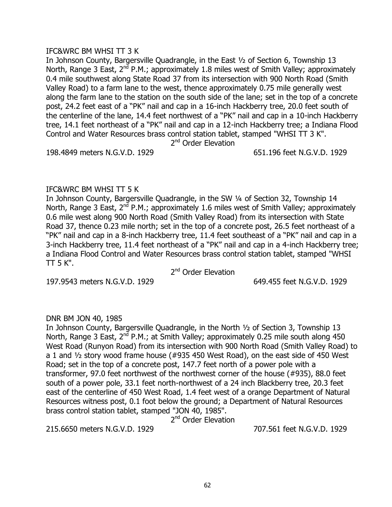### IFC&WRC BM WHSI TT 3 K

In Johnson County, Bargersville Quadrangle, in the East ½ of Section 6, Township 13 North, Range 3 East,  $2^{nd}$  P.M.; approximately 1.8 miles west of Smith Valley; approximately 0.4 mile southwest along State Road 37 from its intersection with 900 North Road (Smith Valley Road) to a farm lane to the west, thence approximately 0.75 mile generally west along the farm lane to the station on the south side of the lane; set in the top of a concrete post, 24.2 feet east of a "PK" nail and cap in a 16-inch Hackberry tree, 20.0 feet south of the centerline of the lane, 14.4 feet northwest of a "PK" nail and cap in a 10-inch Hackberry tree, 14.1 feet northeast of a "PK" nail and cap in a 12-inch Hackberry tree; a Indiana Flood Control and Water Resources brass control station tablet, stamped "WHSI TT 3 K".

2<sup>nd</sup> Order Elevation

198.4849 meters N.G.V.D. 1929 651.196 feet N.G.V.D. 1929

### IFC&WRC BM WHSI TT 5 K

In Johnson County, Bargersville Quadrangle, in the SW ¼ of Section 32, Township 14 North, Range 3 East,  $2^{nd}$  P.M.; approximately 1.6 miles west of Smith Valley; approximately 0.6 mile west along 900 North Road (Smith Valley Road) from its intersection with State Road 37, thence 0.23 mile north; set in the top of a concrete post, 26.5 feet northeast of a "PK" nail and cap in a 8-inch Hackberry tree, 11.4 feet southeast of a "PK" nail and cap in a 3-inch Hackberry tree, 11.4 feet northeast of a "PK" nail and cap in a 4-inch Hackberry tree; a Indiana Flood Control and Water Resources brass control station tablet, stamped "WHSI  $TT$  5 K".

2<sup>nd</sup> Order Elevation

197.9543 meters N.G.V.D. 1929 649.455 feet N.G.V.D. 1929

### DNR BM JON 40, 1985

In Johnson County, Bargersville Quadrangle, in the North ½ of Section 3, Township 13 North, Range 3 East,  $2^{n\bar{d}}$  P.M.; at Smith Valley; approximately 0.25 mile south along 450 West Road (Runyon Road) from its intersection with 900 North Road (Smith Valley Road) to a 1 and ½ story wood frame house (#935 450 West Road), on the east side of 450 West Road; set in the top of a concrete post, 147.7 feet north of a power pole with a transformer, 97.0 feet northwest of the northwest corner of the house (#935), 88.0 feet south of a power pole, 33.1 feet north-northwest of a 24 inch Blackberry tree, 20.3 feet east of the centerline of 450 West Road, 1.4 feet west of a orange Department of Natural Resources witness post, 0.1 foot below the ground; a Department of Natural Resources brass control station tablet, stamped "JON 40, 1985".

2<sup>nd</sup> Order Elevation

215.6650 meters N.G.V.D. 1929 707.561 feet N.G.V.D. 1929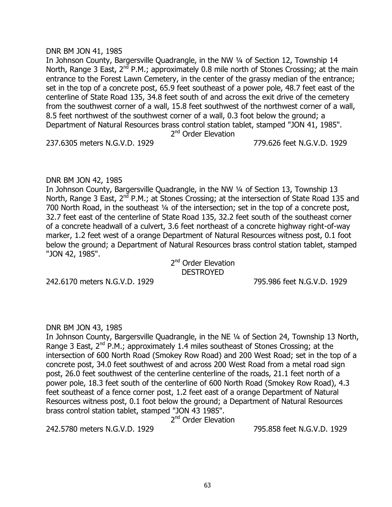### DNR BM JON 41, 1985

In Johnson County, Bargersville Quadrangle, in the NW ¼ of Section 12, Township 14 North, Range 3 East,  $2^{nd}$  P.M.; approximately 0.8 mile north of Stones Crossing; at the main entrance to the Forest Lawn Cemetery, in the center of the grassy median of the entrance; set in the top of a concrete post, 65.9 feet southeast of a power pole, 48.7 feet east of the centerline of State Road 135, 34.8 feet south of and across the exit drive of the cemetery from the southwest corner of a wall, 15.8 feet southwest of the northwest corner of a wall, 8.5 feet northwest of the southwest corner of a wall, 0.3 foot below the ground; a Department of Natural Resources brass control station tablet, stamped "JON 41, 1985". 2<sup>nd</sup> Order Elevation

237.6305 meters N.G.V.D. 1929 779.626 feet N.G.V.D. 1929

### DNR BM JON 42, 1985

In Johnson County, Bargersville Quadrangle, in the NW 1/4 of Section 13, Township 13 North, Range 3 East,  $2^{nd}$  P.M.; at Stones Crossing; at the intersection of State Road 135 and 700 North Road, in the southeast ¼ of the intersection; set in the top of a concrete post, 32.7 feet east of the centerline of State Road 135, 32.2 feet south of the southeast corner of a concrete headwall of a culvert, 3.6 feet northeast of a concrete highway right-of-way marker, 1.2 feet west of a orange Department of Natural Resources witness post, 0.1 foot below the ground; a Department of Natural Resources brass control station tablet, stamped "JON 42, 1985".

2<sup>nd</sup> Order Elevation **DESTROYED** 

242.6170 meters N.G.V.D. 1929 795.986 feet N.G.V.D. 1929

### DNR BM JON 43, 1985

In Johnson County, Bargersville Quadrangle, in the NE ¼ of Section 24, Township 13 North, Range 3 East,  $2^{nd}$  P.M.; approximately 1.4 miles southeast of Stones Crossing; at the intersection of 600 North Road (Smokey Row Road) and 200 West Road; set in the top of a concrete post, 34.0 feet southwest of and across 200 West Road from a metal road sign post, 26.0 feet southwest of the centerline centerline of the roads, 21.1 feet north of a power pole, 18.3 feet south of the centerline of 600 North Road (Smokey Row Road), 4.3 feet southeast of a fence corner post, 1.2 feet east of a orange Department of Natural Resources witness post, 0.1 foot below the ground; a Department of Natural Resources brass control station tablet, stamped "JON 43 1985".

2<sup>nd</sup> Order Elevation

242.5780 meters N.G.V.D. 1929 795.858 feet N.G.V.D. 1929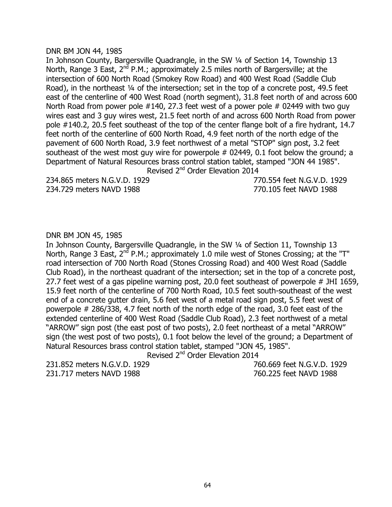#### DNR BM JON 44, 1985

In Johnson County, Bargersville Quadrangle, in the SW ¼ of Section 14, Township 13 North, Range 3 East,  $2^{nd}$  P.M.; approximately 2.5 miles north of Bargersville; at the intersection of 600 North Road (Smokey Row Road) and 400 West Road (Saddle Club Road), in the northeast 1/4 of the intersection; set in the top of a concrete post, 49.5 feet east of the centerline of 400 West Road (north segment), 31.8 feet north of and across 600 North Road from power pole  $#140$ , 27.3 feet west of a power pole  $#02449$  with two guy wires east and 3 guy wires west, 21.5 feet north of and across 600 North Road from power pole #140.2, 20.5 feet southeast of the top of the center flange bolt of a fire hydrant, 14.7 feet north of the centerline of 600 North Road, 4.9 feet north of the north edge of the pavement of 600 North Road, 3.9 feet northwest of a metal "STOP" sign post, 3.2 feet southeast of the west most guy wire for powerpole  $#$  02449, 0.1 foot below the ground; a Department of Natural Resources brass control station tablet, stamped "JON 44 1985". Revised 2<sup>nd</sup> Order Elevation 2014

234.865 meters N.G.V.D. 1929 770.554 feet N.G.V.D. 1929 234.729 meters NAVD 1988 770.105 feet NAVD 1988

### DNR BM JON 45, 1985

In Johnson County, Bargersville Quadrangle, in the SW ¼ of Section 11, Township 13 North, Range 3 East,  $2^{nd}$  P.M.; approximately 1.0 mile west of Stones Crossing; at the "T" road intersection of 700 North Road (Stones Crossing Road) and 400 West Road (Saddle Club Road), in the northeast quadrant of the intersection; set in the top of a concrete post, 27.7 feet west of a gas pipeline warning post, 20.0 feet southeast of powerpole # JHI 1659, 15.9 feet north of the centerline of 700 North Road, 10.5 feet south-southeast of the west end of a concrete gutter drain, 5.6 feet west of a metal road sign post, 5.5 feet west of powerpole # 286/338, 4.7 feet north of the north edge of the road, 3.0 feet east of the extended centerline of 400 West Road (Saddle Club Road), 2.3 feet northwest of a metal "ARROW" sign post (the east post of two posts), 2.0 feet northeast of a metal "ARROW" sign (the west post of two posts), 0.1 foot below the level of the ground; a Department of Natural Resources brass control station tablet, stamped "JON 45, 1985".

Revised 2<sup>nd</sup> Order Elevation 2014

231.852 meters N.G.V.D. 1929 760.669 feet N.G.V.D. 1929 231.717 meters NAVD 1988 760.225 feet NAVD 1988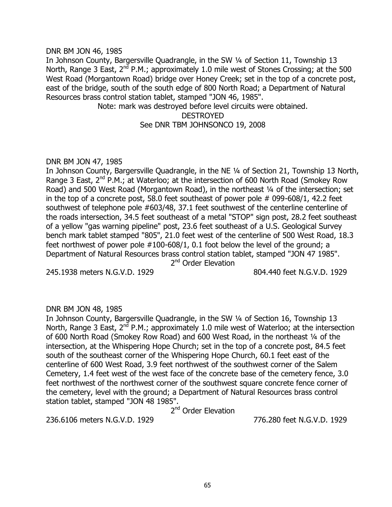#### DNR BM JON 46, 1985

In Johnson County, Bargersville Quadrangle, in the SW ¼ of Section 11, Township 13 North, Range 3 East,  $2^{nd}$  P.M.; approximately 1.0 mile west of Stones Crossing; at the 500 West Road (Morgantown Road) bridge over Honey Creek; set in the top of a concrete post, east of the bridge, south of the south edge of 800 North Road; a Department of Natural Resources brass control station tablet, stamped "JON 46, 1985".

Note: mark was destroyed before level circuits were obtained. DESTROYED See DNR TBM JOHNSONCO 19, 2008

### DNR BM JON 47, 1985

In Johnson County, Bargersville Quadrangle, in the NE ¼ of Section 21, Township 13 North, Range 3 East,  $2^{nd}$  P.M.; at Waterloo; at the intersection of 600 North Road (Smokey Row) Road) and 500 West Road (Morgantown Road), in the northeast 1/4 of the intersection; set in the top of a concrete post, 58.0 feet southeast of power pole # 099-608/1, 42.2 feet southwest of telephone pole #603/48, 37.1 feet southwest of the centerline centerline of the roads intersection, 34.5 feet southeast of a metal "STOP" sign post, 28.2 feet southeast of a yellow "gas warning pipeline" post, 23.6 feet southeast of a U.S. Geological Survey bench mark tablet stamped "805", 21.0 feet west of the centerline of 500 West Road, 18.3 feet northwest of power pole #100-608/1, 0.1 foot below the level of the ground; a Department of Natural Resources brass control station tablet, stamped "JON 47 1985".

2<sup>nd</sup> Order Elevation

245.1938 meters N.G.V.D. 1929 804.440 feet N.G.V.D. 1929

### DNR BM JON 48, 1985

In Johnson County, Bargersville Quadrangle, in the SW ¼ of Section 16, Township 13 North, Range 3 East,  $2^{nd}$  P.M.; approximately 1.0 mile west of Waterloo; at the intersection of 600 North Road (Smokey Row Road) and 600 West Road, in the northeast 1/4 of the intersection, at the Whispering Hope Church; set in the top of a concrete post, 84.5 feet south of the southeast corner of the Whispering Hope Church, 60.1 feet east of the centerline of 600 West Road, 3.9 feet northwest of the southwest corner of the Salem Cemetery, 1.4 feet west of the west face of the concrete base of the cemetery fence, 3.0 feet northwest of the northwest corner of the southwest square concrete fence corner of the cemetery, level with the ground; a Department of Natural Resources brass control station tablet, stamped "JON 48 1985".

2<sup>nd</sup> Order Elevation

236.6106 meters N.G.V.D. 1929 776.280 feet N.G.V.D. 1929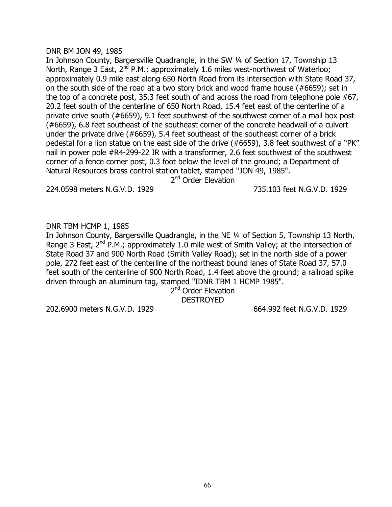#### DNR BM JON 49, 1985

In Johnson County, Bargersville Quadrangle, in the SW ¼ of Section 17, Township 13 North, Range 3 East,  $2^{nd}$  P.M.; approximately 1.6 miles west-northwest of Waterloo; approximately 0.9 mile east along 650 North Road from its intersection with State Road 37, on the south side of the road at a two story brick and wood frame house (#6659); set in the top of a concrete post, 35.3 feet south of and across the road from telephone pole #67, 20.2 feet south of the centerline of 650 North Road, 15.4 feet east of the centerline of a private drive south (#6659), 9.1 feet southwest of the southwest corner of a mail box post (#6659), 6.8 feet southeast of the southeast corner of the concrete headwall of a culvert under the private drive (#6659), 5.4 feet southeast of the southeast corner of a brick pedestal for a lion statue on the east side of the drive (#6659), 3.8 feet southwest of a "PK" nail in power pole #R4-299-22 IR with a transformer, 2.6 feet southwest of the southwest corner of a fence corner post, 0.3 foot below the level of the ground; a Department of Natural Resources brass control station tablet, stamped "JON 49, 1985".

2<sup>nd</sup> Order Elevation

224.0598 meters N.G.V.D. 1929 735.103 feet N.G.V.D. 1929

## DNR TBM HCMP 1, 1985

In Johnson County, Bargersville Quadrangle, in the NE ¼ of Section 5, Township 13 North, Range 3 East,  $2^{nd}$  P.M.; approximately 1.0 mile west of Smith Valley; at the intersection of State Road 37 and 900 North Road (Smith Valley Road); set in the north side of a power pole, 272 feet east of the centerline of the northeast bound lanes of State Road 37, 57.0 feet south of the centerline of 900 North Road, 1.4 feet above the ground; a railroad spike driven through an aluminum tag, stamped "IDNR TBM 1 HCMP 1985".

2<sup>nd</sup> Order Elevation **DESTROYED** 

202.6900 meters N.G.V.D. 1929 664.992 feet N.G.V.D. 1929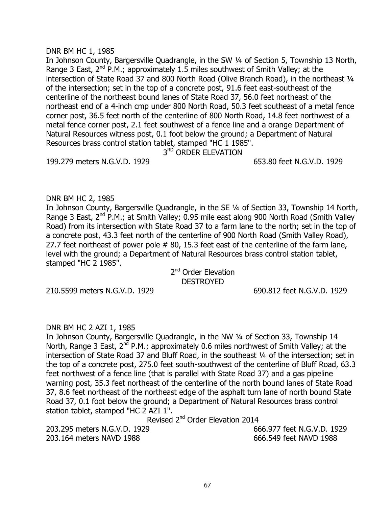#### DNR BM HC 1, 1985

In Johnson County, Bargersville Quadrangle, in the SW 1/4 of Section 5, Township 13 North, Range 3 East,  $2^{nd}$  P.M.; approximately 1.5 miles southwest of Smith Valley; at the intersection of State Road 37 and 800 North Road (Olive Branch Road), in the northeast 1/4 of the intersection; set in the top of a concrete post, 91.6 feet east-southeast of the centerline of the northeast bound lanes of State Road 37, 56.0 feet northeast of the northeast end of a 4-inch cmp under 800 North Road, 50.3 feet southeast of a metal fence corner post, 36.5 feet north of the centerline of 800 North Road, 14.8 feet northwest of a metal fence corner post, 2.1 feet southwest of a fence line and a orange Department of Natural Resources witness post, 0.1 foot below the ground; a Department of Natural Resources brass control station tablet, stamped "HC 1 1985".

3<sup>RD</sup> ORDER ELEVATION

199.279 meters N.G.V.D. 1929 653.80 feet N.G.V.D. 1929

### DNR BM HC 2, 1985

In Johnson County, Bargersville Quadrangle, in the SE ¼ of Section 33, Township 14 North, Range 3 East, 2<sup>nd</sup> P.M.; at Smith Valley; 0.95 mile east along 900 North Road (Smith Valley) Road) from its intersection with State Road 37 to a farm lane to the north; set in the top of a concrete post, 43.3 feet north of the centerline of 900 North Road (Smith Valley Road), 27.7 feet northeast of power pole # 80, 15.3 feet east of the centerline of the farm lane, level with the ground; a Department of Natural Resources brass control station tablet, stamped "HC 2 1985".

### 2<sup>nd</sup> Order Elevation DESTROYED

210.5599 meters N.G.V.D. 1929 690.812 feet N.G.V.D. 1929

#### DNR BM HC 2 AZI 1, 1985

In Johnson County, Bargersville Quadrangle, in the NW ¼ of Section 33, Township 14 North, Range 3 East,  $2^{nd}$  P.M.; approximately 0.6 miles northwest of Smith Valley; at the intersection of State Road 37 and Bluff Road, in the southeast ¼ of the intersection; set in the top of a concrete post, 275.0 feet south-southwest of the centerline of Bluff Road, 63.3 feet northwest of a fence line (that is parallel with State Road 37) and a gas pipeline warning post, 35.3 feet northeast of the centerline of the north bound lanes of State Road 37, 8.6 feet northeast of the northeast edge of the asphalt turn lane of north bound State Road 37, 0.1 foot below the ground; a Department of Natural Resources brass control station tablet, stamped "HC 2 AZI 1".

Revised 2<sup>nd</sup> Order Elevation 2014

203.295 meters N.G.V.D. 1929 666.977 feet N.G.V.D. 1929 203.164 meters NAVD 1988 666.549 feet NAVD 1988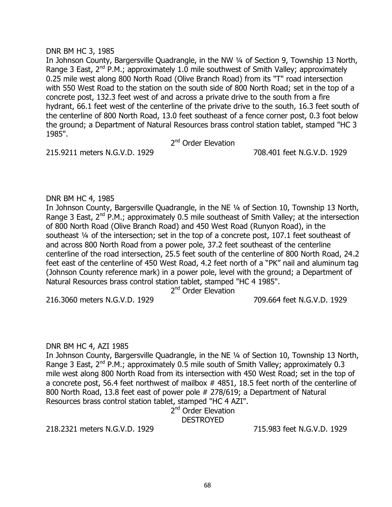### DNR BM HC 3, 1985

In Johnson County, Bargersville Quadrangle, in the NW 1/4 of Section 9, Township 13 North, Range 3 East,  $2^{nd}$  P.M.; approximately 1.0 mile southwest of Smith Valley; approximately 0.25 mile west along 800 North Road (Olive Branch Road) from its "T" road intersection with 550 West Road to the station on the south side of 800 North Road; set in the top of a concrete post, 132.3 feet west of and across a private drive to the south from a fire hydrant, 66.1 feet west of the centerline of the private drive to the south, 16.3 feet south of the centerline of 800 North Road, 13.0 feet southeast of a fence corner post, 0.3 foot below the ground; a Department of Natural Resources brass control station tablet, stamped "HC 3 1985".

2<sup>nd</sup> Order Elevation

215.9211 meters N.G.V.D. 1929 708.401 feet N.G.V.D. 1929

### DNR BM HC 4, 1985

In Johnson County, Bargersville Quadrangle, in the NE ¼ of Section 10, Township 13 North, Range 3 East,  $2^{nd}$  P.M.; approximately 0.5 mile southeast of Smith Valley; at the intersection of 800 North Road (Olive Branch Road) and 450 West Road (Runyon Road), in the southeast ¼ of the intersection; set in the top of a concrete post, 107.1 feet southeast of and across 800 North Road from a power pole, 37.2 feet southeast of the centerline centerline of the road intersection, 25.5 feet south of the centerline of 800 North Road, 24.2 feet east of the centerline of 450 West Road, 4.2 feet north of a "PK" nail and aluminum tag (Johnson County reference mark) in a power pole, level with the ground; a Department of Natural Resources brass control station tablet, stamped "HC 4 1985".

2<sup>nd</sup> Order Elevation

216.3060 meters N.G.V.D. 1929 709.664 feet N.G.V.D. 1929

### DNR BM HC 4, AZI 1985

In Johnson County, Bargersville Quadrangle, in the NE ¼ of Section 10, Township 13 North, Range 3 East,  $2^{nd}$  P.M.; approximately 0.5 mile south of Smith Valley; approximately 0.3 mile west along 800 North Road from its intersection with 450 West Road; set in the top of a concrete post, 56.4 feet northwest of mailbox # 4851, 18.5 feet north of the centerline of 800 North Road, 13.8 feet east of power pole # 278/619; a Department of Natural Resources brass control station tablet, stamped "HC 4 AZI".

> 2<sup>nd</sup> Order Elevation **DESTROYED**

218.2321 meters N.G.V.D. 1929 715.983 feet N.G.V.D. 1929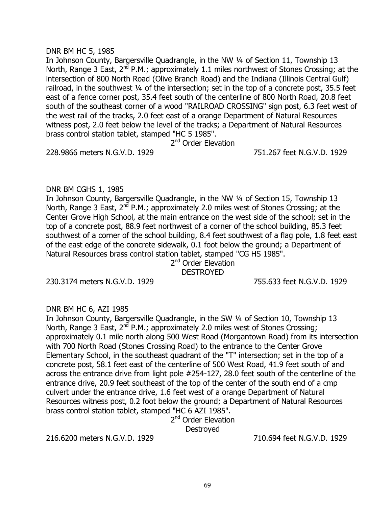### DNR BM HC 5, 1985

In Johnson County, Bargersville Quadrangle, in the NW ¼ of Section 11, Township 13 North, Range 3 East,  $2^{nd}$  P.M.; approximately 1.1 miles northwest of Stones Crossing; at the intersection of 800 North Road (Olive Branch Road) and the Indiana (Illinois Central Gulf) railroad, in the southwest 1/4 of the intersection; set in the top of a concrete post, 35.5 feet east of a fence corner post, 35.4 feet south of the centerline of 800 North Road, 20.8 feet south of the southeast corner of a wood "RAILROAD CROSSING" sign post, 6.3 feet west of the west rail of the tracks, 2.0 feet east of a orange Department of Natural Resources witness post, 2.0 feet below the level of the tracks; a Department of Natural Resources brass control station tablet, stamped "HC 5 1985".

2<sup>nd</sup> Order Elevation

228.9866 meters N.G.V.D. 1929 751.267 feet N.G.V.D. 1929

## DNR BM CGHS 1, 1985

In Johnson County, Bargersville Quadrangle, in the NW ¼ of Section 15, Township 13 North, Range 3 East,  $2^{nd}$  P.M.; approximately 2.0 miles west of Stones Crossing; at the Center Grove High School, at the main entrance on the west side of the school; set in the top of a concrete post, 88.9 feet northwest of a corner of the school building, 85.3 feet southwest of a corner of the school building, 8.4 feet southwest of a flag pole, 1.8 feet east of the east edge of the concrete sidewalk, 0.1 foot below the ground; a Department of Natural Resources brass control station tablet, stamped "CG HS 1985".

2<sup>nd</sup> Order Elevation

**DESTROYED** 

230.3174 meters N.G.V.D. 1929 755.633 feet N.G.V.D. 1929

### DNR BM HC 6, AZI 1985

In Johnson County, Bargersville Quadrangle, in the SW ¼ of Section 10, Township 13 North, Range 3 East,  $2^{nd}$  P.M.; approximately 2.0 miles west of Stones Crossing; approximately 0.1 mile north along 500 West Road (Morgantown Road) from its intersection with 700 North Road (Stones Crossing Road) to the entrance to the Center Grove Elementary School, in the southeast quadrant of the "T" intersection; set in the top of a concrete post, 58.1 feet east of the centerline of 500 West Road, 41.9 feet south of and across the entrance drive from light pole #254-127, 28.0 feet south of the centerline of the entrance drive, 20.9 feet southeast of the top of the center of the south end of a cmp culvert under the entrance drive, 1.6 feet west of a orange Department of Natural Resources witness post, 0.2 foot below the ground; a Department of Natural Resources brass control station tablet, stamped "HC 6 AZI 1985".

2<sup>nd</sup> Order Elevation

**Destroyed** 

216.6200 meters N.G.V.D. 1929 710.694 feet N.G.V.D. 1929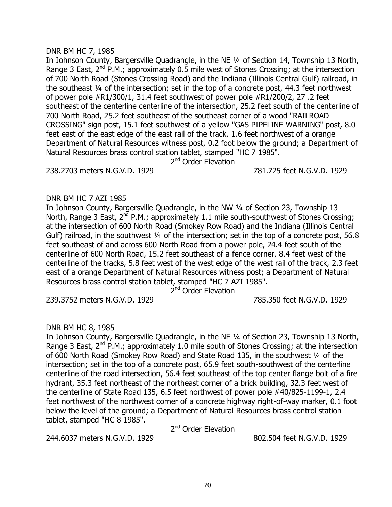### DNR BM HC 7, 1985

In Johnson County, Bargersville Quadrangle, in the NE ¼ of Section 14, Township 13 North, Range 3 East,  $2^{nd}$  P.M.; approximately 0.5 mile west of Stones Crossing; at the intersection of 700 North Road (Stones Crossing Road) and the Indiana (Illinois Central Gulf) railroad, in the southeast ¼ of the intersection; set in the top of a concrete post, 44.3 feet northwest of power pole #R1/300/1, 31.4 feet southwest of power pole #R1/200/2, 27 .2 feet southeast of the centerline centerline of the intersection, 25.2 feet south of the centerline of 700 North Road, 25.2 feet southeast of the southeast corner of a wood "RAILROAD CROSSING" sign post, 15.1 feet southwest of a yellow "GAS PIPELINE WARNING" post, 8.0 feet east of the east edge of the east rail of the track, 1.6 feet northwest of a orange Department of Natural Resources witness post, 0.2 foot below the ground; a Department of Natural Resources brass control station tablet, stamped "HC 7 1985".

2<sup>nd</sup> Order Elevation

238.2703 meters N.G.V.D. 1929 781.725 feet N.G.V.D. 1929

### DNR BM HC 7 AZI 1985

In Johnson County, Bargersville Quadrangle, in the NW ¼ of Section 23, Township 13 North, Range 3 East,  $2^{nd}$  P.M.; approximately 1.1 mile south-southwest of Stones Crossing; at the intersection of 600 North Road (Smokey Row Road) and the Indiana (Illinois Central Gulf) railroad, in the southwest 1/4 of the intersection; set in the top of a concrete post, 56.8 feet southeast of and across 600 North Road from a power pole, 24.4 feet south of the centerline of 600 North Road, 15.2 feet southeast of a fence corner, 8.4 feet west of the centerline of the tracks, 5.8 feet west of the west edge of the west rail of the track, 2.3 feet east of a orange Department of Natural Resources witness post; a Department of Natural Resources brass control station tablet, stamped "HC 7 AZI 1985".

2<sup>nd</sup> Order Elevation

239.3752 meters N.G.V.D. 1929 785.350 feet N.G.V.D. 1929

### DNR BM HC 8, 1985

In Johnson County, Bargersville Quadrangle, in the NE ¼ of Section 23, Township 13 North, Range 3 East, 2<sup>nd</sup> P.M.; approximately 1.0 mile south of Stones Crossing; at the intersection of 600 North Road (Smokey Row Road) and State Road 135, in the southwest ¼ of the intersection; set in the top of a concrete post, 65.9 feet south-southwest of the centerline centerline of the road intersection, 56.4 feet southeast of the top center flange bolt of a fire hydrant, 35.3 feet northeast of the northeast corner of a brick building, 32.3 feet west of the centerline of State Road 135, 6.5 feet northwest of power pole #40/825-1199-1, 2.4 feet northwest of the northwest corner of a concrete highway right-of-way marker, 0.1 foot below the level of the ground; a Department of Natural Resources brass control station tablet, stamped "HC 8 1985".

2<sup>nd</sup> Order Elevation

244.6037 meters N.G.V.D. 1929 802.504 feet N.G.V.D. 1929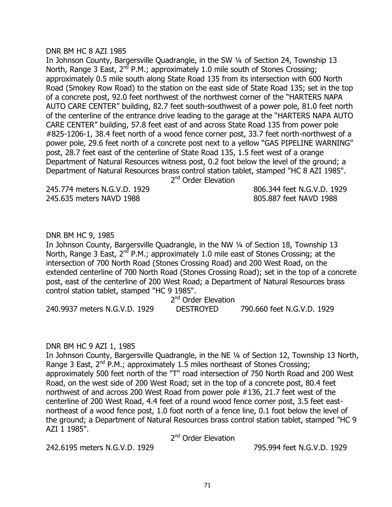#### DNR BM HC 8 AZI 1985

In Johnson County, Bargersville Quadrangle, in the SW ¼ of Section 24, Township 13 North, Range 3 East,  $2^{nd}$  P.M.; approximately 1.0 mile south of Stones Crossing; approximately 0.5 mile south along State Road 135 from its intersection with 600 North Road (Smokey Row Road) to the station on the east side of State Road 135; set in the top of a concrete post, 92.0 feet northwest of the northwest corner of the "HARTERS NAPA AUTO CARE CENTER" building, 82.7 feet south-southwest of a power pole, 81.0 feet north of the centerline of the entrance drive leading to the garage at the "HARTERS NAPA AUTO CARE CENTER" building, 57.8 feet east of and across State Road 135 from power pole #825-1206-1, 38.4 feet north of a wood fence corner post, 33.7 feet north-northwest of a power pole, 29.6 feet north of a concrete post next to a yellow "GAS PIPELINE WARNING" post, 28.7 feet east of the centerline of State Road 135, 1.5 feet west of a orange Department of Natural Resources witness post, 0.2 foot below the level of the ground; a Department of Natural Resources brass control station tablet, stamped "HC 8 AZI 1985".

2<sup>nd</sup> Order Elevation

245.774 meters N.G.V.D. 1929 806.344 feet N.G.V.D. 1929 245.635 meters NAVD 1988 805.887 feet NAVD 1988

# DNR BM HC 9, 1985

In Johnson County, Bargersville Quadrangle, in the NW ¼ of Section 18, Township 13 North, Range 3 East,  $2^{nd}$  P.M.; approximately 1.0 mile east of Stones Crossing; at the intersection of 700 North Road (Stones Crossing Road) and 200 West Road, on the extended centerline of 700 North Road (Stones Crossing Road); set in the top of a concrete post, east of the centerline of 200 West Road; a Department of Natural Resources brass control station tablet, stamped "HC 9 1985".

2<sup>nd</sup> Order Elevation 240.9937 meters N.G.V.D. 1929 DESTROYED 790.660 feet N.G.V.D. 1929

### DNR BM HC 9 AZI 1, 1985

In Johnson County, Bargersville Quadrangle, in the NE 1/4 of Section 12, Township 13 North, Range 3 East,  $2^{nd}$  P.M.; approximately 1.5 miles northeast of Stones Crossing; approximately 500 feet north of the "T" road intersection of 750 North Road and 200 West Road, on the west side of 200 West Road; set in the top of a concrete post, 80.4 feet northwest of and across 200 West Road from power pole #136, 21.7 feet west of the centerline of 200 West Road, 4.4 feet of a round wood fence corner post, 3.5 feet eastnortheast of a wood fence post, 1.0 foot north of a fence line, 0.1 foot below the level of the ground; a Department of Natural Resources brass control station tablet, stamped "HC 9 AZI 1 1985".

2<sup>nd</sup> Order Elevation

242.6195 meters N.G.V.D. 1929 795.994 feet N.G.V.D. 1929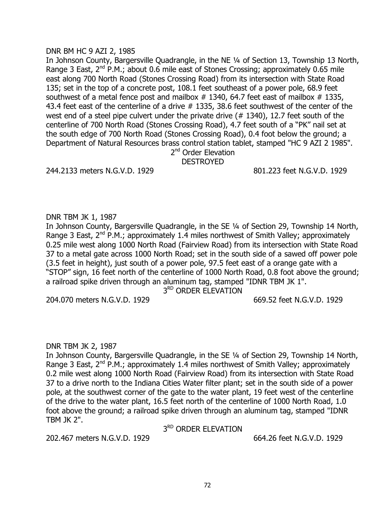#### DNR BM HC 9 AZI 2, 1985

In Johnson County, Bargersville Quadrangle, in the NE ¼ of Section 13, Township 13 North, Range 3 East, 2<sup>nd</sup> P.M.; about 0.6 mile east of Stones Crossing; approximately 0.65 mile east along 700 North Road (Stones Crossing Road) from its intersection with State Road 135; set in the top of a concrete post, 108.1 feet southeast of a power pole, 68.9 feet southwest of a metal fence post and mailbox  $#$  1340, 64.7 feet east of mailbox  $#$  1335, 43.4 feet east of the centerline of a drive # 1335, 38.6 feet southwest of the center of the west end of a steel pipe culvert under the private drive (#1340), 12.7 feet south of the centerline of 700 North Road (Stones Crossing Road), 4.7 feet south of a "PK" nail set at the south edge of 700 North Road (Stones Crossing Road), 0.4 foot below the ground; a Department of Natural Resources brass control station tablet, stamped "HC 9 AZI 2 1985".

2<sup>nd</sup> Order Elevation DESTROYED

244.2133 meters N.G.V.D. 1929 801.223 feet N.G.V.D. 1929

DNR TBM JK 1, 1987

In Johnson County, Bargersville Quadrangle, in the SE ¼ of Section 29, Township 14 North, Range 3 East,  $2^{nd}$  P.M.; approximately 1.4 miles northwest of Smith Valley; approximately 0.25 mile west along 1000 North Road (Fairview Road) from its intersection with State Road 37 to a metal gate across 1000 North Road; set in the south side of a sawed off power pole (3.5 feet in height), just south of a power pole, 97.5 feet east of a orange gate with a "STOP" sign, 16 feet north of the centerline of 1000 North Road, 0.8 foot above the ground; a railroad spike driven through an aluminum tag, stamped "IDNR TBM JK 1".

3<sup>RD</sup> ORDER ELEVATION

204.070 meters N.G.V.D. 1929 669.52 feet N.G.V.D. 1929

### DNR TBM JK 2, 1987

In Johnson County, Bargersville Quadrangle, in the SE ¼ of Section 29, Township 14 North, Range 3 East,  $2^{nd}$  P.M.; approximately 1.4 miles northwest of Smith Valley; approximately 0.2 mile west along 1000 North Road (Fairview Road) from its intersection with State Road 37 to a drive north to the Indiana Cities Water filter plant; set in the south side of a power pole, at the southwest corner of the gate to the water plant, 19 feet west of the centerline of the drive to the water plant, 16.5 feet north of the centerline of 1000 North Road, 1.0 foot above the ground; a railroad spike driven through an aluminum tag, stamped "IDNR TBM JK 2".

## 3<sup>RD</sup> ORDER ELEVATION

202.467 meters N.G.V.D. 1929 664.26 feet N.G.V.D. 1929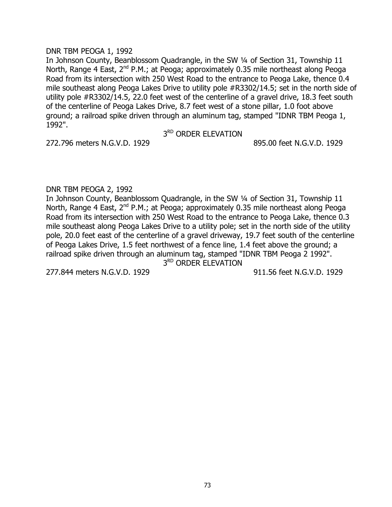### DNR TBM PEOGA 1, 1992

In Johnson County, Beanblossom Quadrangle, in the SW ¼ of Section 31, Township 11 North, Range 4 East, 2<sup>nd</sup> P.M.; at Peoga; approximately 0.35 mile northeast along Peoga Road from its intersection with 250 West Road to the entrance to Peoga Lake, thence 0.4 mile southeast along Peoga Lakes Drive to utility pole #R3302/14.5; set in the north side of utility pole #R3302/14.5, 22.0 feet west of the centerline of a gravel drive, 18.3 feet south of the centerline of Peoga Lakes Drive, 8.7 feet west of a stone pillar, 1.0 foot above ground; a railroad spike driven through an aluminum tag, stamped "IDNR TBM Peoga 1, 1992".

3<sup>RD</sup> ORDER ELEVATION

272.796 meters N.G.V.D. 1929 895.00 feet N.G.V.D. 1929

## DNR TBM PEOGA 2, 1992

In Johnson County, Beanblossom Quadrangle, in the SW ¼ of Section 31, Township 11 North, Range 4 East, 2<sup>nd</sup> P.M.; at Peoga; approximately 0.35 mile northeast along Peoga Road from its intersection with 250 West Road to the entrance to Peoga Lake, thence 0.3 mile southeast along Peoga Lakes Drive to a utility pole; set in the north side of the utility pole, 20.0 feet east of the centerline of a gravel driveway, 19.7 feet south of the centerline of Peoga Lakes Drive, 1.5 feet northwest of a fence line, 1.4 feet above the ground; a railroad spike driven through an aluminum tag, stamped "IDNR TBM Peoga 2 1992".

3<sup>RD</sup> ORDER ELEVATION

277.844 meters N.G.V.D. 1929 911.56 feet N.G.V.D. 1929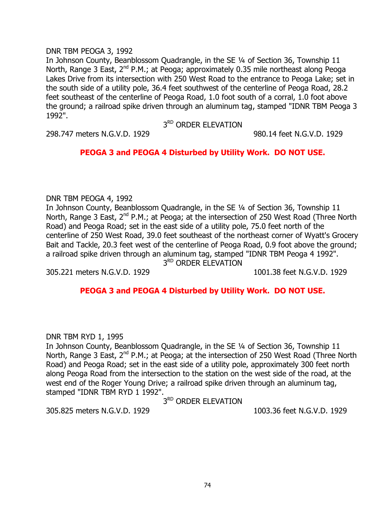## DNR TBM PEOGA 3, 1992

In Johnson County, Beanblossom Quadrangle, in the SE ¼ of Section 36, Township 11 North, Range 3 East,  $2^{nd}$  P.M.; at Peoga; approximately 0.35 mile northeast along Peoga Lakes Drive from its intersection with 250 West Road to the entrance to Peoga Lake; set in the south side of a utility pole, 36.4 feet southwest of the centerline of Peoga Road, 28.2 feet southeast of the centerline of Peoga Road, 1.0 foot south of a corral, 1.0 foot above the ground; a railroad spike driven through an aluminum tag, stamped "IDNR TBM Peoga 3 1992".

3RD ORDER ELEVATION

298.747 meters N.G.V.D. 1929 980.14 feet N.G.V.D. 1929

# **PEOGA 3 and PEOGA 4 Disturbed by Utility Work. DO NOT USE.**

## DNR TBM PEOGA 4, 1992

In Johnson County, Beanblossom Quadrangle, in the SE 1/4 of Section 36, Township 11 North, Range 3 East, 2<sup>nd</sup> P.M.; at Peoga; at the intersection of 250 West Road (Three North Road) and Peoga Road; set in the east side of a utility pole, 75.0 feet north of the centerline of 250 West Road, 39.0 feet southeast of the northeast corner of Wyatt's Grocery Bait and Tackle, 20.3 feet west of the centerline of Peoga Road, 0.9 foot above the ground; a railroad spike driven through an aluminum tag, stamped "IDNR TBM Peoga 4 1992". 3<sup>RD</sup> ORDER ELEVATION

305.221 meters N.G.V.D. 1929 1001.38 feet N.G.V.D. 1929

# **PEOGA 3 and PEOGA 4 Disturbed by Utility Work. DO NOT USE.**

DNR TBM RYD 1, 1995

In Johnson County, Beanblossom Quadrangle, in the SE ¼ of Section 36, Township 11 North, Range 3 East, 2<sup>nd</sup> P.M.; at Peoga; at the intersection of 250 West Road (Three North Road) and Peoga Road; set in the east side of a utility pole, approximately 300 feet north along Peoga Road from the intersection to the station on the west side of the road, at the west end of the Roger Young Drive; a railroad spike driven through an aluminum tag, stamped "IDNR TBM RYD 1 1992".

3<sup>RD</sup> ORDER ELEVATION

305.825 meters N.G.V.D. 1929 1003.36 feet N.G.V.D. 1929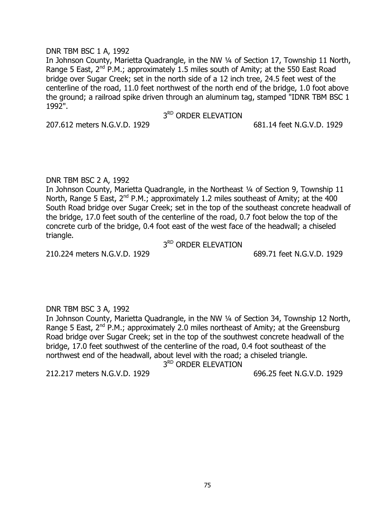### DNR TBM BSC 1 A, 1992

In Johnson County, Marietta Quadrangle, in the NW ¼ of Section 17, Township 11 North, Range 5 East,  $2^{nd}$  P.M.; approximately 1.5 miles south of Amity; at the 550 East Road bridge over Sugar Creek; set in the north side of a 12 inch tree, 24.5 feet west of the centerline of the road, 11.0 feet northwest of the north end of the bridge, 1.0 foot above the ground; a railroad spike driven through an aluminum tag, stamped "IDNR TBM BSC 1 1992".

## 3<sup>RD</sup> ORDER ELEVATION

207.612 meters N.G.V.D. 1929 681.14 feet N.G.V.D. 1929

## DNR TBM BSC 2 A, 1992

In Johnson County, Marietta Quadrangle, in the Northeast 1/4 of Section 9, Township 11 North, Range 5 East,  $2^{nd}$  P.M.; approximately 1.2 miles southeast of Amity; at the 400 South Road bridge over Sugar Creek; set in the top of the southeast concrete headwall of the bridge, 17.0 feet south of the centerline of the road, 0.7 foot below the top of the concrete curb of the bridge, 0.4 foot east of the west face of the headwall; a chiseled triangle.

3<sup>RD</sup> ORDER ELEVATION

210.224 meters N.G.V.D. 1929 689.71 feet N.G.V.D. 1929

## DNR TBM BSC 3 A, 1992

In Johnson County, Marietta Quadrangle, in the NW ¼ of Section 34, Township 12 North, Range 5 East,  $2^{nd}$  P.M.; approximately 2.0 miles northeast of Amity; at the Greensburg Road bridge over Sugar Creek; set in the top of the southwest concrete headwall of the bridge, 17.0 feet southwest of the centerline of the road, 0.4 foot southeast of the northwest end of the headwall, about level with the road; a chiseled triangle.

3<sup>RD</sup> ORDER ELEVATION

212.217 meters N.G.V.D. 1929 696.25 feet N.G.V.D. 1929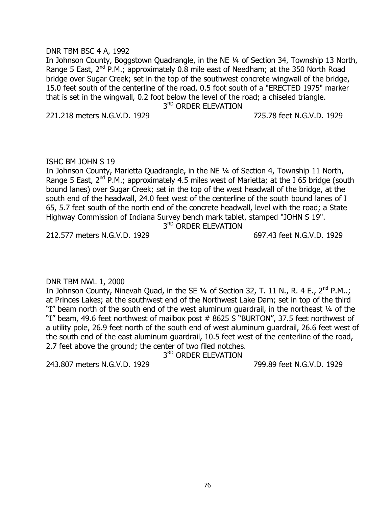### DNR TBM BSC 4 A, 1992

In Johnson County, Boggstown Quadrangle, in the NE ¼ of Section 34, Township 13 North, Range 5 East,  $2^{nd}$  P.M.; approximately 0.8 mile east of Needham; at the 350 North Road bridge over Sugar Creek; set in the top of the southwest concrete wingwall of the bridge, 15.0 feet south of the centerline of the road, 0.5 foot south of a "ERECTED 1975" marker that is set in the wingwall, 0.2 foot below the level of the road; a chiseled triangle.

3<sup>RD</sup> ORDER ELEVATION

221.218 meters N.G.V.D. 1929 725.78 feet N.G.V.D. 1929

#### ISHC BM JOHN S 19

In Johnson County, Marietta Quadrangle, in the NE ¼ of Section 4, Township 11 North, Range 5 East,  $2^{nd}$  P.M.; approximately 4.5 miles west of Marietta; at the I 65 bridge (south bound lanes) over Sugar Creek; set in the top of the west headwall of the bridge, at the south end of the headwall, 24.0 feet west of the centerline of the south bound lanes of I 65, 5.7 feet south of the north end of the concrete headwall, level with the road; a State Highway Commission of Indiana Survey bench mark tablet, stamped "JOHN S 19".

3<sup>RD</sup> ORDER ELEVATION

212.577 meters N.G.V.D. 1929 697.43 feet N.G.V.D. 1929

## DNR TBM NWL 1, 2000

In Johnson County, Ninevah Quad, in the SE  $\frac{1}{4}$  of Section 32, T. 11 N., R. 4 E., 2<sup>nd</sup> P.M..; at Princes Lakes; at the southwest end of the Northwest Lake Dam; set in top of the third "I" beam north of the south end of the west aluminum quardrail, in the northeast 1/4 of the "I" beam, 49.6 feet northwest of mailbox post # 8625 S "BURTON", 37.5 feet northwest of a utility pole, 26.9 feet north of the south end of west aluminum guardrail, 26.6 feet west of the south end of the east aluminum guardrail, 10.5 feet west of the centerline of the road, 2.7 feet above the ground; the center of two filed notches.

3<sup>RD</sup> ORDER ELEVATION

243.807 meters N.G.V.D. 1929 799.89 feet N.G.V.D. 1929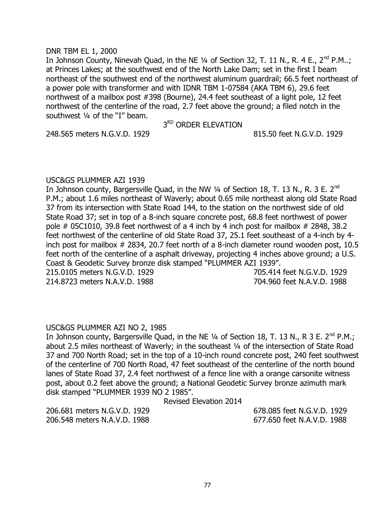### DNR TBM EL 1, 2000

In Johnson County, Ninevah Quad, in the NE 1/4 of Section 32, T. 11 N., R. 4 E., 2<sup>nd</sup> P.M..; at Princes Lakes; at the southwest end of the North Lake Dam; set in the first I beam northeast of the southwest end of the northwest aluminum guardrail; 66.5 feet northeast of a power pole with transformer and with IDNR TBM 1-07584 (AKA TBM 6), 29.6 feet northwest of a mailbox post #398 (Bourne), 24.4 feet southeast of a light pole, 12 feet northwest of the centerline of the road, 2.7 feet above the ground; a filed notch in the southwest ¼ of the "I" beam.

## 3RD ORDER ELEVATION

248.565 meters N.G.V.D. 1929 815.50 feet N.G.V.D. 1929

## USC&GS PLUMMER AZI 1939

In Johnson county, Bargersville Quad, in the NW 1/4 of Section 18, T. 13 N., R. 3 E. 2<sup>nd</sup> P.M.; about 1.6 miles northeast of Waverly; about 0.65 mile northeast along old State Road 37 from its intersection with State Road 144, to the station on the northwest side of old State Road 37; set in top of a 8-inch square concrete post, 68.8 feet northwest of power pole  $\#$  05C1010, 39.8 feet northwest of a 4 inch by 4 inch post for mailbox  $\#$  2848, 38.2 feet northwest of the centerline of old State Road 37, 25.1 feet southeast of a 4-inch by 4 inch post for mailbox # 2834, 20.7 feet north of a 8-inch diameter round wooden post, 10.5 feet north of the centerline of a asphalt driveway, projecting 4 inches above ground; a U.S. Coast & Geodetic Survey bronze disk stamped "PLUMMER AZI 1939". 215.0105 meters N.G.V.D. 1929 705.414 feet N.G.V.D. 1929

214.8723 meters N.A.V.D. 1988 704.960 feet N.A.V.D. 1988

## USC&GS PLUMMER AZI NO 2, 1985

In Johnson county, Bargersville Quad, in the NE 1/4 of Section 18, T. 13 N., R 3 E. 2<sup>nd</sup> P.M.; about 2.5 miles northeast of Waverly; in the southeast ¼ of the intersection of State Road 37 and 700 North Road; set in the top of a 10-inch round concrete post, 240 feet southwest of the centerline of 700 North Road, 47 feet southeast of the centerline of the north bound lanes of State Road 37, 2.4 feet northwest of a fence line with a orange carsonite witness post, about 0.2 feet above the ground; a National Geodetic Survey bronze azimuth mark disk stamped "PLUMMER 1939 NO 2 1985".

## Revised Elevation 2014

206.681 meters N.G.V.D. 1929 678.085 feet N.G.V.D. 1929 206.548 meters N.A.V.D. 1988 677.650 feet N.A.V.D. 1988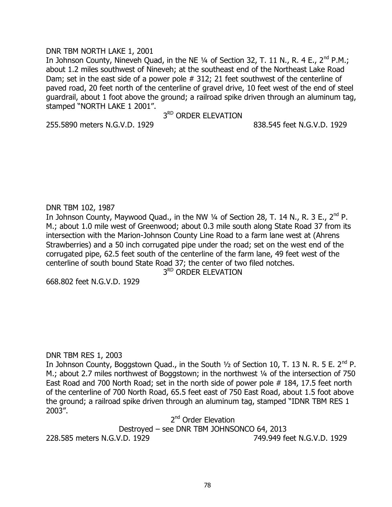## DNR TBM NORTH LAKE 1, 2001

In Johnson County, Nineveh Quad, in the NE 1/4 of Section 32, T. 11 N., R. 4 E., 2<sup>nd</sup> P.M.; about 1.2 miles southwest of Nineveh; at the southeast end of the Northeast Lake Road Dam; set in the east side of a power pole # 312; 21 feet southwest of the centerline of paved road, 20 feet north of the centerline of gravel drive, 10 feet west of the end of steel guardrail, about 1 foot above the ground; a railroad spike driven through an aluminum tag, stamped "NORTH LAKE 1 2001".

3<sup>RD</sup> ORDER ELEVATION

255.5890 meters N.G.V.D. 1929 838.545 feet N.G.V.D. 1929

## DNR TBM 102, 1987

In Johnson County, Maywood Quad., in the NW  $\frac{1}{4}$  of Section 28, T. 14 N., R. 3 E., 2<sup>nd</sup> P. M.; about 1.0 mile west of Greenwood; about 0.3 mile south along State Road 37 from its intersection with the Marion-Johnson County Line Road to a farm lane west at (Ahrens Strawberries) and a 50 inch corrugated pipe under the road; set on the west end of the corrugated pipe, 62.5 feet south of the centerline of the farm lane, 49 feet west of the centerline of south bound State Road 37; the center of two filed notches.

3<sup>RD</sup> ORDER ELEVATION

668.802 feet N.G.V.D. 1929

## DNR TBM RES 1, 2003

In Johnson County, Boggstown Quad., in the South  $\frac{1}{2}$  of Section 10, T. 13 N. R. 5 E. 2<sup>nd</sup> P. M.; about 2.7 miles northwest of Boggstown; in the northwest 1/4 of the intersection of 750 East Road and 700 North Road; set in the north side of power pole # 184, 17.5 feet north of the centerline of 700 North Road, 65.5 feet east of 750 East Road, about 1.5 foot above the ground; a railroad spike driven through an aluminum tag, stamped "IDNR TBM RES 1 2003".

2<sup>nd</sup> Order Elevation

Destroyed – see DNR TBM JOHNSONCO 64, 2013 228.585 meters N.G.V.D. 1929 749.949 feet N.G.V.D. 1929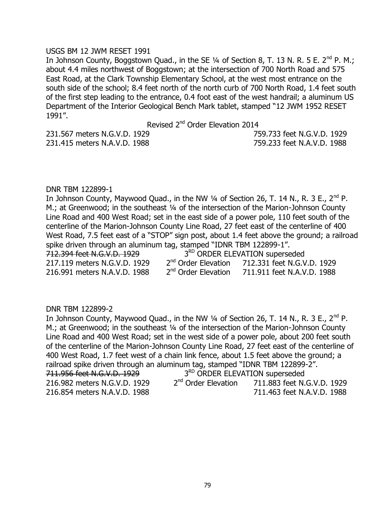### USGS BM 12 JWM RESET 1991

In Johnson County, Boggstown Quad., in the SE  $\frac{1}{4}$  of Section 8, T. 13 N. R. 5 E. 2<sup>nd</sup> P. M.; about 4.4 miles northwest of Boggstown; at the intersection of 700 North Road and 575 East Road, at the Clark Township Elementary School, at the west most entrance on the south side of the school; 8.4 feet north of the north curb of 700 North Road, 1.4 feet south of the first step leading to the entrance, 0.4 foot east of the west handrail; a aluminum US Department of the Interior Geological Bench Mark tablet, stamped "12 JWM 1952 RESET 1991".

Revised 2<sup>nd</sup> Order Elevation 2014

231.415 meters N.A.V.D. 1988 759.233 feet N.A.V.D. 1988

231.567 meters N.G.V.D. 1929 759.733 feet N.G.V.D. 1929

## DNR TBM 122899-1

In Johnson County, Maywood Quad., in the NW  $\frac{1}{4}$  of Section 26, T. 14 N., R. 3 E., 2<sup>nd</sup> P. M.; at Greenwood; in the southeast 1/4 of the intersection of the Marion-Johnson County Line Road and 400 West Road; set in the east side of a power pole, 110 feet south of the centerline of the Marion-Johnson County Line Road, 27 feet east of the centerline of 400 West Road, 7.5 feet east of a "STOP" sign post, about 1.4 feet above the ground; a railroad spike driven through an aluminum tag, stamped "IDNR TBM 122899-1". 712.394 feet N.G.V.D. 1929 3<sup>RD</sup> ORDER ELEVATION superseded 217.119 meters N.G.V.D. 1929  $2<sup>nd</sup>$  Order Elevation 712.331 feet N.G.V.D. 1929 216.991 meters N.A.V.D. 1988 2<sup>nd</sup> Order Elevation 711.911 feet N.A.V.D. 1988

#### DNR TBM 122899-2

In Johnson County, Maywood Quad., in the NW  $\frac{1}{4}$  of Section 26, T. 14 N., R. 3 E., 2<sup>nd</sup> P. M.; at Greenwood; in the southeast 1/4 of the intersection of the Marion-Johnson County Line Road and 400 West Road; set in the west side of a power pole, about 200 feet south of the centerline of the Marion-Johnson County Line Road, 27 feet east of the centerline of 400 West Road, 1.7 feet west of a chain link fence, about 1.5 feet above the ground; a railroad spike driven through an aluminum tag, stamped "IDNR TBM 122899-2". 711.956 feet N.G.V.D. 1929 3<sup>RD</sup> ORDER ELEVATION superseded 216.982 meters N.G.V.D. 1929  $2<sup>nd</sup>$  Order Elevation 711.883 feet N.G.V.D. 1929 216.854 meters N.A.V.D. 1988 711.463 feet N.A.V.D. 1988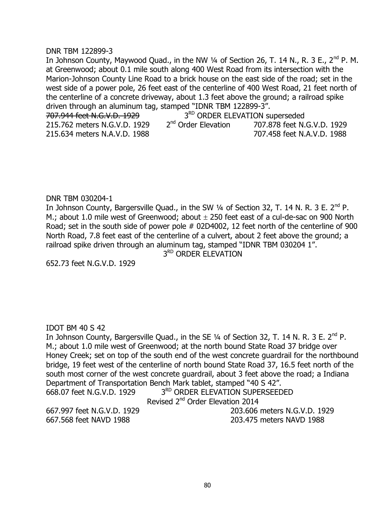#### DNR TBM 122899-3

In Johnson County, Maywood Quad., in the NW 1/4 of Section 26, T. 14 N., R. 3 E., 2<sup>nd</sup> P. M. at Greenwood; about 0.1 mile south along 400 West Road from its intersection with the Marion-Johnson County Line Road to a brick house on the east side of the road; set in the west side of a power pole, 26 feet east of the centerline of 400 West Road, 21 feet north of the centerline of a concrete driveway, about 1.3 feet above the ground; a railroad spike driven through an aluminum tag, stamped "IDNR TBM 122899-3". 707.944 feet N.G.V.D. 1929 3<sup>RD</sup> ORDER ELE<br>215.762 meters N.G.V.D. 1929 2<sup>nd</sup> Order Elevation 3<sup>RD</sup> ORDER ELEVATION superseded 215.762 meters N.G.V.D. 1929 2

215.634 meters N.A.V.D. 1988 707.458 feet N.A.V.D. 1988

707.878 feet N.G.V.D. 1929

#### DNR TBM 030204-1

In Johnson County, Bargersville Quad., in the SW 1/4 of Section 32, T. 14 N. R. 3 E. 2<sup>nd</sup> P. M.; about 1.0 mile west of Greenwood; about  $\pm$  250 feet east of a cul-de-sac on 900 North Road; set in the south side of power pole # 02D4002, 12 feet north of the centerline of 900 North Road, 7.8 feet east of the centerline of a culvert, about 2 feet above the ground; a railroad spike driven through an aluminum tag, stamped "IDNR TBM 030204 1". 3<sup>RD</sup> ORDER ELEVATION

652.73 feet N.G.V.D. 1929

## IDOT BM 40 S 42

In Johnson County, Bargersville Quad., in the SE  $\frac{1}{4}$  of Section 32, T. 14 N. R. 3 E. 2<sup>nd</sup> P. M.; about 1.0 mile west of Greenwood; at the north bound State Road 37 bridge over Honey Creek; set on top of the south end of the west concrete guardrail for the northbound bridge, 19 feet west of the centerline of north bound State Road 37, 16.5 feet north of the south most corner of the west concrete guardrail, about 3 feet above the road; a Indiana Department of Transportation Bench Mark tablet, stamped "40 S 42".

668.07 feet N.G.V.D. 1929

3<sup>RD</sup> ORDER ELEVATION SUPERSEEDED

Revised 2<sup>nd</sup> Order Elevation 2014

667.997 feet N.G.V.D. 1929 203.606 meters N.G.V.D. 1929 667.568 feet NAVD 1988 203.475 meters NAVD 1988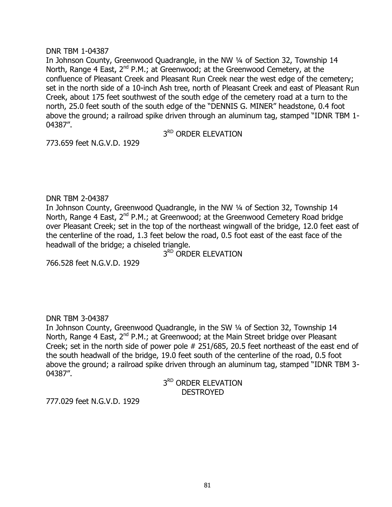### DNR TBM 1-04387

In Johnson County, Greenwood Quadrangle, in the NW 1/4 of Section 32, Township 14 North, Range 4 East,  $2^{nd}$  P.M.; at Greenwood; at the Greenwood Cemetery, at the confluence of Pleasant Creek and Pleasant Run Creek near the west edge of the cemetery; set in the north side of a 10-inch Ash tree, north of Pleasant Creek and east of Pleasant Run Creek, about 175 feet southwest of the south edge of the cemetery road at a turn to the north, 25.0 feet south of the south edge of the "DENNIS G. MINER" headstone, 0.4 foot above the ground; a railroad spike driven through an aluminum tag, stamped "IDNR TBM 1- 04387".

3<sup>RD</sup> ORDER ELEVATION

773.659 feet N.G.V.D. 1929

## DNR TBM 2-04387

In Johnson County, Greenwood Quadrangle, in the NW 1/4 of Section 32, Township 14 North, Range 4 East,  $2^{nd}$  P.M.; at Greenwood; at the Greenwood Cemetery Road bridge over Pleasant Creek; set in the top of the northeast wingwall of the bridge, 12.0 feet east of the centerline of the road, 1.3 feet below the road, 0.5 foot east of the east face of the headwall of the bridge; a chiseled triangle.

3<sup>RD</sup> ORDER ELEVATION

766.528 feet N.G.V.D. 1929

## DNR TBM 3-04387

In Johnson County, Greenwood Quadrangle, in the SW ¼ of Section 32, Township 14 North, Range 4 East,  $2^{nd}$  P.M.; at Greenwood; at the Main Street bridge over Pleasant Creek; set in the north side of power pole # 251/685, 20.5 feet northeast of the east end of the south headwall of the bridge, 19.0 feet south of the centerline of the road, 0.5 foot above the ground; a railroad spike driven through an aluminum tag, stamped "IDNR TBM 3- 04387".

> 3<sup>RD</sup> ORDER ELEVATION **DESTROYED**

777.029 feet N.G.V.D. 1929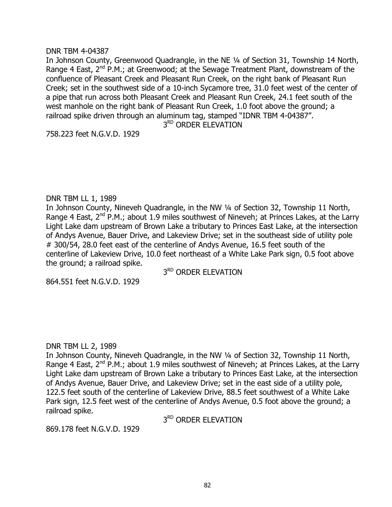### DNR TBM 4-04387

In Johnson County, Greenwood Quadrangle, in the NE ¼ of Section 31, Township 14 North, Range 4 East,  $2^{nd}$  P.M.; at Greenwood; at the Sewage Treatment Plant, downstream of the confluence of Pleasant Creek and Pleasant Run Creek, on the right bank of Pleasant Run Creek; set in the southwest side of a 10-inch Sycamore tree, 31.0 feet west of the center of a pipe that run across both Pleasant Creek and Pleasant Run Creek, 24.1 feet south of the west manhole on the right bank of Pleasant Run Creek, 1.0 foot above the ground; a railroad spike driven through an aluminum tag, stamped "IDNR TBM 4-04387".

3RD ORDER ELEVATION

758.223 feet N.G.V.D. 1929

## DNR TBM LL 1, 1989

In Johnson County, Nineveh Quadrangle, in the NW ¼ of Section 32, Township 11 North, Range 4 East, 2<sup>nd</sup> P.M.; about 1.9 miles southwest of Nineveh; at Princes Lakes, at the Larry Light Lake dam upstream of Brown Lake a tributary to Princes East Lake, at the intersection of Andys Avenue, Bauer Drive, and Lakeview Drive; set in the southeast side of utility pole # 300/54, 28.0 feet east of the centerline of Andys Avenue, 16.5 feet south of the centerline of Lakeview Drive, 10.0 feet northeast of a White Lake Park sign, 0.5 foot above the ground; a railroad spike.

3<sup>RD</sup> ORDER ELEVATION

864.551 feet N.G.V.D. 1929

## DNR TBM LL 2, 1989

In Johnson County, Nineveh Quadrangle, in the NW ¼ of Section 32, Township 11 North, Range 4 East,  $2^{nd}$  P.M.; about 1.9 miles southwest of Nineveh; at Princes Lakes, at the Larry Light Lake dam upstream of Brown Lake a tributary to Princes East Lake, at the intersection of Andys Avenue, Bauer Drive, and Lakeview Drive; set in the east side of a utility pole, 122.5 feet south of the centerline of Lakeview Drive, 88.5 feet southwest of a White Lake Park sign, 12.5 feet west of the centerline of Andys Avenue, 0.5 foot above the ground; a railroad spike.

3<sup>RD</sup> ORDER ELEVATION

869.178 feet N.G.V.D. 1929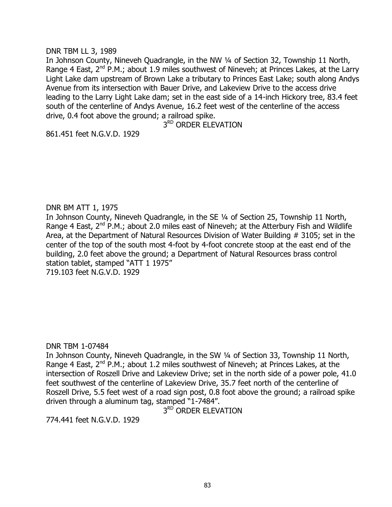### DNR TBM LL 3, 1989

In Johnson County, Nineveh Quadrangle, in the NW ¼ of Section 32, Township 11 North, Range 4 East,  $2^{nd}$  P.M.; about 1.9 miles southwest of Nineveh; at Princes Lakes, at the Larry Light Lake dam upstream of Brown Lake a tributary to Princes East Lake; south along Andys Avenue from its intersection with Bauer Drive, and Lakeview Drive to the access drive leading to the Larry Light Lake dam; set in the east side of a 14-inch Hickory tree, 83.4 feet south of the centerline of Andys Avenue, 16.2 feet west of the centerline of the access drive, 0.4 foot above the ground; a railroad spike.

3RD ORDER ELEVATION

861.451 feet N.G.V.D. 1929

## DNR BM ATT 1, 1975

In Johnson County, Nineveh Quadrangle, in the SE ¼ of Section 25, Township 11 North, Range 4 East,  $2^{nd}$  P.M.; about 2.0 miles east of Nineveh; at the Atterbury Fish and Wildlife Area, at the Department of Natural Resources Division of Water Building # 3105; set in the center of the top of the south most 4-foot by 4-foot concrete stoop at the east end of the building, 2.0 feet above the ground; a Department of Natural Resources brass control station tablet, stamped "ATT 1 1975" 719.103 feet N.G.V.D. 1929

#### DNR TBM 1-07484

In Johnson County, Nineveh Quadrangle, in the SW ¼ of Section 33, Township 11 North, Range 4 East,  $2^{nd}$  P.M.; about 1.2 miles southwest of Nineveh; at Princes Lakes, at the intersection of Roszell Drive and Lakeview Drive; set in the north side of a power pole, 41.0 feet southwest of the centerline of Lakeview Drive, 35.7 feet north of the centerline of Roszell Drive, 5.5 feet west of a road sign post, 0.8 foot above the ground; a railroad spike driven through a aluminum tag, stamped "1-7484".

3<sup>RD</sup> ORDER ELEVATION

774.441 feet N.G.V.D. 1929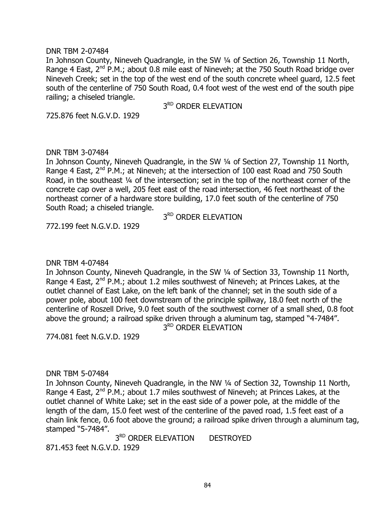### DNR TBM 2-07484

In Johnson County, Nineveh Quadrangle, in the SW ¼ of Section 26, Township 11 North, Range 4 East,  $2^{nd}$  P.M.; about 0.8 mile east of Nineveh; at the 750 South Road bridge over Nineveh Creek; set in the top of the west end of the south concrete wheel guard, 12.5 feet south of the centerline of 750 South Road, 0.4 foot west of the west end of the south pipe railing; a chiseled triangle.

3<sup>RD</sup> ORDER ELEVATION

725.876 feet N.G.V.D. 1929

## DNR TBM 3-07484

In Johnson County, Nineveh Quadrangle, in the SW ¼ of Section 27, Township 11 North, Range 4 East,  $2^{nd}$  P.M.; at Nineveh; at the intersection of 100 east Road and 750 South Road, in the southeast ¼ of the intersection; set in the top of the northeast corner of the concrete cap over a well, 205 feet east of the road intersection, 46 feet northeast of the northeast corner of a hardware store building, 17.0 feet south of the centerline of 750 South Road; a chiseled triangle.

3RD ORDER ELEVATION

772.199 feet N.G.V.D. 1929

## DNR TBM 4-07484

In Johnson County, Nineveh Quadrangle, in the SW ¼ of Section 33, Township 11 North, Range 4 East,  $2^{nd}$  P.M.; about 1.2 miles southwest of Nineveh; at Princes Lakes, at the outlet channel of East Lake, on the left bank of the channel; set in the south side of a power pole, about 100 feet downstream of the principle spillway, 18.0 feet north of the centerline of Roszell Drive, 9.0 feet south of the southwest corner of a small shed, 0.8 foot above the ground; a railroad spike driven through a aluminum tag, stamped "4-7484". 3RD ORDER ELEVATION

774.081 feet N.G.V.D. 1929

## DNR TBM 5-07484

In Johnson County, Nineveh Quadrangle, in the NW ¼ of Section 32, Township 11 North, Range 4 East,  $2^{nd}$  P.M.; about 1.7 miles southwest of Nineveh; at Princes Lakes, at the outlet channel of White Lake; set in the east side of a power pole, at the middle of the length of the dam, 15.0 feet west of the centerline of the paved road, 1.5 feet east of a chain link fence, 0.6 foot above the ground; a railroad spike driven through a aluminum tag, stamped "5-7484".

3<sup>RD</sup> ORDER ELEVATION DESTROYED 871.453 feet N.G.V.D. 1929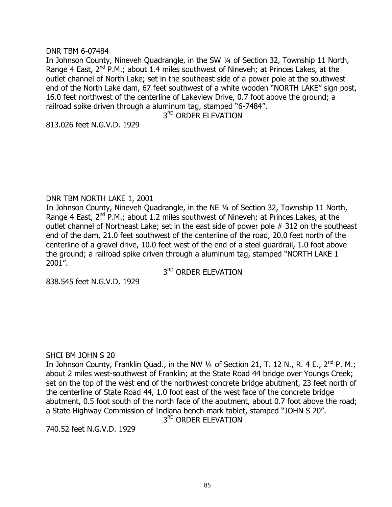### DNR TBM 6-07484

In Johnson County, Nineveh Quadrangle, in the SW ¼ of Section 32, Township 11 North, Range 4 East,  $2^{nd}$  P.M.; about 1.4 miles southwest of Nineveh; at Princes Lakes, at the outlet channel of North Lake; set in the southeast side of a power pole at the southwest end of the North Lake dam, 67 feet southwest of a white wooden "NORTH LAKE" sign post, 16.0 feet northwest of the centerline of Lakeview Drive, 0.7 foot above the ground; a railroad spike driven through a aluminum tag, stamped "6-7484".

3<sup>RD</sup> ORDER ELEVATION

813.026 feet N.G.V.D. 1929

## DNR TBM NORTH LAKE 1, 2001

In Johnson County, Nineveh Quadrangle, in the NE ¼ of Section 32, Township 11 North, Range 4 East,  $2^{nd}$  P.M.; about 1.2 miles southwest of Nineveh; at Princes Lakes, at the outlet channel of Northeast Lake; set in the east side of power pole # 312 on the southeast end of the dam, 21.0 feet southwest of the centerline of the road, 20.0 feet north of the centerline of a gravel drive, 10.0 feet west of the end of a steel guardrail, 1.0 foot above the ground; a railroad spike driven through a aluminum tag, stamped "NORTH LAKE 1 2001".

3<sup>RD</sup> ORDER ELEVATION

838.545 feet N.G.V.D. 1929

## SHCI BM JOHN S 20

In Johnson County, Franklin Quad., in the NW  $\frac{1}{4}$  of Section 21, T. 12 N., R. 4 E., 2<sup>nd</sup> P. M.; about 2 miles west-southwest of Franklin; at the State Road 44 bridge over Youngs Creek; set on the top of the west end of the northwest concrete bridge abutment, 23 feet north of the centerline of State Road 44, 1.0 foot east of the west face of the concrete bridge abutment, 0.5 foot south of the north face of the abutment, about 0.7 foot above the road; a State Highway Commission of Indiana bench mark tablet, stamped "JOHN S 20". 3<sup>RD</sup> ORDER ELEVATION

740.52 feet N.G.V.D. 1929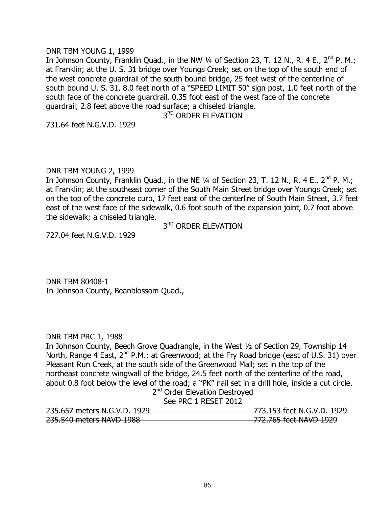### DNR TBM YOUNG 1, 1999

In Johnson County, Franklin Quad., in the NW 1/4 of Section 23, T. 12 N., R. 4 E., 2<sup>nd</sup> P. M.; at Franklin; at the U. S. 31 bridge over Youngs Creek; set on the top of the south end of the west concrete guardrail of the south bound bridge, 25 feet west of the centerline of south bound U. S. 31, 8.0 feet north of a "SPEED LIMIT 50" sign post, 1.0 feet north of the south face of the concrete guardrail, 0.35 foot east of the west face of the concrete guardrail, 2.8 feet above the road surface; a chiseled triangle.

3<sup>RD</sup> ORDER ELEVATION

731.64 feet N.G.V.D. 1929

## DNR TBM YOUNG 2, 1999

In Johnson County, Franklin Quad., in the NE  $\frac{1}{4}$  of Section 23, T. 12 N., R. 4 E., 2<sup>nd</sup> P. M.; at Franklin; at the southeast corner of the South Main Street bridge over Youngs Creek; set on the top of the concrete curb, 17 feet east of the centerline of South Main Street, 3.7 feet east of the west face of the sidewalk, 0.6 foot south of the expansion joint, 0.7 foot above the sidewalk; a chiseled triangle.

3<sup>RD</sup> ORDER ELEVATION

727.04 feet N.G.V.D. 1929

DNR TBM 80408-1 In Johnson County, Beanblossom Quad.,

## DNR TBM PRC 1, 1988

In Johnson County, Beech Grove Quadrangle, in the West ½ of Section 29, Township 14 North, Range 4 East,  $2^{nd}$  P.M.; at Greenwood; at the Fry Road bridge (east of U.S. 31) over Pleasant Run Creek, at the south side of the Greenwood Mall; set in the top of the northeast concrete wingwall of the bridge, 24.5 feet north of the centerline of the road, about 0.8 foot below the level of the road; a "PK" nail set in a drill hole, inside a cut circle.

|  |  | 2 <sup>nd</sup> Order Elevation Destroyed |  |
|--|--|-------------------------------------------|--|
|  |  | ------                                    |  |

See PRC 1 RESET 2012

| 225 $657$ motors N $\cap$ V D $1020$     | 772 153 foot N C V D 1020                        |
|------------------------------------------|--------------------------------------------------|
| <del>233.037 THERE S N.O.V.D. 1727</del> | <del>י כגיב הטהיהסהיו סטו ככבהכדר</del>          |
| 235.540 meters NAVD 1988                 | 772 765 foot NAVD 1020<br>772.7031666117770 1222 |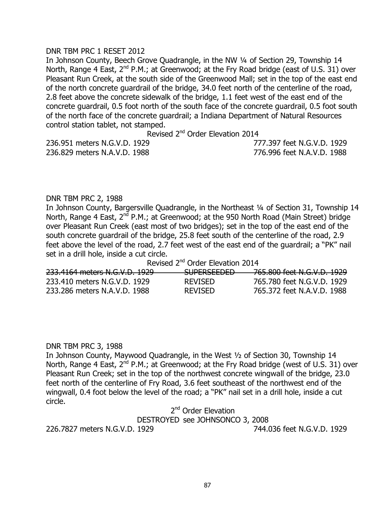## DNR TBM PRC 1 RESET 2012

In Johnson County, Beech Grove Quadrangle, in the NW ¼ of Section 29, Township 14 North, Range 4 East, 2<sup>nd</sup> P.M.; at Greenwood; at the Fry Road bridge (east of U.S. 31) over Pleasant Run Creek, at the south side of the Greenwood Mall; set in the top of the east end of the north concrete guardrail of the bridge, 34.0 feet north of the centerline of the road, 2.8 feet above the concrete sidewalk of the bridge, 1.1 feet west of the east end of the concrete guardrail, 0.5 foot north of the south face of the concrete guardrail, 0.5 foot south of the north face of the concrete guardrail; a Indiana Department of Natural Resources control station tablet, not stamped.

Revised 2<sup>nd</sup> Order Elevation 2014

236.951 meters N.G.V.D. 1929 777.397 feet N.G.V.D. 1929 236.829 meters N.A.V.D. 1988 776.996 feet N.A.V.D. 1988

#### DNR TBM PRC 2, 1988

In Johnson County, Bargersville Quadrangle, in the Northeast 1/4 of Section 31, Township 14 North, Range 4 East,  $2^{nd}$  P.M.; at Greenwood; at the 950 North Road (Main Street) bridge over Pleasant Run Creek (east most of two bridges); set in the top of the east end of the south concrete guardrail of the bridge, 25.8 feet south of the centerline of the road, 2.9 feet above the level of the road, 2.7 feet west of the east end of the guardrail; a "PK" nail set in a drill hole, inside a cut circle.

Revised 2<sup>nd</sup> Order Elevation 2014

| 233.4164 meters N.G.V.D. 1929 | CLIDEDCEENEN<br><del>JULENJEEDED</del> | 765.800 feet N.G.V.D. 1929 |
|-------------------------------|----------------------------------------|----------------------------|
| 233.410 meters N.G.V.D. 1929  | <b>REVISED</b>                         | 765.780 feet N.G.V.D. 1929 |
| 233.286 meters N.A.V.D. 1988  | <b>REVISED</b>                         | 765.372 feet N.A.V.D. 1988 |

#### DNR TBM PRC 3, 1988

In Johnson County, Maywood Quadrangle, in the West ½ of Section 30, Township 14 North, Range 4 East,  $2^{nd}$  P.M.; at Greenwood; at the Fry Road bridge (west of U.S. 31) over Pleasant Run Creek; set in the top of the northwest concrete wingwall of the bridge, 23.0 feet north of the centerline of Fry Road, 3.6 feet southeast of the northwest end of the wingwall, 0.4 foot below the level of the road; a "PK" nail set in a drill hole, inside a cut circle.

2<sup>nd</sup> Order Elevation

DESTROYED see JOHNSONCO 3, 2008

226.7827 meters N.G.V.D. 1929 744.036 feet N.G.V.D. 1929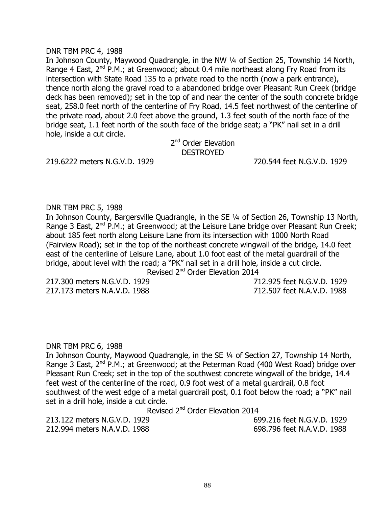### DNR TBM PRC 4, 1988

In Johnson County, Maywood Quadrangle, in the NW ¼ of Section 25, Township 14 North, Range 4 East,  $2^{nd}$  P.M.; at Greenwood; about 0.4 mile northeast along Fry Road from its intersection with State Road 135 to a private road to the north (now a park entrance), thence north along the gravel road to a abandoned bridge over Pleasant Run Creek (bridge deck has been removed); set in the top of and near the center of the south concrete bridge seat, 258.0 feet north of the centerline of Fry Road, 14.5 feet northwest of the centerline of the private road, about 2.0 feet above the ground, 1.3 feet south of the north face of the bridge seat, 1.1 feet north of the south face of the bridge seat; a "PK" nail set in a drill hole, inside a cut circle.

2<sup>nd</sup> Order Elevation DESTROYED

219.6222 meters N.G.V.D. 1929 720.544 feet N.G.V.D. 1929

## DNR TBM PRC 5, 1988

In Johnson County, Bargersville Quadrangle, in the SE ¼ of Section 26, Township 13 North, Range 3 East, 2<sup>nd</sup> P.M.; at Greenwood; at the Leisure Lane bridge over Pleasant Run Creek; about 185 feet north along Leisure Lane from its intersection with 1000 North Road (Fairview Road); set in the top of the northeast concrete wingwall of the bridge, 14.0 feet east of the centerline of Leisure Lane, about 1.0 foot east of the metal guardrail of the bridge, about level with the road; a "PK" nail set in a drill hole, inside a cut circle. Revised 2<sup>nd</sup> Order Elevation 2014

217.173 meters N.A.V.D. 1988 712.507 feet N.A.V.D. 1988

217.300 meters N.G.V.D. 1929 712.925 feet N.G.V.D. 1929

#### DNR TBM PRC 6, 1988

In Johnson County, Maywood Quadrangle, in the SE ¼ of Section 27, Township 14 North, Range 3 East,  $2^{nd}$  P.M.; at Greenwood; at the Peterman Road (400 West Road) bridge over Pleasant Run Creek; set in the top of the southwest concrete wingwall of the bridge, 14.4 feet west of the centerline of the road, 0.9 foot west of a metal guardrail, 0.8 foot southwest of the west edge of a metal guardrail post, 0.1 foot below the road; a "PK" nail set in a drill hole, inside a cut circle.

Revised 2<sup>nd</sup> Order Elevation 2014

213.122 meters N.G.V.D. 1929 699.216 feet N.G.V.D. 1929 212.994 meters N.A.V.D. 1988 698.796 feet N.A.V.D. 1988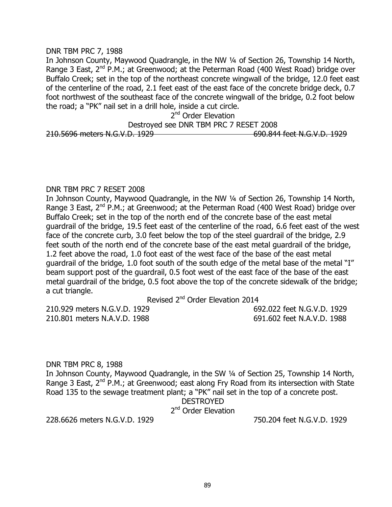### DNR TBM PRC 7, 1988

In Johnson County, Maywood Quadrangle, in the NW ¼ of Section 26, Township 14 North, Range 3 East,  $2^{nd}$  P.M.; at Greenwood; at the Peterman Road (400 West Road) bridge over Buffalo Creek; set in the top of the northeast concrete wingwall of the bridge, 12.0 feet east of the centerline of the road, 2.1 feet east of the east face of the concrete bridge deck, 0.7 foot northwest of the southeast face of the concrete wingwall of the bridge, 0.2 foot below the road; a "PK" nail set in a drill hole, inside a cut circle.

## 2<sup>nd</sup> Order Elevation

Destroyed see DNR TBM PRC 7 RESET 2008 210.5696 meters N.G.V.D. 1929 690.844 feet N.G.V.D. 1929

## DNR TBM PRC 7 RESET 2008

In Johnson County, Maywood Quadrangle, in the NW ¼ of Section 26, Township 14 North, Range 3 East,  $2^{nd}$  P.M.; at Greenwood; at the Peterman Road (400 West Road) bridge over Buffalo Creek; set in the top of the north end of the concrete base of the east metal guardrail of the bridge, 19.5 feet east of the centerline of the road, 6.6 feet east of the west face of the concrete curb, 3.0 feet below the top of the steel guardrail of the bridge, 2.9 feet south of the north end of the concrete base of the east metal guardrail of the bridge, 1.2 feet above the road, 1.0 foot east of the west face of the base of the east metal guardrail of the bridge, 1.0 foot south of the south edge of the metal base of the metal "I" beam support post of the guardrail, 0.5 foot west of the east face of the base of the east metal guardrail of the bridge, 0.5 foot above the top of the concrete sidewalk of the bridge; a cut triangle.

Revised 2<sup>nd</sup> Order Elevation 2014

210.929 meters N.G.V.D. 1929 692.022 feet N.G.V.D. 1929 210.801 meters N.A.V.D. 1988 691.602 feet N.A.V.D. 1988

DNR TBM PRC 8, 1988 In Johnson County, Maywood Quadrangle, in the SW ¼ of Section 25, Township 14 North, Range 3 East,  $2^{nd}$  P.M.; at Greenwood; east along Fry Road from its intersection with State Road 135 to the sewage treatment plant; a "PK" nail set in the top of a concrete post. DESTROYED

2<sup>nd</sup> Order Elevation

228.6626 meters N.G.V.D. 1929 750.204 feet N.G.V.D. 1929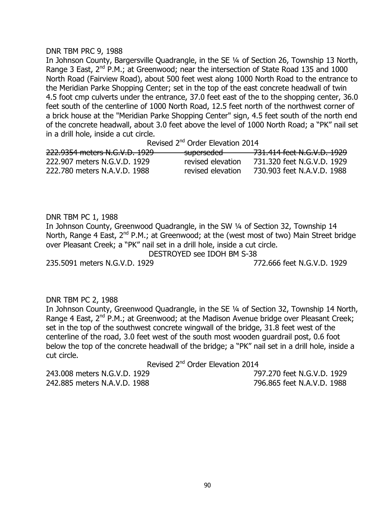#### DNR TBM PRC 9, 1988

In Johnson County, Bargersville Quadrangle, in the SE ¼ of Section 26, Township 13 North, Range 3 East,  $2^{nd}$  P.M.; at Greenwood; near the intersection of State Road 135 and 1000 North Road (Fairview Road), about 500 feet west along 1000 North Road to the entrance to the Meridian Parke Shopping Center; set in the top of the east concrete headwall of twin 4.5 foot cmp culverts under the entrance, 37.0 feet east of the to the shopping center, 36.0 feet south of the centerline of 1000 North Road, 12.5 feet north of the northwest corner of a brick house at the "Meridian Parke Shopping Center" sign, 4.5 feet south of the north end of the concrete headwall, about 3.0 feet above the level of 1000 North Road; a "PK" nail set in a drill hole, inside a cut circle.

Revised 2<sup>nd</sup> Order Elevation 2014

| 222.9354 meters N.G.V.D. 1929 | superseded        | 731.414 feet N.G.V.D. 1929 |
|-------------------------------|-------------------|----------------------------|
|                               |                   |                            |
| 222.907 meters N.G.V.D. 1929  | revised elevation | 731.320 feet N.G.V.D. 1929 |
| 222.780 meters N.A.V.D. 1988  | revised elevation | 730.903 feet N.A.V.D. 1988 |

DNR TBM PC 1, 1988 In Johnson County, Greenwood Quadrangle, in the SW ¼ of Section 32, Township 14 North, Range 4 East, 2<sup>nd</sup> P.M.; at Greenwood; at the (west most of two) Main Street bridge over Pleasant Creek; a "PK" nail set in a drill hole, inside a cut circle. DESTROYED see IDOH BM S-38

235.5091 meters N.G.V.D. 1929 772.666 feet N.G.V.D. 1929

## DNR TBM PC 2, 1988

In Johnson County, Greenwood Quadrangle, in the SE ¼ of Section 32, Township 14 North, Range 4 East,  $2^{nd}$  P.M.; at Greenwood; at the Madison Avenue bridge over Pleasant Creek; set in the top of the southwest concrete wingwall of the bridge, 31.8 feet west of the centerline of the road, 3.0 feet west of the south most wooden guardrail post, 0.6 foot below the top of the concrete headwall of the bridge; a "PK" nail set in a drill hole, inside a cut circle.

Revised 2<sup>nd</sup> Order Elevation 2014

243.008 meters N.G.V.D. 1929 797.270 feet N.G.V.D. 1929 242.885 meters N.A.V.D. 1988 796.865 feet N.A.V.D. 1988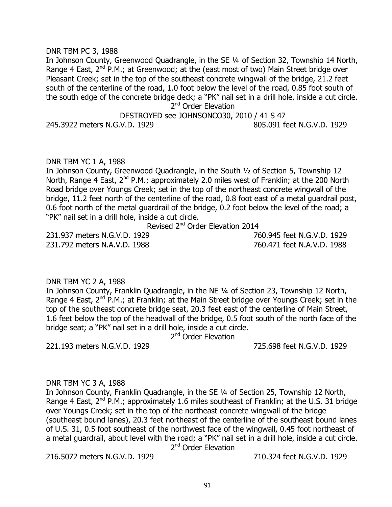### DNR TBM PC 3, 1988

In Johnson County, Greenwood Quadrangle, in the SE ¼ of Section 32, Township 14 North, Range 4 East,  $2^{nd}$  P.M.; at Greenwood; at the (east most of two) Main Street bridge over Pleasant Creek; set in the top of the southeast concrete wingwall of the bridge, 21.2 feet south of the centerline of the road, 1.0 foot below the level of the road, 0.85 foot south of the south edge of the concrete bridge deck; a "PK" nail set in a drill hole, inside a cut circle. 2<sup>nd</sup> Order Elevation

DESTROYED see JOHNSONCO30, 2010 / 41 S 47

245.3922 meters N.G.V.D. 1929 805.091 feet N.G.V.D. 1929

## DNR TBM YC 1 A, 1988

In Johnson County, Greenwood Quadrangle, in the South ½ of Section 5, Township 12 North, Range 4 East,  $2^{nd}$  P.M.; approximately 2.0 miles west of Franklin; at the 200 North Road bridge over Youngs Creek; set in the top of the northeast concrete wingwall of the bridge, 11.2 feet north of the centerline of the road, 0.8 foot east of a metal guardrail post, 0.6 foot north of the metal guardrail of the bridge, 0.2 foot below the level of the road; a "PK" nail set in a drill hole, inside a cut circle.

Revised 2<sup>nd</sup> Order Elevation 2014

231.937 meters N.G.V.D. 1929 760.945 feet N.G.V.D. 1929 231.792 meters N.A.V.D. 1988 760.471 feet N.A.V.D. 1988

## DNR TBM YC 2 A, 1988

In Johnson County, Franklin Quadrangle, in the NE ¼ of Section 23, Township 12 North, Range 4 East, 2<sup>nd</sup> P.M.; at Franklin; at the Main Street bridge over Youngs Creek; set in the top of the southeast concrete bridge seat, 20.3 feet east of the centerline of Main Street, 1.6 feet below the top of the headwall of the bridge, 0.5 foot south of the north face of the bridge seat; a "PK" nail set in a drill hole, inside a cut circle.

2<sup>nd</sup> Order Elevation

221.193 meters N.G.V.D. 1929 725.698 feet N.G.V.D. 1929

#### DNR TBM YC 3 A, 1988

In Johnson County, Franklin Quadrangle, in the SE ¼ of Section 25, Township 12 North, Range 4 East,  $2^{nd}$  P.M.; approximately 1.6 miles southeast of Franklin; at the U.S. 31 bridge over Youngs Creek; set in the top of the northeast concrete wingwall of the bridge (southeast bound lanes), 20.3 feet northeast of the centerline of the southeast bound lanes of U.S. 31, 0.5 foot southeast of the northwest face of the wingwall, 0.45 foot northeast of a metal guardrail, about level with the road; a "PK" nail set in a drill hole, inside a cut circle.

2<sup>nd</sup> Order Elevation

216.5072 meters N.G.V.D. 1929 710.324 feet N.G.V.D. 1929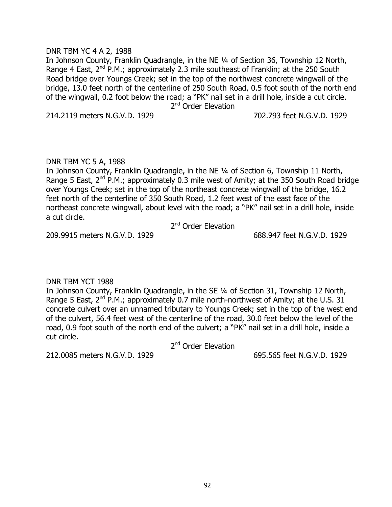## DNR TBM YC 4 A 2, 1988

In Johnson County, Franklin Quadrangle, in the NE ¼ of Section 36, Township 12 North, Range 4 East,  $2^{nd}$  P.M.; approximately 2.3 mile southeast of Franklin; at the 250 South Road bridge over Youngs Creek; set in the top of the northwest concrete wingwall of the bridge, 13.0 feet north of the centerline of 250 South Road, 0.5 foot south of the north end of the wingwall, 0.2 foot below the road; a "PK" nail set in a drill hole, inside a cut circle. 2<sup>nd</sup> Order Elevation

214.2119 meters N.G.V.D. 1929 702.793 feet N.G.V.D. 1929

## DNR TBM YC 5 A, 1988

In Johnson County, Franklin Quadrangle, in the NE ¼ of Section 6, Township 11 North, Range 5 East,  $2^{nd}$  P.M.; approximately 0.3 mile west of Amity; at the 350 South Road bridge over Youngs Creek; set in the top of the northeast concrete wingwall of the bridge, 16.2 feet north of the centerline of 350 South Road, 1.2 feet west of the east face of the northeast concrete wingwall, about level with the road; a "PK" nail set in a drill hole, inside a cut circle.

2<sup>nd</sup> Order Elevation

209.9915 meters N.G.V.D. 1929 688.947 feet N.G.V.D. 1929

## DNR TBM YCT 1988

In Johnson County, Franklin Quadrangle, in the SE ¼ of Section 31, Township 12 North, Range 5 East,  $2^{nd}$  P.M.; approximately 0.7 mile north-northwest of Amity; at the U.S. 31 concrete culvert over an unnamed tributary to Youngs Creek; set in the top of the west end of the culvert, 56.4 feet west of the centerline of the road, 30.0 feet below the level of the road, 0.9 foot south of the north end of the culvert; a "PK" nail set in a drill hole, inside a cut circle.

2<sup>nd</sup> Order Elevation

212.0085 meters N.G.V.D. 1929 695.565 feet N.G.V.D. 1929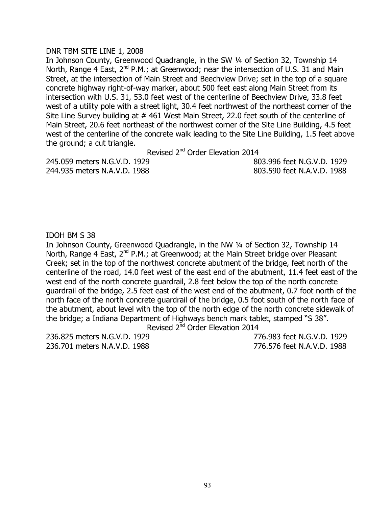## DNR TBM SITE LINE 1, 2008

In Johnson County, Greenwood Quadrangle, in the SW 1/4 of Section 32, Township 14 North, Range 4 East,  $2^{nd}$  P.M.; at Greenwood; near the intersection of U.S. 31 and Main Street, at the intersection of Main Street and Beechview Drive; set in the top of a square concrete highway right-of-way marker, about 500 feet east along Main Street from its intersection with U.S. 31, 53.0 feet west of the centerline of Beechview Drive, 33.8 feet west of a utility pole with a street light, 30.4 feet northwest of the northeast corner of the Site Line Survey building at #461 West Main Street, 22.0 feet south of the centerline of Main Street, 20.6 feet northeast of the northwest corner of the Site Line Building, 4.5 feet west of the centerline of the concrete walk leading to the Site Line Building, 1.5 feet above the ground; a cut triangle.

Revised 2<sup>nd</sup> Order Elevation 2014

244.935 meters N.A.V.D. 1988 803.590 feet N.A.V.D. 1988

245.059 meters N.G.V.D. 1929 803.996 feet N.G.V.D. 1929

## IDOH BM S 38

In Johnson County, Greenwood Quadrangle, in the NW 1/4 of Section 32, Township 14 North, Range 4 East, 2<sup>nd</sup> P.M.; at Greenwood; at the Main Street bridge over Pleasant Creek; set in the top of the northwest concrete abutment of the bridge, feet north of the centerline of the road, 14.0 feet west of the east end of the abutment, 11.4 feet east of the west end of the north concrete guardrail, 2.8 feet below the top of the north concrete guardrail of the bridge, 2.5 feet east of the west end of the abutment, 0.7 foot north of the north face of the north concrete guardrail of the bridge, 0.5 foot south of the north face of the abutment, about level with the top of the north edge of the north concrete sidewalk of the bridge; a Indiana Department of Highways bench mark tablet, stamped "S 38".

Revised 2<sup>nd</sup> Order Elevation 2014

236.825 meters N.G.V.D. 1929 776.983 feet N.G.V.D. 1929 236.701 meters N.A.V.D. 1988 776.576 feet N.A.V.D. 1988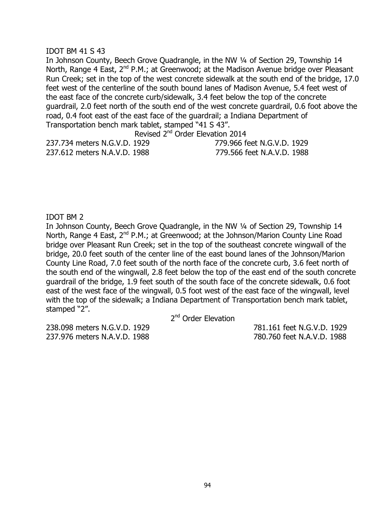### IDOT BM 41 S 43

In Johnson County, Beech Grove Quadrangle, in the NW ¼ of Section 29, Township 14 North, Range 4 East, 2<sup>nd</sup> P.M.; at Greenwood; at the Madison Avenue bridge over Pleasant Run Creek; set in the top of the west concrete sidewalk at the south end of the bridge, 17.0 feet west of the centerline of the south bound lanes of Madison Avenue, 5.4 feet west of the east face of the concrete curb/sidewalk, 3.4 feet below the top of the concrete guardrail, 2.0 feet north of the south end of the west concrete guardrail, 0.6 foot above the road, 0.4 foot east of the east face of the guardrail; a Indiana Department of Transportation bench mark tablet, stamped "41 S 43".

Revised 2<sup>nd</sup> Order Elevation 2014

|  | 237.734 meters N.G.V.D. 1929 |  |
|--|------------------------------|--|
|  | 237.612 meters N.A.V.D. 1988 |  |

237.734 meters N.G.V.D. 1929 779.966 feet N.G.V.D. 1929 237.612 meters N.A.V.D. 1988 779.566 feet N.A.V.D. 1988

## IDOT BM 2

In Johnson County, Beech Grove Quadrangle, in the NW ¼ of Section 29, Township 14 North, Range 4 East, 2<sup>nd</sup> P.M.; at Greenwood; at the Johnson/Marion County Line Road bridge over Pleasant Run Creek; set in the top of the southeast concrete wingwall of the bridge, 20.0 feet south of the center line of the east bound lanes of the Johnson/Marion County Line Road, 7.0 feet south of the north face of the concrete curb, 3.6 feet north of the south end of the wingwall, 2.8 feet below the top of the east end of the south concrete guardrail of the bridge, 1.9 feet south of the south face of the concrete sidewalk, 0.6 foot east of the west face of the wingwall, 0.5 foot west of the east face of the wingwall, level with the top of the sidewalk; a Indiana Department of Transportation bench mark tablet, stamped "2".

2<sup>nd</sup> Order Elevation

237.976 meters N.A.V.D. 1988 780.760 feet N.A.V.D. 1988

238.098 meters N.G.V.D. 1929 781.161 feet N.G.V.D. 1929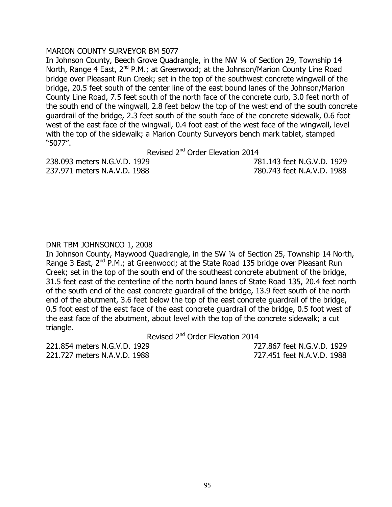### MARION COUNTY SURVEYOR BM 5077

In Johnson County, Beech Grove Quadrangle, in the NW 1/4 of Section 29, Township 14 North, Range 4 East, 2<sup>nd</sup> P.M.; at Greenwood; at the Johnson/Marion County Line Road bridge over Pleasant Run Creek; set in the top of the southwest concrete wingwall of the bridge, 20.5 feet south of the center line of the east bound lanes of the Johnson/Marion County Line Road, 7.5 feet south of the north face of the concrete curb, 3.0 feet north of the south end of the wingwall, 2.8 feet below the top of the west end of the south concrete guardrail of the bridge, 2.3 feet south of the south face of the concrete sidewalk, 0.6 foot west of the east face of the wingwall, 0.4 foot east of the west face of the wingwall, level with the top of the sidewalk; a Marion County Surveyors bench mark tablet, stamped "5077".

Revised 2<sup>nd</sup> Order Elevation 2014

237.971 meters N.A.V.D. 1988 780.743 feet N.A.V.D. 1988

238.093 meters N.G.V.D. 1929 781.143 feet N.G.V.D. 1929

# DNR TBM JOHNSONCO 1, 2008

In Johnson County, Maywood Quadrangle, in the SW ¼ of Section 25, Township 14 North, Range 3 East, 2<sup>nd</sup> P.M.; at Greenwood; at the State Road 135 bridge over Pleasant Run Creek; set in the top of the south end of the southeast concrete abutment of the bridge, 31.5 feet east of the centerline of the north bound lanes of State Road 135, 20.4 feet north of the south end of the east concrete guardrail of the bridge, 13.9 feet south of the north end of the abutment, 3.6 feet below the top of the east concrete guardrail of the bridge, 0.5 foot east of the east face of the east concrete guardrail of the bridge, 0.5 foot west of the east face of the abutment, about level with the top of the concrete sidewalk; a cut triangle.

Revised 2<sup>nd</sup> Order Elevation 2014

221.854 meters N.G.V.D. 1929 727.867 feet N.G.V.D. 1929 221.727 meters N.A.V.D. 1988 727.451 feet N.A.V.D. 1988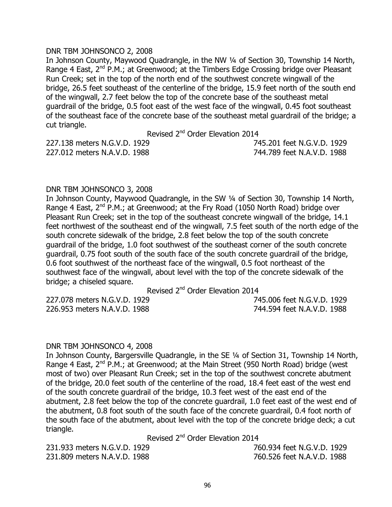## DNR TBM JOHNSONCO 2, 2008

In Johnson County, Maywood Quadrangle, in the NW ¼ of Section 30, Township 14 North, Range 4 East, 2<sup>nd</sup> P.M.; at Greenwood; at the Timbers Edge Crossing bridge over Pleasant Run Creek; set in the top of the north end of the southwest concrete wingwall of the bridge, 26.5 feet southeast of the centerline of the bridge, 15.9 feet north of the south end of the wingwall, 2.7 feet below the top of the concrete base of the southeast metal guardrail of the bridge, 0.5 foot east of the west face of the wingwall, 0.45 foot southeast of the southeast face of the concrete base of the southeast metal guardrail of the bridge; a cut triangle.

Revised 2<sup>nd</sup> Order Elevation 2014

| 227.138 meters N.G.V.D. 1929 | 745.201 feet N.G.V.D. 1929 |  |
|------------------------------|----------------------------|--|
| 227.012 meters N.A.V.D. 1988 | 744.789 feet N.A.V.D. 1988 |  |

## DNR TBM JOHNSONCO 3, 2008

In Johnson County, Maywood Quadrangle, in the SW ¼ of Section 30, Township 14 North, Range 4 East,  $2^{nd}$  P.M.; at Greenwood; at the Fry Road (1050 North Road) bridge over Pleasant Run Creek; set in the top of the southeast concrete wingwall of the bridge, 14.1 feet northwest of the southeast end of the wingwall, 7.5 feet south of the north edge of the south concrete sidewalk of the bridge, 2.8 feet below the top of the south concrete guardrail of the bridge, 1.0 foot southwest of the southeast corner of the south concrete guardrail, 0.75 foot south of the south face of the south concrete guardrail of the bridge, 0.6 foot southwest of the northeast face of the wingwall, 0.5 foot northeast of the southwest face of the wingwall, about level with the top of the concrete sidewalk of the bridge; a chiseled square.

Revised 2<sup>nd</sup> Order Elevation 2014

227.078 meters N.G.V.D. 1929 745.006 feet N.G.V.D. 1929 226.953 meters N.A.V.D. 1988 744.594 feet N.A.V.D. 1988

#### DNR TBM JOHNSONCO 4, 2008

In Johnson County, Bargersville Quadrangle, in the SE ¼ of Section 31, Township 14 North, Range 4 East,  $2^{nd}$  P.M.; at Greenwood; at the Main Street (950 North Road) bridge (west most of two) over Pleasant Run Creek; set in the top of the southwest concrete abutment of the bridge, 20.0 feet south of the centerline of the road, 18.4 feet east of the west end of the south concrete guardrail of the bridge, 10.3 feet west of the east end of the abutment, 2.8 feet below the top of the concrete guardrail, 1.0 feet east of the west end of the abutment, 0.8 foot south of the south face of the concrete guardrail, 0.4 foot north of the south face of the abutment, about level with the top of the concrete bridge deck; a cut triangle.

Revised 2<sup>nd</sup> Order Elevation 2014

| 231.933 meters N.G.V.D. 1929 | 760.934 feet N.G.V.D. 1929 |
|------------------------------|----------------------------|
| 231,809 meters N.A.V.D. 1988 | 760.526 feet N.A.V.D. 1988 |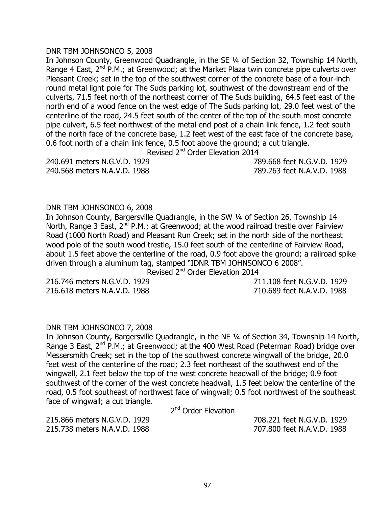### DNR TBM JOHNSONCO 5, 2008

In Johnson County, Greenwood Quadrangle, in the SE ¼ of Section 32, Township 14 North, Range 4 East,  $2^{nd}$  P.M.; at Greenwood; at the Market Plaza twin concrete pipe culverts over Pleasant Creek; set in the top of the southwest corner of the concrete base of a four-inch round metal light pole for The Suds parking lot, southwest of the downstream end of the culverts, 71.5 feet north of the northeast corner of The Suds building, 64.5 feet east of the north end of a wood fence on the west edge of The Suds parking lot, 29.0 feet west of the centerline of the road, 24.5 feet south of the center of the top of the south most concrete pipe culvert, 6.5 feet northwest of the metal end post of a chain link fence, 1.2 feet south of the north face of the concrete base, 1.2 feet west of the east face of the concrete base, 0.6 foot north of a chain link fence, 0.5 foot above the ground; a cut triangle.

Revised 2<sup>nd</sup> Order Elevation 2014

240.691 meters N.G.V.D. 1929 789.668 feet N.G.V.D. 1929 240.568 meters N.A.V.D. 1988 789.263 feet N.A.V.D. 1988

#### DNR TBM JOHNSONCO 6, 2008

In Johnson County, Bargersville Quadrangle, in the SW ¼ of Section 26, Township 14 North, Range 3 East,  $2^{nd}$  P.M.; at Greenwood; at the wood railroad trestle over Fairview Road (1000 North Road) and Pleasant Run Creek; set in the north side of the northeast wood pole of the south wood trestle, 15.0 feet south of the centerline of Fairview Road, about 1.5 feet above the centerline of the road, 0.9 foot above the ground; a railroad spike driven through a aluminum tag, stamped "IDNR TBM JOHNSONCO 6 2008".

Revised 2<sup>nd</sup> Order Elevation 2014

216.618 meters N.A.V.D. 1988 710.689 feet N.A.V.D. 1988

216.746 meters N.G.V.D. 1929 711.108 feet N.G.V.D. 1929

#### DNR TBM JOHNSONCO 7, 2008

In Johnson County, Bargersville Quadrangle, in the NE ¼ of Section 34, Township 14 North, Range 3 East,  $2^{nd}$  P.M.; at Greenwood; at the 400 West Road (Peterman Road) bridge over Messersmith Creek; set in the top of the southwest concrete wingwall of the bridge, 20.0 feet west of the centerline of the road; 2.3 feet northeast of the southwest end of the wingwall, 2.1 feet below the top of the west concrete headwall of the bridge; 0.9 foot southwest of the corner of the west concrete headwall, 1.5 feet below the centerline of the road, 0.5 foot southeast of northwest face of wingwall; 0.5 foot northwest of the southeast face of wingwall; a cut triangle.

2<sup>nd</sup> Order Elevation

215.866 meters N.G.V.D. 1929 708.221 feet N.G.V.D. 1929 215.738 meters N.A.V.D. 1988 707.800 feet N.A.V.D. 1988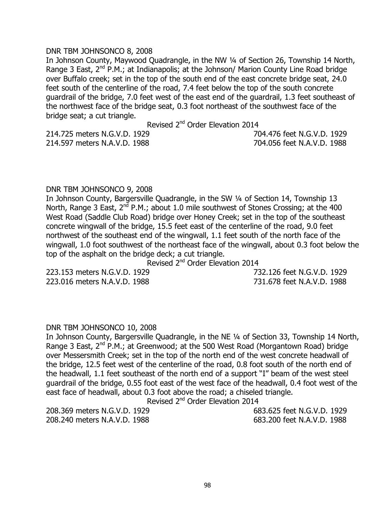### DNR TBM JOHNSONCO 8, 2008

In Johnson County, Maywood Quadrangle, in the NW ¼ of Section 26, Township 14 North, Range 3 East,  $2^{nd}$  P.M.; at Indianapolis; at the Johnson/ Marion County Line Road bridge over Buffalo creek; set in the top of the south end of the east concrete bridge seat, 24.0 feet south of the centerline of the road, 7.4 feet below the top of the south concrete guardrail of the bridge, 7.0 feet west of the east end of the guardrail, 1.3 feet southeast of the northwest face of the bridge seat, 0.3 foot northeast of the southwest face of the bridge seat; a cut triangle.

Revised 2<sup>nd</sup> Order Elevation 2014

214.597 meters N.A.V.D. 1988 704.056 feet N.A.V.D. 1988

214.725 meters N.G.V.D. 1929 704.476 feet N.G.V.D. 1929

## DNR TBM JOHNSONCO 9, 2008

In Johnson County, Bargersville Quadrangle, in the SW ¼ of Section 14, Township 13 North, Range 3 East,  $2^{nd}$  P.M.; about 1.0 mile southwest of Stones Crossing; at the 400 West Road (Saddle Club Road) bridge over Honey Creek; set in the top of the southeast concrete wingwall of the bridge, 15.5 feet east of the centerline of the road, 9.0 feet northwest of the southeast end of the wingwall, 1.1 feet south of the north face of the wingwall, 1.0 foot southwest of the northeast face of the wingwall, about 0.3 foot below the top of the asphalt on the bridge deck; a cut triangle.

Revised 2<sup>nd</sup> Order Elevation 2014

223.153 meters N.G.V.D. 1929 732.126 feet N.G.V.D. 1929 223.016 meters N.A.V.D. 1988 731.678 feet N.A.V.D. 1988

#### DNR TBM JOHNSONCO 10, 2008

In Johnson County, Bargersville Quadrangle, in the NE ¼ of Section 33, Township 14 North, Range 3 East,  $2^{nd}$  P.M.; at Greenwood; at the 500 West Road (Morgantown Road) bridge over Messersmith Creek; set in the top of the north end of the west concrete headwall of the bridge, 12.5 feet west of the centerline of the road, 0.8 foot south of the north end of the headwall, 1.1 feet southeast of the north end of a support "I" beam of the west steel guardrail of the bridge, 0.55 foot east of the west face of the headwall, 0.4 foot west of the east face of headwall, about 0.3 foot above the road; a chiseled triangle.

Revised 2<sup>nd</sup> Order Elevation 2014

208.369 meters N.G.V.D. 1929 683.625 feet N.G.V.D. 1929 208.240 meters N.A.V.D. 1988 683.200 feet N.A.V.D. 1988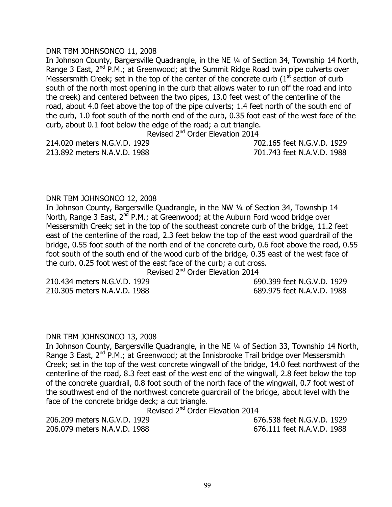## DNR TBM JOHNSONCO 11, 2008

In Johnson County, Bargersville Quadrangle, in the NE ¼ of Section 34, Township 14 North, Range 3 East,  $2^{nd}$  P.M.; at Greenwood; at the Summit Ridge Road twin pipe culverts over Messersmith Creek; set in the top of the center of the concrete curb  $(1<sup>st</sup>$  section of curb south of the north most opening in the curb that allows water to run off the road and into the creek) and centered between the two pipes, 13.0 feet west of the centerline of the road, about 4.0 feet above the top of the pipe culverts; 1.4 feet north of the south end of the curb, 1.0 foot south of the north end of the curb, 0.35 foot east of the west face of the curb, about 0.1 foot below the edge of the road; a cut triangle.

Revised 2<sup>nd</sup> Order Elevation 2014

214.020 meters N.G.V.D. 1929 702.165 feet N.G.V.D. 1929 213.892 meters N.A.V.D. 1988 701.743 feet N.A.V.D. 1988

## DNR TBM JOHNSONCO 12, 2008

In Johnson County, Bargersville Quadrangle, in the NW 1/4 of Section 34, Township 14 North, Range 3 East,  $2^{nd}$  P.M.; at Greenwood; at the Auburn Ford wood bridge over Messersmith Creek; set in the top of the southeast concrete curb of the bridge, 11.2 feet east of the centerline of the road, 2.3 feet below the top of the east wood guardrail of the bridge, 0.55 foot south of the north end of the concrete curb, 0.6 foot above the road, 0.55 foot south of the south end of the wood curb of the bridge, 0.35 east of the west face of the curb, 0.25 foot west of the east face of the curb; a cut cross.

Revised 2<sup>nd</sup> Order Elevation 2014

210.434 meters N.G.V.D. 1929 690.399 feet N.G.V.D. 1929 210.305 meters N.A.V.D. 1988 689.975 feet N.A.V.D. 1988

#### DNR TBM JOHNSONCO 13, 2008

In Johnson County, Bargersville Quadrangle, in the NE ¼ of Section 33, Township 14 North, Range 3 East,  $2^{nd}$  P.M.; at Greenwood; at the Innisbrooke Trail bridge over Messersmith Creek; set in the top of the west concrete wingwall of the bridge, 14.0 feet northwest of the centerline of the road, 8.3 feet east of the west end of the wingwall, 2.8 feet below the top of the concrete guardrail, 0.8 foot south of the north face of the wingwall, 0.7 foot west of the southwest end of the northwest concrete guardrail of the bridge, about level with the face of the concrete bridge deck; a cut triangle.

Revised 2<sup>nd</sup> Order Elevation 2014

206.209 meters N.G.V.D. 1929 676.538 feet N.G.V.D. 1929 206.079 meters N.A.V.D. 1988 676.111 feet N.A.V.D. 1988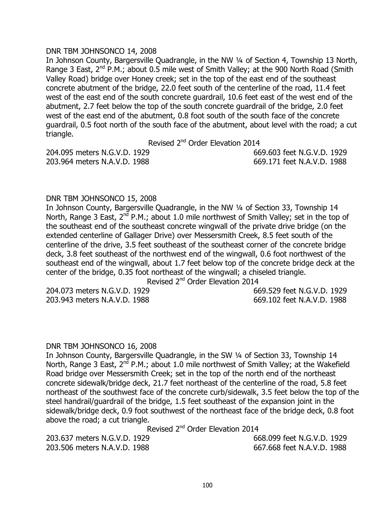## DNR TBM JOHNSONCO 14, 2008

In Johnson County, Bargersville Quadrangle, in the NW 1/4 of Section 4, Township 13 North, Range 3 East,  $2^{nd}$  P.M.; about 0.5 mile west of Smith Valley; at the 900 North Road (Smith Valley Road) bridge over Honey creek; set in the top of the east end of the southeast concrete abutment of the bridge, 22.0 feet south of the centerline of the road, 11.4 feet west of the east end of the south concrete guardrail, 10.6 feet east of the west end of the abutment, 2.7 feet below the top of the south concrete guardrail of the bridge, 2.0 feet west of the east end of the abutment, 0.8 foot south of the south face of the concrete guardrail, 0.5 foot north of the south face of the abutment, about level with the road; a cut triangle.

Revised 2<sup>nd</sup> Order Elevation 2014

|  | 204.095 meters N.G.V.D. 1929 |  |
|--|------------------------------|--|
|  | 203.964 meters N.A.V.D. 1988 |  |

204.095 meters N.G.V.D. 1929 669.603 feet N.G.V.D. 1929 203.964 meters N.A.V.D. 1988 669.171 feet N.A.V.D. 1988

## DNR TBM JOHNSONCO 15, 2008

In Johnson County, Bargersville Quadrangle, in the NW 1/4 of Section 33, Township 14 North, Range 3 East,  $2^{nd}$  P.M.; about 1.0 mile northwest of Smith Valley; set in the top of the southeast end of the southeast concrete wingwall of the private drive bridge (on the extended centerline of Gallager Drive) over Messersmith Creek, 8.5 feet south of the centerline of the drive, 3.5 feet southeast of the southeast corner of the concrete bridge deck, 3.8 feet southeast of the northwest end of the wingwall, 0.6 foot northwest of the southeast end of the wingwall, about 1.7 feet below top of the concrete bridge deck at the center of the bridge, 0.35 foot northeast of the wingwall; a chiseled triangle.

Revised 2<sup>nd</sup> Order Elevation 2014

203.943 meters N.A.V.D. 1988 669.102 feet N.A.V.D. 1988

204.073 meters N.G.V.D. 1929 669.529 feet N.G.V.D. 1929

#### DNR TBM JOHNSONCO 16, 2008

In Johnson County, Bargersville Quadrangle, in the SW ¼ of Section 33, Township 14 North, Range 3 East,  $2^{nd}$  P.M.; about 1.0 mile northwest of Smith Valley; at the Wakefield Road bridge over Messersmith Creek; set in the top of the north end of the northeast concrete sidewalk/bridge deck, 21.7 feet northeast of the centerline of the road, 5.8 feet northeast of the southwest face of the concrete curb/sidewalk, 3.5 feet below the top of the steel handrail/guardrail of the bridge, 1.5 feet southeast of the expansion joint in the sidewalk/bridge deck, 0.9 foot southwest of the northeast face of the bridge deck, 0.8 foot above the road; a cut triangle.

Revised 2<sup>nd</sup> Order Elevation 2014

203.637 meters N.G.V.D. 1929 668.099 feet N.G.V.D. 1929 203.506 meters N.A.V.D. 1988 667.668 feet N.A.V.D. 1988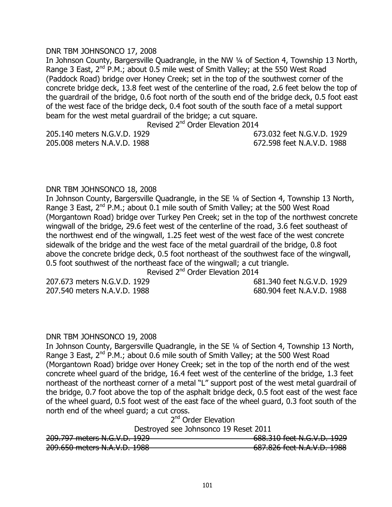## DNR TBM JOHNSONCO 17, 2008

In Johnson County, Bargersville Quadrangle, in the NW 1/4 of Section 4, Township 13 North, Range 3 East,  $2^{nd}$  P.M.; about 0.5 mile west of Smith Valley; at the 550 West Road (Paddock Road) bridge over Honey Creek; set in the top of the southwest corner of the concrete bridge deck, 13.8 feet west of the centerline of the road, 2.6 feet below the top of the guardrail of the bridge, 0.6 foot north of the south end of the bridge deck, 0.5 foot east of the west face of the bridge deck, 0.4 foot south of the south face of a metal support beam for the west metal guardrail of the bridge; a cut square.

Revised 2<sup>nd</sup> Order Elevation 2014

205.008 meters N.A.V.D. 1988 672.598 feet N.A.V.D. 1988

205.140 meters N.G.V.D. 1929 673.032 feet N.G.V.D. 1929

## DNR TBM JOHNSONCO 18, 2008

In Johnson County, Bargersville Quadrangle, in the SE ¼ of Section 4, Township 13 North, Range 3 East,  $2^{nd}$  P.M.; about 0.1 mile south of Smith Valley; at the 500 West Road (Morgantown Road) bridge over Turkey Pen Creek; set in the top of the northwest concrete wingwall of the bridge, 29.6 feet west of the centerline of the road, 3.6 feet southeast of the northwest end of the wingwall, 1.25 feet west of the west face of the west concrete sidewalk of the bridge and the west face of the metal guardrail of the bridge, 0.8 foot above the concrete bridge deck, 0.5 foot northeast of the southwest face of the wingwall, 0.5 foot southwest of the northeast face of the wingwall; a cut triangle.

Revised 2<sup>nd</sup> Order Elevation 2014

207.673 meters N.G.V.D. 1929 681.340 feet N.G.V.D. 1929 207.540 meters N.A.V.D. 1988 680.904 feet N.A.V.D. 1988

#### DNR TBM JOHNSONCO 19, 2008

In Johnson County, Bargersville Quadrangle, in the SE ¼ of Section 4, Township 13 North, Range 3 East, 2<sup>nd</sup> P.M.; about 0.6 mile south of Smith Valley; at the 500 West Road (Morgantown Road) bridge over Honey Creek; set in the top of the north end of the west concrete wheel guard of the bridge, 16.4 feet west of the centerline of the bridge, 1.3 feet northeast of the northeast corner of a metal "L" support post of the west metal guardrail of the bridge, 0.7 foot above the top of the asphalt bridge deck, 0.5 foot east of the west face of the wheel guard, 0.5 foot west of the east face of the wheel guard, 0.3 foot south of the north end of the wheel guard; a cut cross.

2<sup>nd</sup> Order Elevation

Destroyed see Johnsonco 19 Reset 2011

| 209.797 meters N.G.V.D. 1929 | 688.310 feet N.G.V.D. 1929 |
|------------------------------|----------------------------|
| 209.650 meters N.A.V.D. 1988 | 687.826 feet N.A.V.D. 1988 |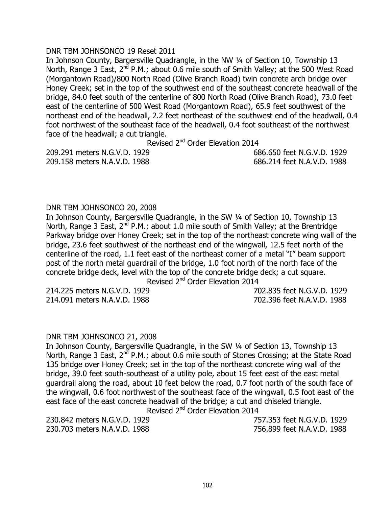## DNR TBM JOHNSONCO 19 Reset 2011

In Johnson County, Bargersville Quadrangle, in the NW ¼ of Section 10, Township 13 North, Range 3 East,  $2<sup>nd</sup>$  P.M.; about 0.6 mile south of Smith Valley; at the 500 West Road (Morgantown Road)/800 North Road (Olive Branch Road) twin concrete arch bridge over Honey Creek; set in the top of the southwest end of the southeast concrete headwall of the bridge, 84.0 feet south of the centerline of 800 North Road (Olive Branch Road), 73.0 feet east of the centerline of 500 West Road (Morgantown Road), 65.9 feet southwest of the northeast end of the headwall, 2.2 feet northeast of the southwest end of the headwall, 0.4 foot northwest of the southeast face of the headwall, 0.4 foot southeast of the northwest face of the headwall; a cut triangle.

Revised 2<sup>nd</sup> Order Elevation 2014

209.291 meters N.G.V.D. 1929 686.650 feet N.G.V.D. 1929 209.158 meters N.A.V.D. 1988 686.214 feet N.A.V.D. 1988

#### DNR TBM JOHNSONCO 20, 2008

In Johnson County, Bargersville Quadrangle, in the SW ¼ of Section 10, Township 13 North, Range 3 East,  $2^{nd}$  P.M.; about 1.0 mile south of Smith Valley; at the Brentridge Parkway bridge over Honey Creek; set in the top of the northeast concrete wing wall of the bridge, 23.6 feet southwest of the northeast end of the wingwall, 12.5 feet north of the centerline of the road, 1.1 feet east of the northeast corner of a metal "I" beam support post of the north metal guardrail of the bridge, 1.0 foot north of the north face of the concrete bridge deck, level with the top of the concrete bridge deck; a cut square.

Revised 2<sup>nd</sup> Order Elevation 2014

214.091 meters N.A.V.D. 1988 702.396 feet N.A.V.D. 1988

214.225 meters N.G.V.D. 1929 702.835 feet N.G.V.D. 1929

#### DNR TBM JOHNSONCO 21, 2008

In Johnson County, Bargersville Quadrangle, in the SW ¼ of Section 13, Township 13 North, Range 3 East,  $2^{nd}$  P.M.; about 0.6 mile south of Stones Crossing; at the State Road 135 bridge over Honey Creek; set in the top of the northeast concrete wing wall of the bridge, 39.0 feet south-southeast of a utility pole, about 15 feet east of the east metal guardrail along the road, about 10 feet below the road, 0.7 foot north of the south face of the wingwall, 0.6 foot northwest of the southeast face of the wingwall, 0.5 foot east of the east face of the east concrete headwall of the bridge; a cut and chiseled triangle.

Revised 2<sup>nd</sup> Order Elevation 2014

230.703 meters N.A.V.D. 1988 756.899 feet N.A.V.D. 1988

230.842 meters N.G.V.D. 1929 757.353 feet N.G.V.D. 1929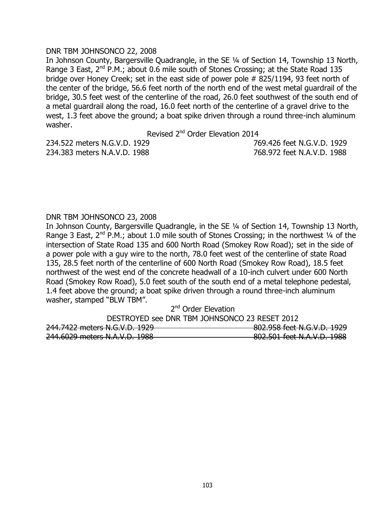## DNR TBM JOHNSONCO 22, 2008

In Johnson County, Bargersville Quadrangle, in the SE ¼ of Section 14, Township 13 North, Range 3 East,  $2^{nd}$  P.M.; about 0.6 mile south of Stones Crossing; at the State Road 135 bridge over Honey Creek; set in the east side of power pole # 825/1194, 93 feet north of the center of the bridge, 56.6 feet north of the north end of the west metal guardrail of the bridge, 30.5 feet west of the centerline of the road, 26.0 feet southwest of the south end of a metal guardrail along the road, 16.0 feet north of the centerline of a gravel drive to the west, 1.3 feet above the ground; a boat spike driven through a round three-inch aluminum washer.

Revised 2<sup>nd</sup> Order Elevation 2014

|  | 234.522 meters N.G.V.D. 1929 |  |
|--|------------------------------|--|
|  | 234.383 meters N.A.V.D. 1988 |  |

234.522 meters N.G.V.D. 1929 769.426 feet N.G.V.D. 1929 234.383 meters N.A.V.D. 1988 768.972 feet N.A.V.D. 1988

## DNR TBM JOHNSONCO 23, 2008

In Johnson County, Bargersville Quadrangle, in the SE ¼ of Section 14, Township 13 North, Range 3 East,  $2^{nd}$  P.M.; about 1.0 mile south of Stones Crossing; in the northwest  $\frac{1}{4}$  of the intersection of State Road 135 and 600 North Road (Smokey Row Road); set in the side of a power pole with a guy wire to the north, 78.0 feet west of the centerline of state Road 135, 28.5 feet north of the centerline of 600 North Road (Smokey Row Road), 18.5 feet northwest of the west end of the concrete headwall of a 10-inch culvert under 600 North Road (Smokey Row Road), 5.0 feet south of the south end of a metal telephone pedestal, 1.4 feet above the ground; a boat spike driven through a round three-inch aluminum washer, stamped "BLW TBM".

| 2 <sup>nd</sup> Order Elevation               |                            |
|-----------------------------------------------|----------------------------|
| DESTROYED see DNR TBM JOHNSONCO 23 RESET 2012 |                            |
| 244.7422 meters N.G.V.D. 1929                 | 802.958 feet N.G.V.D. 1929 |
| 244.6029 meters N.A.V.D. 1988                 | 802.501 feet N.A.V.D. 1988 |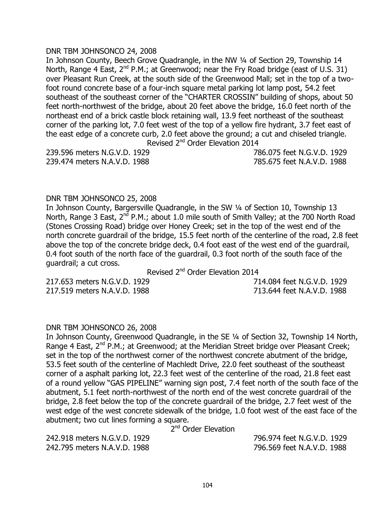## DNR TBM JOHNSONCO 24, 2008

In Johnson County, Beech Grove Quadrangle, in the NW 1/4 of Section 29, Township 14 North, Range 4 East,  $2^{nd}$  P.M.; at Greenwood; near the Fry Road bridge (east of U.S. 31) over Pleasant Run Creek, at the south side of the Greenwood Mall; set in the top of a twofoot round concrete base of a four-inch square metal parking lot lamp post, 54.2 feet southeast of the southeast corner of the "CHARTER CROSSIN" building of shops, about 50 feet north-northwest of the bridge, about 20 feet above the bridge, 16.0 feet north of the northeast end of a brick castle block retaining wall, 13.9 feet northeast of the southeast corner of the parking lot, 7.0 feet west of the top of a yellow fire hydrant, 3.7 feet east of the east edge of a concrete curb, 2.0 feet above the ground; a cut and chiseled triangle. Revised 2<sup>nd</sup> Order Elevation 2014

239.596 meters N.G.V.D. 1929 786.075 feet N.G.V.D. 1929 239.474 meters N.A.V.D. 1988 785.675 feet N.A.V.D. 1988

#### DNR TBM JOHNSONCO 25, 2008

In Johnson County, Bargersville Quadrangle, in the SW ¼ of Section 10, Township 13 North, Range 3 East,  $2^{nd}$  P.M.; about 1.0 mile south of Smith Valley; at the 700 North Road (Stones Crossing Road) bridge over Honey Creek; set in the top of the west end of the north concrete guardrail of the bridge, 15.5 feet north of the centerline of the road, 2.8 feet above the top of the concrete bridge deck, 0.4 foot east of the west end of the guardrail, 0.4 foot south of the north face of the guardrail, 0.3 foot north of the south face of the guardrail; a cut cross.

Revised 2<sup>nd</sup> Order Elevation 2014

217.653 meters N.G.V.D. 1929 714.084 feet N.G.V.D. 1929 217.519 meters N.A.V.D. 1988 713.644 feet N.A.V.D. 1988

#### DNR TBM JOHNSONCO 26, 2008

In Johnson County, Greenwood Quadrangle, in the SE ¼ of Section 32, Township 14 North, Range 4 East,  $2^{nd}$  P.M.; at Greenwood; at the Meridian Street bridge over Pleasant Creek; set in the top of the northwest corner of the northwest concrete abutment of the bridge, 53.5 feet south of the centerline of Machledt Drive, 22.0 feet southeast of the southeast corner of a asphalt parking lot, 22.3 feet west of the centerline of the road, 21.8 feet east of a round yellow "GAS PIPELINE" warning sign post, 7.4 feet north of the south face of the abutment, 5.1 feet north-northwest of the north end of the west concrete guardrail of the bridge, 2.8 feet below the top of the concrete guardrail of the bridge, 2.7 feet west of the west edge of the west concrete sidewalk of the bridge, 1.0 foot west of the east face of the abutment; two cut lines forming a square.

2<sup>nd</sup> Order Elevation

242.918 meters N.G.V.D. 1929 796.974 feet N.G.V.D. 1929 242.795 meters N.A.V.D. 1988 796.569 feet N.A.V.D. 1988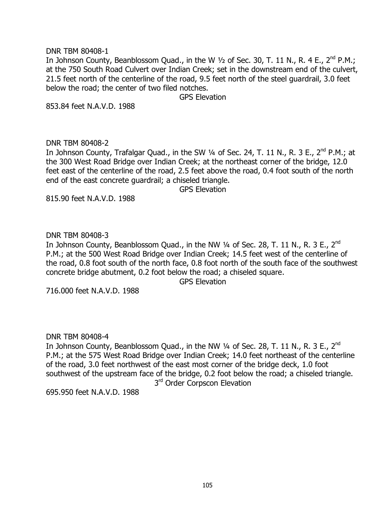## DNR TBM 80408-1

In Johnson County, Beanblossom Quad., in the W 1/2 of Sec. 30, T. 11 N., R. 4 E., 2<sup>nd</sup> P.M.; at the 750 South Road Culvert over Indian Creek; set in the downstream end of the culvert, 21.5 feet north of the centerline of the road, 9.5 feet north of the steel guardrail, 3.0 feet below the road; the center of two filed notches.

GPS Elevation

853.84 feet N.A.V.D. 1988

## DNR TBM 80408-2

In Johnson County, Trafalgar Quad., in the SW  $\frac{1}{4}$  of Sec. 24, T. 11 N., R. 3 E., 2<sup>nd</sup> P.M.; at the 300 West Road Bridge over Indian Creek; at the northeast corner of the bridge, 12.0 feet east of the centerline of the road, 2.5 feet above the road, 0.4 foot south of the north end of the east concrete guardrail; a chiseled triangle.

GPS Elevation

815.90 feet N.A.V.D. 1988

## DNR TBM 80408-3

In Johnson County, Beanblossom Quad., in the NW 1/4 of Sec. 28, T. 11 N., R. 3 E., 2<sup>nd</sup> P.M.; at the 500 West Road Bridge over Indian Creek; 14.5 feet west of the centerline of the road, 0.8 foot south of the north face, 0.8 foot north of the south face of the southwest concrete bridge abutment, 0.2 foot below the road; a chiseled square.

GPS Elevation

716.000 feet N.A.V.D. 1988

DNR TBM 80408-4

In Johnson County, Beanblossom Quad., in the NW 1/4 of Sec. 28, T. 11 N., R. 3 E., 2<sup>nd</sup> P.M.; at the 575 West Road Bridge over Indian Creek; 14.0 feet northeast of the centerline of the road, 3.0 feet northwest of the east most corner of the bridge deck, 1.0 foot southwest of the upstream face of the bridge, 0.2 foot below the road; a chiseled triangle. 3<sup>rd</sup> Order Corpscon Elevation

695.950 feet N.A.V.D. 1988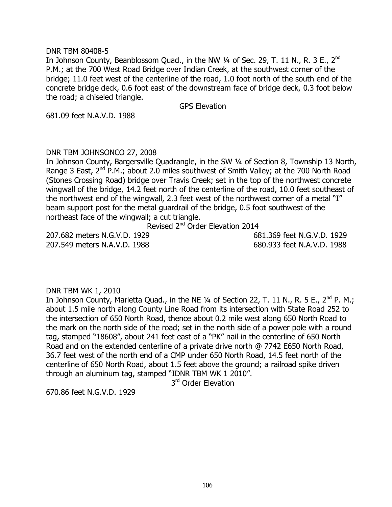### DNR TBM 80408-5

In Johnson County, Beanblossom Quad., in the NW 1/4 of Sec. 29, T. 11 N., R. 3 E., 2<sup>nd</sup> P.M.; at the 700 West Road Bridge over Indian Creek, at the southwest corner of the bridge; 11.0 feet west of the centerline of the road, 1.0 foot north of the south end of the concrete bridge deck, 0.6 foot east of the downstream face of bridge deck, 0.3 foot below the road; a chiseled triangle.

GPS Elevation

681.09 feet N.A.V.D. 1988

## DNR TBM JOHNSONCO 27, 2008

In Johnson County, Bargersville Quadrangle, in the SW 1/4 of Section 8, Township 13 North, Range 3 East, 2<sup>nd</sup> P.M.; about 2.0 miles southwest of Smith Valley; at the 700 North Road (Stones Crossing Road) bridge over Travis Creek; set in the top of the northwest concrete wingwall of the bridge, 14.2 feet north of the centerline of the road, 10.0 feet southeast of the northwest end of the wingwall, 2.3 feet west of the northwest corner of a metal "I" beam support post for the metal guardrail of the bridge, 0.5 foot southwest of the northeast face of the wingwall; a cut triangle.

Revised 2<sup>nd</sup> Order Elevation 2014

207.682 meters N.G.V.D. 1929 681.369 feet N.G.V.D. 1929 207.549 meters N.A.V.D. 1988 680.933 feet N.A.V.D. 1988

DNR TBM WK 1, 2010

In Johnson County, Marietta Quad., in the NE 1/4 of Section 22, T. 11 N., R. 5 E., 2<sup>nd</sup> P. M.; about 1.5 mile north along County Line Road from its intersection with State Road 252 to the intersection of 650 North Road, thence about 0.2 mile west along 650 North Road to the mark on the north side of the road; set in the north side of a power pole with a round tag, stamped "18608", about 241 feet east of a "PK" nail in the centerline of 650 North Road and on the extended centerline of a private drive north @ 7742 E650 North Road, 36.7 feet west of the north end of a CMP under 650 North Road, 14.5 feet north of the centerline of 650 North Road, about 1.5 feet above the ground; a railroad spike driven through an aluminum tag, stamped "IDNR TBM WK 1 2010".

3<sup>rd</sup> Order Elevation

670.86 feet N.G.V.D. 1929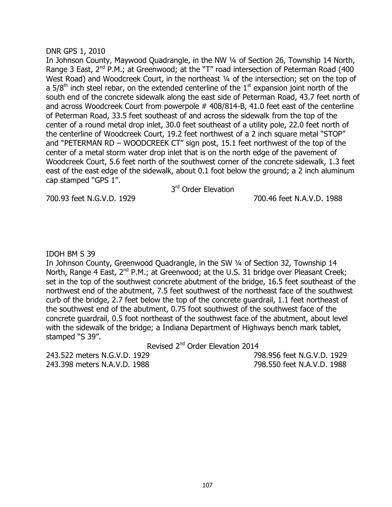#### DNR GPS 1, 2010

In Johnson County, Maywood Quadrangle, in the NW ¼ of Section 26, Township 14 North, Range 3 East,  $2^{nd}$  P.M.; at Greenwood; at the "T" road intersection of Peterman Road (400 West Road) and Woodcreek Court, in the northeast 1/4 of the intersection; set on the top of a  $5/8<sup>th</sup>$  inch steel rebar, on the extended centerline of the  $1<sup>st</sup>$  expansion joint north of the south end of the concrete sidewalk along the east side of Peterman Road, 43.7 feet north of and across Woodcreek Court from powerpole # 408/814-B, 41.0 feet east of the centerline of Peterman Road, 33.5 feet southeast of and across the sidewalk from the top of the center of a round metal drop inlet, 30.0 feet southeast of a utility pole, 22.0 feet north of the centerline of Woodcreek Court, 19.2 feet northwest of a 2 inch square metal "STOP" and "PETERMAN RD – WOODCREEK CT" sign post, 15.1 feet northwest of the top of the center of a metal storm water drop inlet that is on the north edge of the pavement of Woodcreek Court, 5.6 feet north of the southwest corner of the concrete sidewalk, 1.3 feet east of the east edge of the sidewalk, about 0.1 foot below the ground; a 2 inch aluminum cap stamped "GPS 1".

3<sup>rd</sup> Order Elevation

700.93 feet N.G.V.D. 1929 700.46 feet N.A.V.D. 1988

## IDOH BM S 39

In Johnson County, Greenwood Quadrangle, in the SW ¼ of Section 32, Township 14 North, Range 4 East,  $2^{nd}$  P.M.; at Greenwood; at the U.S. 31 bridge over Pleasant Creek; set in the top of the southwest concrete abutment of the bridge, 16.5 feet southeast of the northwest end of the abutment, 7.5 feet southwest of the northeast face of the southwest curb of the bridge, 2.7 feet below the top of the concrete guardrail, 1.1 feet northeast of the southwest end of the abutment, 0.75 foot southwest of the southwest face of the concrete guardrail, 0.5 foot northeast of the southwest face of the abutment, about level with the sidewalk of the bridge; a Indiana Department of Highways bench mark tablet, stamped "S 39".

Revised 2<sup>nd</sup> Order Elevation 2014

243.522 meters N.G.V.D. 1929 798.956 feet N.G.V.D. 1929 243.398 meters N.A.V.D. 1988 798.550 feet N.A.V.D. 1988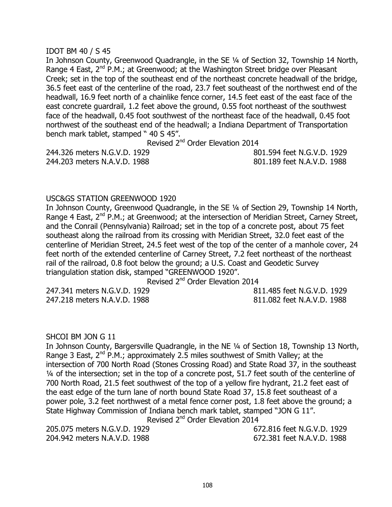## IDOT BM 40 / S 45

In Johnson County, Greenwood Quadrangle, in the SE ¼ of Section 32, Township 14 North, Range 4 East,  $2^{nd}$  P.M.; at Greenwood; at the Washington Street bridge over Pleasant Creek; set in the top of the southeast end of the northeast concrete headwall of the bridge, 36.5 feet east of the centerline of the road, 23.7 feet southeast of the northwest end of the headwall, 16.9 feet north of a chainlike fence corner, 14.5 feet east of the east face of the east concrete guardrail, 1.2 feet above the ground, 0.55 foot northeast of the southwest face of the headwall, 0.45 foot southwest of the northeast face of the headwall, 0.45 foot northwest of the southeast end of the headwall; a Indiana Department of Transportation bench mark tablet, stamped " 40 S 45".

Revised 2<sup>nd</sup> Order Elevation 2014

244.203 meters N.A.V.D. 1988 801.189 feet N.A.V.D. 1988

244.326 meters N.G.V.D. 1929 801.594 feet N.G.V.D. 1929

## USC&GS STATION GREENWOOD 1920

In Johnson County, Greenwood Quadrangle, in the SE ¼ of Section 29, Township 14 North, Range 4 East, 2<sup>nd</sup> P.M.; at Greenwood; at the intersection of Meridian Street, Carney Street, and the Conrail (Pennsylvania) Railroad; set in the top of a concrete post, about 75 feet southeast along the railroad from its crossing with Meridian Street, 32.0 feet east of the centerline of Meridian Street, 24.5 feet west of the top of the center of a manhole cover, 24 feet north of the extended centerline of Carney Street, 7.2 feet northeast of the northeast rail of the railroad, 0.8 foot below the ground; a U.S. Coast and Geodetic Survey triangulation station disk, stamped "GREENWOOD 1920".

Revised 2<sup>nd</sup> Order Elevation 2014

247.341 meters N.G.V.D. 1929 811.485 feet N.G.V.D. 1929 247.218 meters N.A.V.D. 1988 811.082 feet N.A.V.D. 1988

#### SHCOI BM JON G 11

In Johnson County, Bargersville Quadrangle, in the NE ¼ of Section 18, Township 13 North, Range 3 East, 2<sup>nd</sup> P.M.; approximately 2.5 miles southwest of Smith Valley; at the intersection of 700 North Road (Stones Crossing Road) and State Road 37, in the southeast ¼ of the intersection; set in the top of a concrete post, 51.7 feet south of the centerline of 700 North Road, 21.5 feet southwest of the top of a yellow fire hydrant, 21.2 feet east of the east edge of the turn lane of north bound State Road 37, 15.8 feet southeast of a power pole, 3.2 feet northwest of a metal fence corner post, 1.8 feet above the ground; a State Highway Commission of Indiana bench mark tablet, stamped "JON G 11". Revised 2<sup>nd</sup> Order Elevation 2014

205.075 meters N.G.V.D. 1929 672.816 feet N.G.V.D. 1929 204.942 meters N.A.V.D. 1988 672.381 feet N.A.V.D. 1988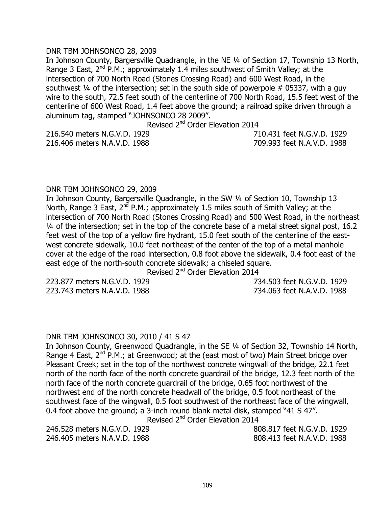### DNR TBM JOHNSONCO 28, 2009

In Johnson County, Bargersville Quadrangle, in the NE ¼ of Section 17, Township 13 North, Range 3 East,  $2^{nd}$  P.M.; approximately 1.4 miles southwest of Smith Valley; at the intersection of 700 North Road (Stones Crossing Road) and 600 West Road, in the southwest  $\frac{1}{4}$  of the intersection; set in the south side of powerpole # 05337, with a guy wire to the south, 72.5 feet south of the centerline of 700 North Road, 15.5 feet west of the centerline of 600 West Road, 1.4 feet above the ground; a railroad spike driven through a aluminum tag, stamped "JOHNSONCO 28 2009".

Revised 2<sup>nd</sup> Order Elevation 2014

216.406 meters N.A.V.D. 1988 709.993 feet N.A.V.D. 1988

216.540 meters N.G.V.D. 1929 710.431 feet N.G.V.D. 1929

#### DNR TBM JOHNSONCO 29, 2009

In Johnson County, Bargersville Quadrangle, in the SW ¼ of Section 10, Township 13 North, Range 3 East,  $2^{nd}$  P.M.; approximately 1.5 miles south of Smith Valley; at the intersection of 700 North Road (Stones Crossing Road) and 500 West Road, in the northeast ¼ of the intersection; set in the top of the concrete base of a metal street signal post, 16.2 feet west of the top of a yellow fire hydrant, 15.0 feet south of the centerline of the eastwest concrete sidewalk, 10.0 feet northeast of the center of the top of a metal manhole cover at the edge of the road intersection, 0.8 foot above the sidewalk, 0.4 foot east of the east edge of the north-south concrete sidewalk; a chiseled square.

Revised 2<sup>nd</sup> Order Elevation 2014

223.877 meters N.G.V.D. 1929 734.503 feet N.G.V.D. 1929 223.743 meters N.A.V.D. 1988 734.063 feet N.A.V.D. 1988

#### DNR TBM JOHNSONCO 30, 2010 / 41 S 47

In Johnson County, Greenwood Quadrangle, in the SE ¼ of Section 32, Township 14 North, Range 4 East,  $2^{nd}$  P.M.; at Greenwood; at the (east most of two) Main Street bridge over Pleasant Creek; set in the top of the northwest concrete wingwall of the bridge, 22.1 feet north of the north face of the north concrete guardrail of the bridge, 12.3 feet north of the north face of the north concrete guardrail of the bridge, 0.65 foot northwest of the northwest end of the north concrete headwall of the bridge, 0.5 foot northeast of the southwest face of the wingwall, 0.5 foot southwest of the northeast face of the wingwall, 0.4 foot above the ground; a 3-inch round blank metal disk, stamped "41 S 47". Revised 2<sup>nd</sup> Order Elevation 2014

246.528 meters N.G.V.D. 1929 808.817 feet N.G.V.D. 1929 246.405 meters N.A.V.D. 1988 808.413 feet N.A.V.D. 1988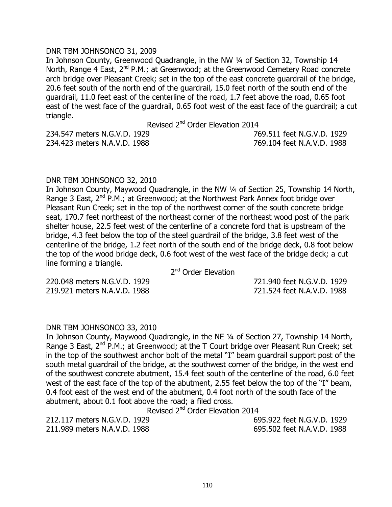#### DNR TBM JOHNSONCO 31, 2009

In Johnson County, Greenwood Quadrangle, in the NW 1/4 of Section 32, Township 14 North, Range 4 East,  $2^{nd}$  P.M.; at Greenwood; at the Greenwood Cemetery Road concrete arch bridge over Pleasant Creek; set in the top of the east concrete guardrail of the bridge, 20.6 feet south of the north end of the guardrail, 15.0 feet north of the south end of the guardrail, 11.0 feet east of the centerline of the road, 1.7 feet above the road, 0.65 foot east of the west face of the guardrail, 0.65 foot west of the east face of the guardrail; a cut triangle.

Revised 2<sup>nd</sup> Order Elevation 2014

234.423 meters N.A.V.D. 1988 769.104 feet N.A.V.D. 1988

234.547 meters N.G.V.D. 1929 769.511 feet N.G.V.D. 1929

#### DNR TBM JOHNSONCO 32, 2010

In Johnson County, Maywood Quadrangle, in the NW ¼ of Section 25, Township 14 North, Range 3 East,  $2^{nd}$  P.M.; at Greenwood; at the Northwest Park Annex foot bridge over Pleasant Run Creek; set in the top of the northwest corner of the south concrete bridge seat, 170.7 feet northeast of the northeast corner of the northeast wood post of the park shelter house, 22.5 feet west of the centerline of a concrete ford that is upstream of the bridge, 4.3 feet below the top of the steel guardrail of the bridge, 3.8 feet west of the centerline of the bridge, 1.2 feet north of the south end of the bridge deck, 0.8 foot below the top of the wood bridge deck, 0.6 foot west of the west face of the bridge deck; a cut line forming a triangle.

2<sup>nd</sup> Order Elevation

220.048 meters N.G.V.D. 1929 721.940 feet N.G.V.D. 1929 219.921 meters N.A.V.D. 1988 721.524 feet N.A.V.D. 1988

#### DNR TBM JOHNSONCO 33, 2010

In Johnson County, Maywood Quadrangle, in the NE ¼ of Section 27, Township 14 North, Range 3 East, 2<sup>nd</sup> P.M.; at Greenwood; at the T Court bridge over Pleasant Run Creek; set in the top of the southwest anchor bolt of the metal "I" beam guardrail support post of the south metal guardrail of the bridge, at the southwest corner of the bridge, in the west end of the southwest concrete abutment, 15.4 feet south of the centerline of the road, 6.0 feet west of the east face of the top of the abutment, 2.55 feet below the top of the "I" beam, 0.4 foot east of the west end of the abutment, 0.4 foot north of the south face of the abutment, about 0.1 foot above the road; a filed cross.

Revised 2<sup>nd</sup> Order Elevation 2014

212.117 meters N.G.V.D. 1929 695.922 feet N.G.V.D. 1929 211.989 meters N.A.V.D. 1988 695.502 feet N.A.V.D. 1988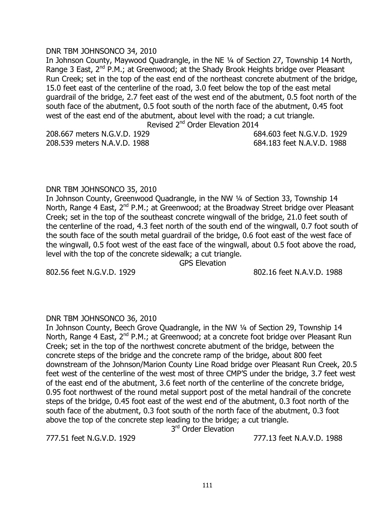### DNR TBM JOHNSONCO 34, 2010

In Johnson County, Maywood Quadrangle, in the NE ¼ of Section 27, Township 14 North, Range 3 East, 2<sup>nd</sup> P.M.; at Greenwood; at the Shady Brook Heights bridge over Pleasant Run Creek; set in the top of the east end of the northeast concrete abutment of the bridge, 15.0 feet east of the centerline of the road, 3.0 feet below the top of the east metal guardrail of the bridge, 2.7 feet east of the west end of the abutment, 0.5 foot north of the south face of the abutment, 0.5 foot south of the north face of the abutment, 0.45 foot west of the east end of the abutment, about level with the road; a cut triangle. Revised 2<sup>nd</sup> Order Elevation 2014

208.667 meters N.G.V.D. 1929 684.603 feet N.G.V.D. 1929

208.539 meters N.A.V.D. 1988 684.183 feet N.A.V.D. 1988

#### DNR TBM JOHNSONCO 35, 2010

In Johnson County, Greenwood Quadrangle, in the NW ¼ of Section 33, Township 14 North, Range 4 East, 2<sup>nd</sup> P.M.; at Greenwood; at the Broadway Street bridge over Pleasant Creek; set in the top of the southeast concrete wingwall of the bridge, 21.0 feet south of the centerline of the road, 4.3 feet north of the south end of the wingwall, 0.7 foot south of the south face of the south metal guardrail of the bridge, 0.6 foot east of the west face of the wingwall, 0.5 foot west of the east face of the wingwall, about 0.5 foot above the road, level with the top of the concrete sidewalk; a cut triangle.

GPS Elevation

802.56 feet N.G.V.D. 1929 802.16 feet N.A.V.D. 1988

# DNR TBM JOHNSONCO 36, 2010

In Johnson County, Beech Grove Quadrangle, in the NW ¼ of Section 29, Township 14 North, Range 4 East, 2<sup>nd</sup> P.M.; at Greenwood; at a concrete foot bridge over Pleasant Run Creek; set in the top of the northwest concrete abutment of the bridge, between the concrete steps of the bridge and the concrete ramp of the bridge, about 800 feet downstream of the Johnson/Marion County Line Road bridge over Pleasant Run Creek, 20.5 feet west of the centerline of the west most of three CMP'S under the bridge, 3.7 feet west of the east end of the abutment, 3.6 feet north of the centerline of the concrete bridge, 0.95 foot northwest of the round metal support post of the metal handrail of the concrete steps of the bridge, 0.45 foot east of the west end of the abutment, 0.3 foot north of the south face of the abutment, 0.3 foot south of the north face of the abutment, 0.3 foot above the top of the concrete step leading to the bridge; a cut triangle.

3<sup>rd</sup> Order Elevation

777.51 feet N.G.V.D. 1929 777.13 feet N.A.V.D. 1988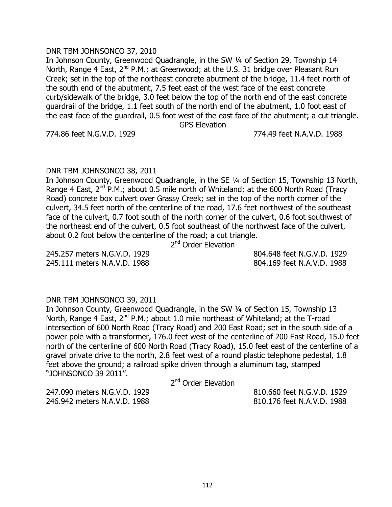# 112

# DNR TBM JOHNSONCO 37, 2010

In Johnson County, Greenwood Quadrangle, in the SW ¼ of Section 29, Township 14 North, Range 4 East, 2<sup>nd</sup> P.M.; at Greenwood; at the U.S. 31 bridge over Pleasant Run Creek; set in the top of the northeast concrete abutment of the bridge, 11.4 feet north of the south end of the abutment, 7.5 feet east of the west face of the east concrete curb/sidewalk of the bridge, 3.0 feet below the top of the north end of the east concrete guardrail of the bridge, 1.1 feet south of the north end of the abutment, 1.0 foot east of the east face of the guardrail, 0.5 foot west of the east face of the abutment; a cut triangle. GPS Elevation

774.86 feet N.G.V.D. 1929 774.49 feet N.A.V.D. 1988

# DNR TBM JOHNSONCO 38, 2011

In Johnson County, Greenwood Quadrangle, in the SE ¼ of Section 15, Township 13 North, Range 4 East,  $2^{nd}$  P.M.; about 0.5 mile north of Whiteland; at the 600 North Road (Tracy Road) concrete box culvert over Grassy Creek; set in the top of the north corner of the culvert, 34.5 feet north of the centerline of the road, 17.6 feet northwest of the southeast face of the culvert, 0.7 foot south of the north corner of the culvert, 0.6 foot southwest of the northeast end of the culvert, 0.5 foot southeast of the northwest face of the culvert, about 0.2 foot below the centerline of the road; a cut triangle.

2<sup>nd</sup> Order Elevation

245.257 meters N.G.V.D. 1929 804.648 feet N.G.V.D. 1929 245.111 meters N.A.V.D. 1988 804.169 feet N.A.V.D. 1988

# DNR TBM JOHNSONCO 39, 2011

In Johnson County, Greenwood Quadrangle, in the SW ¼ of Section 15, Township 13 North, Range 4 East, 2<sup>nd</sup> P.M.; about 1.0 mile northeast of Whiteland; at the T-road intersection of 600 North Road (Tracy Road) and 200 East Road; set in the south side of a power pole with a transformer, 176.0 feet west of the centerline of 200 East Road, 15.0 feet north of the centerline of 600 North Road (Tracy Road), 15.0 feet east of the centerline of a gravel private drive to the north, 2.8 feet west of a round plastic telephone pedestal, 1.8 feet above the ground; a railroad spike driven through a aluminum tag, stamped "JOHNSONCO 39 2011".

2<sup>nd</sup> Order Elevation

247.090 meters N.G.V.D. 1929 810.660 feet N.G.V.D. 1929 246.942 meters N.A.V.D. 1988 810.176 feet N.A.V.D. 1988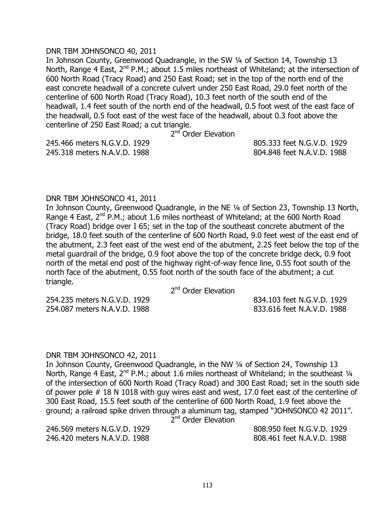#### DNR TBM JOHNSONCO 40, 2011

In Johnson County, Greenwood Quadrangle, in the SW ¼ of Section 14, Township 13 North, Range 4 East,  $2^{nd}$  P.M.; about 1.5 miles northeast of Whiteland; at the intersection of 600 North Road (Tracy Road) and 250 East Road; set in the top of the north end of the east concrete headwall of a concrete culvert under 250 East Road, 29.0 feet north of the centerline of 600 North Road (Tracy Road), 10.3 feet north of the south end of the headwall, 1.4 feet south of the north end of the headwall, 0.5 foot west of the east face of the headwall, 0.5 foot east of the west face of the headwall, about 0.3 foot above the centerline of 250 East Road; a cut triangle.

2<sup>nd</sup> Order Elevation

245.466 meters N.G.V.D. 1929 805.333 feet N.G.V.D. 1929 245.318 meters N.A.V.D. 1988 804.848 feet N.A.V.D. 1988

#### DNR TBM JOHNSONCO 41, 2011

In Johnson County, Greenwood Quadrangle, in the NE ¼ of Section 23, Township 13 North, Range 4 East,  $2^{nd}$  P.M.; about 1.6 miles northeast of Whiteland; at the 600 North Road (Tracy Road) bridge over I 65; set in the top of the southeast concrete abutment of the bridge, 18.0 feet south of the centerline of 600 North Road, 9.0 feet west of the east end of the abutment, 2.3 feet east of the west end of the abutment, 2.25 feet below the top of the metal guardrail of the bridge, 0.9 foot above the top of the concrete bridge deck, 0.9 foot north of the metal end post of the highway right-of-way fence line, 0.55 foot south of the north face of the abutment, 0.55 foot north of the south face of the abutment; a cut triangle.

2<sup>nd</sup> Order Elevation

254.235 meters N.G.V.D. 1929 834.103 feet N.G.V.D. 1929 254.087 meters N.A.V.D. 1988 833.616 feet N.A.V.D. 1988

#### DNR TBM JOHNSONCO 42, 2011

In Johnson County, Greenwood Quadrangle, in the NW 1/4 of Section 24, Township 13 North, Range 4 East, 2<sup>nd</sup> P.M.; about 1.6 miles northeast of Whiteland; in the southeast 1/4 of the intersection of 600 North Road (Tracy Road) and 300 East Road; set in the south side of power pole # 18 N 1018 with guy wires east and west, 17.0 feet east of the centerline of 300 East Road, 15.5 feet south of the centerline of 600 North Road, 1.9 feet above the ground; a railroad spike driven through a aluminum tag, stamped "JOHNSONCO 42 2011". 2<sup>nd</sup> Order Elevation

246.420 meters N.A.V.D. 1988 808.461 feet N.A.V.D. 1988

246.569 meters N.G.V.D. 1929 808.950 feet N.G.V.D. 1929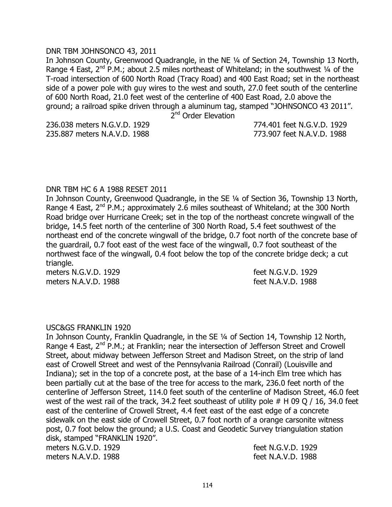#### DNR TBM JOHNSONCO 43, 2011

In Johnson County, Greenwood Quadrangle, in the NE ¼ of Section 24, Township 13 North, Range 4 East,  $2^{nd}$  P.M.; about 2.5 miles northeast of Whiteland; in the southwest  $\frac{1}{4}$  of the T-road intersection of 600 North Road (Tracy Road) and 400 East Road; set in the northeast side of a power pole with guy wires to the west and south, 27.0 feet south of the centerline of 600 North Road, 21.0 feet west of the centerline of 400 East Road, 2.0 above the ground; a railroad spike driven through a aluminum tag, stamped "JOHNSONCO 43 2011".

2<sup>nd</sup> Order Elevation

236.038 meters N.G.V.D. 1929 774.401 feet N.G.V.D. 1929 235.887 meters N.A.V.D. 1988 773.907 feet N.A.V.D. 1988

#### DNR TBM HC 6 A 1988 RESET 2011

In Johnson County, Greenwood Quadrangle, in the SE ¼ of Section 36, Township 13 North, Range 4 East,  $2^{nd}$  P.M.; approximately 2.6 miles southeast of Whiteland; at the 300 North Road bridge over Hurricane Creek; set in the top of the northeast concrete wingwall of the bridge, 14.5 feet north of the centerline of 300 North Road, 5.4 feet southwest of the northeast end of the concrete wingwall of the bridge, 0.7 foot north of the concrete base of the guardrail, 0.7 foot east of the west face of the wingwall, 0.7 foot southeast of the northwest face of the wingwall, 0.4 foot below the top of the concrete bridge deck; a cut triangle.

meters N.G.V.D. 1929 feet N.G.V.D. 1929 meters N.A.V.D. 1988 feet N.A.V.D. 1988

#### USC&GS FRANKLIN 1920

In Johnson County, Franklin Quadrangle, in the SE ¼ of Section 14, Township 12 North, Range 4 East, 2<sup>nd</sup> P.M.; at Franklin; near the intersection of Jefferson Street and Crowell Street, about midway between Jefferson Street and Madison Street, on the strip of land east of Crowell Street and west of the Pennsylvania Railroad (Conrail) (Louisville and Indiana); set in the top of a concrete post, at the base of a 14-inch Elm tree which has been partially cut at the base of the tree for access to the mark, 236.0 feet north of the centerline of Jefferson Street, 114.0 feet south of the centerline of Madison Street, 46.0 feet west of the west rail of the track, 34.2 feet southeast of utility pole  $#$  H 09 Q / 16, 34.0 feet east of the centerline of Crowell Street, 4.4 feet east of the east edge of a concrete sidewalk on the east side of Crowell Street, 0.7 foot north of a orange carsonite witness post, 0.7 foot below the ground; a U.S. Coast and Geodetic Survey triangulation station disk, stamped "FRANKLIN 1920". meters N.G.V.D. 1929 **feet N.G.V.D.** 1929

meters N.A.V.D. 1988 feet N.A.V.D. 1988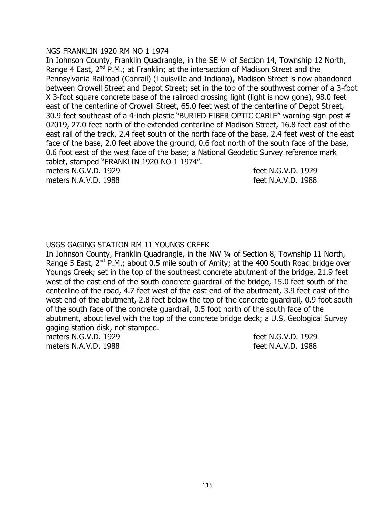#### NGS FRANKLIN 1920 RM NO 1 1974

In Johnson County, Franklin Quadrangle, in the SE ¼ of Section 14, Township 12 North, Range 4 East,  $2^{nd}$  P.M.; at Franklin; at the intersection of Madison Street and the Pennsylvania Railroad (Conrail) (Louisville and Indiana), Madison Street is now abandoned between Crowell Street and Depot Street; set in the top of the southwest corner of a 3-foot X 3-foot square concrete base of the railroad crossing light (light is now gone), 98.0 feet east of the centerline of Crowell Street, 65.0 feet west of the centerline of Depot Street, 30.9 feet southeast of a 4-inch plastic "BURIED FIBER OPTIC CABLE" warning sign post # 02019, 27.0 feet north of the extended centerline of Madison Street, 16.8 feet east of the east rail of the track, 2.4 feet south of the north face of the base, 2.4 feet west of the east face of the base, 2.0 feet above the ground, 0.6 foot north of the south face of the base, 0.6 foot east of the west face of the base; a National Geodetic Survey reference mark tablet, stamped "FRANKLIN 1920 NO 1 1974".

meters N.G.V.D. 1929 **feet N.G.V.D.** 1929 meters N.A.V.D. 1988 **feet N.A.V.D.** 1988

# USGS GAGING STATION RM 11 YOUNGS CREEK

In Johnson County, Franklin Quadrangle, in the NW 1/4 of Section 8, Township 11 North, Range 5 East,  $2^{nd}$  P.M.; about 0.5 mile south of Amity; at the 400 South Road bridge over Youngs Creek; set in the top of the southeast concrete abutment of the bridge, 21.9 feet west of the east end of the south concrete guardrail of the bridge, 15.0 feet south of the centerline of the road, 4.7 feet west of the east end of the abutment, 3.9 feet east of the west end of the abutment, 2.8 feet below the top of the concrete guardrail, 0.9 foot south of the south face of the concrete guardrail, 0.5 foot north of the south face of the abutment, about level with the top of the concrete bridge deck; a U.S. Geological Survey gaging station disk, not stamped.

meters N.G.V.D. 1929 feet N.G.V.D. 1929

meters N.A.V.D. 1988 feet N.A.V.D. 1988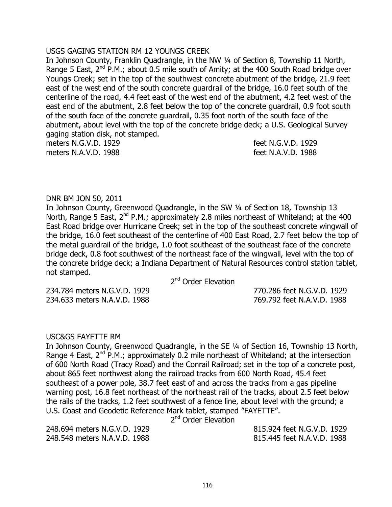#### USGS GAGING STATION RM 12 YOUNGS CREEK

In Johnson County, Franklin Quadrangle, in the NW 1/4 of Section 8, Township 11 North, Range 5 East,  $2^{nd}$  P.M.; about 0.5 mile south of Amity; at the 400 South Road bridge over Youngs Creek; set in the top of the southwest concrete abutment of the bridge, 21.9 feet east of the west end of the south concrete guardrail of the bridge, 16.0 feet south of the centerline of the road, 4.4 feet east of the west end of the abutment, 4.2 feet west of the east end of the abutment, 2.8 feet below the top of the concrete guardrail, 0.9 foot south of the south face of the concrete guardrail, 0.35 foot north of the south face of the abutment, about level with the top of the concrete bridge deck; a U.S. Geological Survey gaging station disk, not stamped.

meters N.G.V.D. 1929 feet N.G.V.D. 1929 meters N.A.V.D. 1988 feet N.A.V.D. 1988

#### DNR BM JON 50, 2011

In Johnson County, Greenwood Quadrangle, in the SW ¼ of Section 18, Township 13 North, Range 5 East,  $2^{nd}$  P.M.; approximately 2.8 miles northeast of Whiteland; at the 400 East Road bridge over Hurricane Creek; set in the top of the southeast concrete wingwall of the bridge, 16.0 feet southeast of the centerline of 400 East Road, 2.7 feet below the top of the metal guardrail of the bridge, 1.0 foot southeast of the southeast face of the concrete bridge deck, 0.8 foot southwest of the northeast face of the wingwall, level with the top of the concrete bridge deck; a Indiana Department of Natural Resources control station tablet, not stamped.

2<sup>nd</sup> Order Elevation

234.784 meters N.G.V.D. 1929 770.286 feet N.G.V.D. 1929 234.633 meters N.A.V.D. 1988 769.792 feet N.A.V.D. 1988

# USC&GS FAYETTE RM

In Johnson County, Greenwood Quadrangle, in the SE ¼ of Section 16, Township 13 North, Range 4 East,  $2^{nd}$  P.M.; approximately 0.2 mile northeast of Whiteland; at the intersection of 600 North Road (Tracy Road) and the Conrail Railroad; set in the top of a concrete post, about 865 feet northwest along the railroad tracks from 600 North Road, 45.4 feet southeast of a power pole, 38.7 feet east of and across the tracks from a gas pipeline warning post, 16.8 feet northeast of the northeast rail of the tracks, about 2.5 feet below the rails of the tracks, 1.2 feet southwest of a fence line, about level with the ground; a U.S. Coast and Geodetic Reference Mark tablet, stamped "FAYETTE".

2<sup>nd</sup> Order Elevation

248.548 meters N.A.V.D. 1988 815.445 feet N.A.V.D. 1988

248.694 meters N.G.V.D. 1929 815.924 feet N.G.V.D. 1929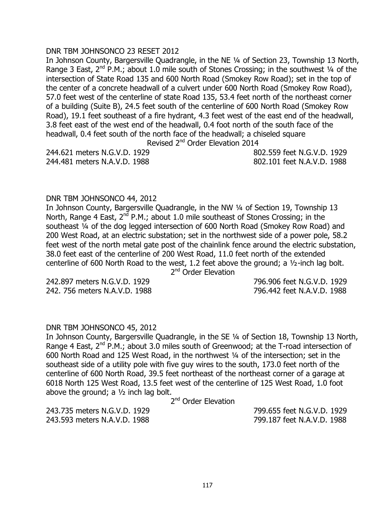### DNR TBM JOHNSONCO 23 RESET 2012

In Johnson County, Bargersville Quadrangle, in the NE ¼ of Section 23, Township 13 North, Range 3 East,  $2^{nd}$  P.M.; about 1.0 mile south of Stones Crossing; in the southwest  $\frac{1}{4}$  of the intersection of State Road 135 and 600 North Road (Smokey Row Road); set in the top of the center of a concrete headwall of a culvert under 600 North Road (Smokey Row Road), 57.0 feet west of the centerline of state Road 135, 53.4 feet north of the northeast corner of a building (Suite B), 24.5 feet south of the centerline of 600 North Road (Smokey Row Road), 19.1 feet southeast of a fire hydrant, 4.3 feet west of the east end of the headwall, 3.8 feet east of the west end of the headwall, 0.4 foot north of the south face of the headwall, 0.4 feet south of the north face of the headwall; a chiseled square Revised 2<sup>nd</sup> Order Elevation 2014

244.621 meters N.G.V.D. 1929 802.559 feet N.G.V.D. 1929

244.481 meters N.A.V.D. 1988 802.101 feet N.A.V.D. 1988

#### DNR TBM JOHNSONCO 44, 2012

In Johnson County, Bargersville Quadrangle, in the NW 1/4 of Section 19, Township 13 North, Range 4 East,  $2^{n\bar{d}}$  P.M.; about 1.0 mile southeast of Stones Crossing; in the southeast 1/4 of the dog legged intersection of 600 North Road (Smokey Row Road) and 200 West Road, at an electric substation; set in the northwest side of a power pole, 58.2 feet west of the north metal gate post of the chainlink fence around the electric substation, 38.0 feet east of the centerline of 200 West Road, 11.0 feet north of the extended centerline of 600 North Road to the west, 1.2 feet above the ground; a ½-inch lag bolt.

2<sup>nd</sup> Order Elevation

242.897 meters N.G.V.D. 1929 796.906 feet N.G.V.D. 1929 242. 756 meters N.A.V.D. 1988 796.442 feet N.A.V.D. 1988

#### DNR TBM JOHNSONCO 45, 2012

In Johnson County, Bargersville Quadrangle, in the SE ¼ of Section 18, Township 13 North, Range 4 East,  $2^{nd}$  P.M.; about 3.0 miles south of Greenwood; at the T-road intersection of 600 North Road and 125 West Road, in the northwest ¼ of the intersection; set in the southeast side of a utility pole with five guy wires to the south, 173.0 feet north of the centerline of 600 North Road, 39.5 feet northeast of the northeast corner of a garage at 6018 North 125 West Road, 13.5 feet west of the centerline of 125 West Road, 1.0 foot above the ground; a  $1/2$  inch lag bolt.

2<sup>nd</sup> Order Elevation

243.593 meters N.A.V.D. 1988 799.187 feet N.A.V.D. 1988

243.735 meters N.G.V.D. 1929 799.655 feet N.G.V.D. 1929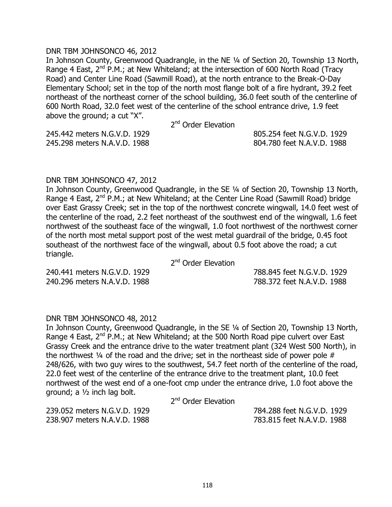#### DNR TBM JOHNSONCO 46, 2012

In Johnson County, Greenwood Quadrangle, in the NE ¼ of Section 20, Township 13 North, Range 4 East,  $2^{nd}$  P.M.; at New Whiteland; at the intersection of 600 North Road (Tracy Road) and Center Line Road (Sawmill Road), at the north entrance to the Break-O-Day Elementary School; set in the top of the north most flange bolt of a fire hydrant, 39.2 feet northeast of the northeast corner of the school building, 36.0 feet south of the centerline of 600 North Road, 32.0 feet west of the centerline of the school entrance drive, 1.9 feet above the ground; a cut "X".

2<sup>nd</sup> Order Elevation

245.442 meters N.G.V.D. 1929 805.254 feet N.G.V.D. 1929 245.298 meters N.A.V.D. 1988 804.780 feet N.A.V.D. 1988

#### DNR TBM JOHNSONCO 47, 2012

In Johnson County, Greenwood Quadrangle, in the SE ¼ of Section 20, Township 13 North, Range 4 East,  $2^{nd}$  P.M.; at New Whiteland; at the Center Line Road (Sawmill Road) bridge over East Grassy Creek; set in the top of the northwest concrete wingwall, 14.0 feet west of the centerline of the road, 2.2 feet northeast of the southwest end of the wingwall, 1.6 feet northwest of the southeast face of the wingwall, 1.0 foot northwest of the northwest corner of the north most metal support post of the west metal guardrail of the bridge, 0.45 foot southeast of the northwest face of the wingwall, about 0.5 foot above the road; a cut triangle.

2<sup>nd</sup> Order Elevation

240.441 meters N.G.V.D. 1929 788.845 feet N.G.V.D. 1929 240.296 meters N.A.V.D. 1988 788.372 feet N.A.V.D. 1988

# DNR TBM JOHNSONCO 48, 2012

In Johnson County, Greenwood Quadrangle, in the SE ¼ of Section 20, Township 13 North, Range 4 East,  $2^{nd}$  P.M.; at New Whiteland; at the 500 North Road pipe culvert over East Grassy Creek and the entrance drive to the water treatment plant (324 West 500 North), in the northwest  $\frac{1}{4}$  of the road and the drive; set in the northeast side of power pole # 248/626, with two guy wires to the southwest, 54.7 feet north of the centerline of the road, 22.0 feet west of the centerline of the entrance drive to the treatment plant, 10.0 feet northwest of the west end of a one-foot cmp under the entrance drive, 1.0 foot above the ground; a ½ inch lag bolt.

2<sup>nd</sup> Order Elevation

239.052 meters N.G.V.D. 1929 784.288 feet N.G.V.D. 1929 238.907 meters N.A.V.D. 1988 783.815 feet N.A.V.D. 1988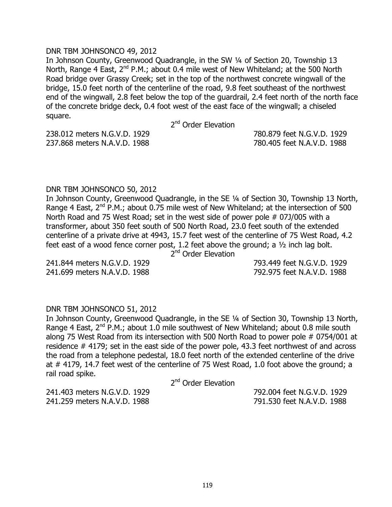#### DNR TBM JOHNSONCO 49, 2012

In Johnson County, Greenwood Quadrangle, in the SW ¼ of Section 20, Township 13 North, Range 4 East, 2<sup>nd</sup> P.M.; about 0.4 mile west of New Whiteland; at the 500 North Road bridge over Grassy Creek; set in the top of the northwest concrete wingwall of the bridge, 15.0 feet north of the centerline of the road, 9.8 feet southeast of the northwest end of the wingwall, 2.8 feet below the top of the guardrail, 2.4 feet north of the north face of the concrete bridge deck, 0.4 foot west of the east face of the wingwall; a chiseled square.

2<sup>nd</sup> Order Elevation

238.012 meters N.G.V.D. 1929 780.879 feet N.G.V.D. 1929 237.868 meters N.A.V.D. 1988 780.405 feet N.A.V.D. 1988

#### DNR TBM JOHNSONCO 50, 2012

In Johnson County, Greenwood Quadrangle, in the SE ¼ of Section 30, Township 13 North, Range 4 East,  $2^{nd}$  P.M.; about 0.75 mile west of New Whiteland; at the intersection of 500 North Road and 75 West Road; set in the west side of power pole # 07J/005 with a transformer, about 350 feet south of 500 North Road, 23.0 feet south of the extended centerline of a private drive at 4943, 15.7 feet west of the centerline of 75 West Road, 4.2 feet east of a wood fence corner post, 1.2 feet above the ground; a ½ inch lag bolt.

2<sup>nd</sup> Order Elevation

241.699 meters N.A.V.D. 1988 792.975 feet N.A.V.D. 1988

241.844 meters N.G.V.D. 1929 793.449 feet N.G.V.D. 1929

#### DNR TBM JOHNSONCO 51, 2012

In Johnson County, Greenwood Quadrangle, in the SE ¼ of Section 30, Township 13 North, Range 4 East,  $2^{nd}$  P.M.; about 1.0 mile southwest of New Whiteland; about 0.8 mile south along 75 West Road from its intersection with 500 North Road to power pole # 0754/001 at residence # 4179; set in the east side of the power pole, 43.3 feet northwest of and across the road from a telephone pedestal, 18.0 feet north of the extended centerline of the drive at # 4179, 14.7 feet west of the centerline of 75 West Road, 1.0 foot above the ground; a rail road spike.

2<sup>nd</sup> Order Elevation

241.403 meters N.G.V.D. 1929 792.004 feet N.G.V.D. 1929 241.259 meters N.A.V.D. 1988 791.530 feet N.A.V.D. 1988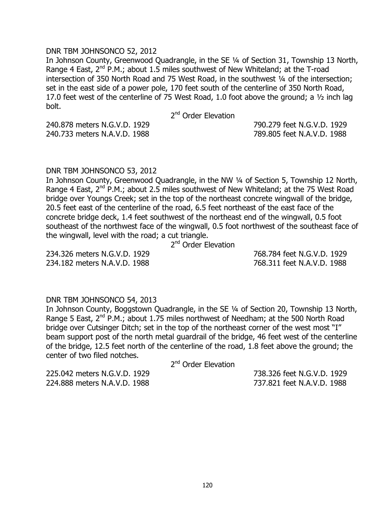#### DNR TBM JOHNSONCO 52, 2012

In Johnson County, Greenwood Quadrangle, in the SE ¼ of Section 31, Township 13 North, Range 4 East,  $2^{nd}$  P.M.; about 1.5 miles southwest of New Whiteland; at the T-road intersection of 350 North Road and 75 West Road, in the southwest 1/4 of the intersection; set in the east side of a power pole, 170 feet south of the centerline of 350 North Road, 17.0 feet west of the centerline of 75 West Road, 1.0 foot above the ground; a ½ inch lag bolt.

2<sup>nd</sup> Order Elevation

240.878 meters N.G.V.D. 1929 790.279 feet N.G.V.D. 1929 240.733 meters N.A.V.D. 1988 789.805 feet N.A.V.D. 1988

DNR TBM JOHNSONCO 53, 2012

In Johnson County, Greenwood Quadrangle, in the NW 1/4 of Section 5, Township 12 North, Range 4 East,  $2^{nd}$  P.M.; about 2.5 miles southwest of New Whiteland; at the 75 West Road bridge over Youngs Creek; set in the top of the northeast concrete wingwall of the bridge, 20.5 feet east of the centerline of the road, 6.5 feet northeast of the east face of the concrete bridge deck, 1.4 feet southwest of the northeast end of the wingwall, 0.5 foot southeast of the northwest face of the wingwall, 0.5 foot northwest of the southeast face of the wingwall, level with the road; a cut triangle.

2<sup>nd</sup> Order Elevation

234.326 meters N.G.V.D. 1929 768.784 feet N.G.V.D. 1929 234.182 meters N.A.V.D. 1988 768.311 feet N.A.V.D. 1988

#### DNR TBM JOHNSONCO 54, 2013

In Johnson County, Boggstown Quadrangle, in the SE ¼ of Section 20, Township 13 North, Range 5 East, 2<sup>nd</sup> P.M.; about 1.75 miles northwest of Needham; at the 500 North Road bridge over Cutsinger Ditch; set in the top of the northeast corner of the west most "I" beam support post of the north metal guardrail of the bridge, 46 feet west of the centerline of the bridge, 12.5 feet north of the centerline of the road, 1.8 feet above the ground; the center of two filed notches.

2<sup>nd</sup> Order Elevation

225.042 meters N.G.V.D. 1929 738.326 feet N.G.V.D. 1929 224.888 meters N.A.V.D. 1988 737.821 feet N.A.V.D. 1988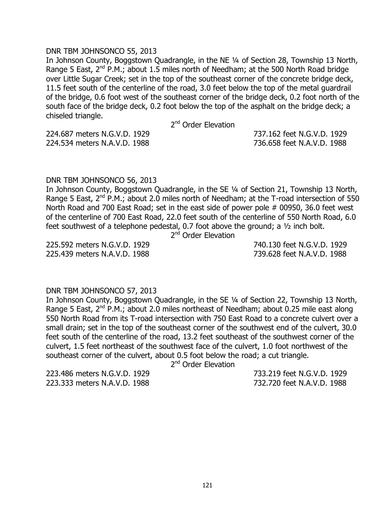#### DNR TBM JOHNSONCO 55, 2013

In Johnson County, Boggstown Quadrangle, in the NE ¼ of Section 28, Township 13 North, Range 5 East,  $2^{nd}$  P.M.; about 1.5 miles north of Needham; at the 500 North Road bridge over Little Sugar Creek; set in the top of the southeast corner of the concrete bridge deck, 11.5 feet south of the centerline of the road, 3.0 feet below the top of the metal guardrail of the bridge, 0.6 foot west of the southeast corner of the bridge deck, 0.2 foot north of the south face of the bridge deck, 0.2 foot below the top of the asphalt on the bridge deck; a chiseled triangle.

2<sup>nd</sup> Order Elevation

224.687 meters N.G.V.D. 1929 737.162 feet N.G.V.D. 1929 224.534 meters N.A.V.D. 1988 736.658 feet N.A.V.D. 1988

#### DNR TBM JOHNSONCO 56, 2013

In Johnson County, Boggstown Quadrangle, in the SE ¼ of Section 21, Township 13 North, Range 5 East,  $2^{nd}$  P.M.; about 2.0 miles north of Needham; at the T-road intersection of 550 North Road and 700 East Road; set in the east side of power pole # 00950, 36.0 feet west of the centerline of 700 East Road, 22.0 feet south of the centerline of 550 North Road, 6.0 feet southwest of a telephone pedestal, 0.7 foot above the ground; a ½ inch bolt.

2<sup>nd</sup> Order Elevation

225.439 meters N.A.V.D. 1988 739.628 feet N.A.V.D. 1988

225.592 meters N.G.V.D. 1929 740.130 feet N.G.V.D. 1929

# DNR TBM JOHNSONCO 57, 2013

In Johnson County, Boggstown Quadrangle, in the SE ¼ of Section 22, Township 13 North, Range 5 East,  $2^{nd}$  P.M.; about 2.0 miles northeast of Needham; about 0.25 mile east along 550 North Road from its T-road intersection with 750 East Road to a concrete culvert over a small drain; set in the top of the southeast corner of the southwest end of the culvert, 30.0 feet south of the centerline of the road, 13.2 feet southeast of the southwest corner of the culvert, 1.5 feet northeast of the southwest face of the culvert, 1.0 foot northwest of the southeast corner of the culvert, about 0.5 foot below the road; a cut triangle.

2<sup>nd</sup> Order Elevation

223.486 meters N.G.V.D. 1929 733.219 feet N.G.V.D. 1929 223.333 meters N.A.V.D. 1988 732.720 feet N.A.V.D. 1988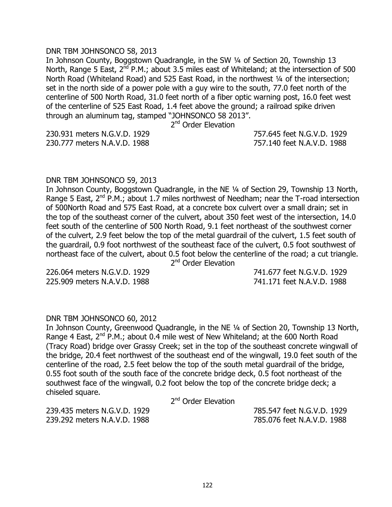#### DNR TBM JOHNSONCO 58, 2013

In Johnson County, Boggstown Quadrangle, in the SW ¼ of Section 20, Township 13 North, Range 5 East,  $2^{nd}$  P.M.; about 3.5 miles east of Whiteland; at the intersection of 500 North Road (Whiteland Road) and 525 East Road, in the northwest 1/4 of the intersection; set in the north side of a power pole with a guy wire to the south, 77.0 feet north of the centerline of 500 North Road, 31.0 feet north of a fiber optic warning post, 16.0 feet west of the centerline of 525 East Road, 1.4 feet above the ground; a railroad spike driven through an aluminum tag, stamped "JOHNSONCO 58 2013".

2<sup>nd</sup> Order Elevation

230.931 meters N.G.V.D. 1929 757.645 feet N.G.V.D. 1929 230.777 meters N.A.V.D. 1988 757.140 feet N.A.V.D. 1988

#### DNR TBM JOHNSONCO 59, 2013

In Johnson County, Boggstown Quadrangle, in the NE ¼ of Section 29, Township 13 North, Range 5 East,  $2^{nd}$  P.M.; about 1.7 miles northwest of Needham; near the T-road intersection of 500North Road and 575 East Road, at a concrete box culvert over a small drain; set in the top of the southeast corner of the culvert, about 350 feet west of the intersection, 14.0 feet south of the centerline of 500 North Road, 9.1 feet northeast of the southwest corner of the culvert, 2.9 feet below the top of the metal guardrail of the culvert, 1.5 feet south of the guardrail, 0.9 foot northwest of the southeast face of the culvert, 0.5 foot southwest of northeast face of the culvert, about 0.5 foot below the centerline of the road; a cut triangle.

2<sup>nd</sup> Order Elevation

225.909 meters N.A.V.D. 1988 741.171 feet N.A.V.D. 1988

226.064 meters N.G.V.D. 1929 741.677 feet N.G.V.D. 1929

#### DNR TBM JOHNSONCO 60, 2012

In Johnson County, Greenwood Quadrangle, in the NE ¼ of Section 20, Township 13 North, Range 4 East,  $2^{nd}$  P.M.; about 0.4 mile west of New Whiteland; at the 600 North Road (Tracy Road) bridge over Grassy Creek; set in the top of the southeast concrete wingwall of the bridge, 20.4 feet northwest of the southeast end of the wingwall, 19.0 feet south of the centerline of the road, 2.5 feet below the top of the south metal guardrail of the bridge, 0.55 foot south of the south face of the concrete bridge deck, 0.5 foot northeast of the southwest face of the wingwall, 0.2 foot below the top of the concrete bridge deck; a chiseled square.

2<sup>nd</sup> Order Elevation

239.435 meters N.G.V.D. 1929 785.547 feet N.G.V.D. 1929 239.292 meters N.A.V.D. 1988 785.076 feet N.A.V.D. 1988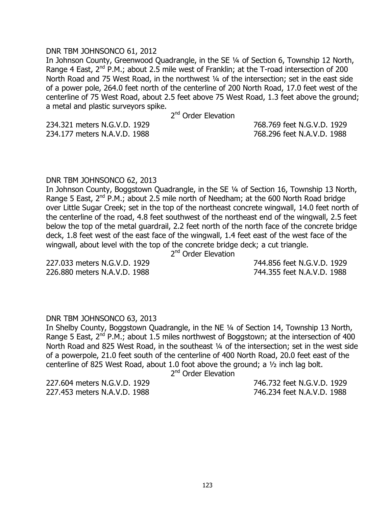#### DNR TBM JOHNSONCO 61, 2012

In Johnson County, Greenwood Quadrangle, in the SE ¼ of Section 6, Township 12 North, Range 4 East,  $2^{nd}$  P.M.; about 2.5 mile west of Franklin; at the T-road intersection of 200 North Road and 75 West Road, in the northwest 1/4 of the intersection; set in the east side of a power pole, 264.0 feet north of the centerline of 200 North Road, 17.0 feet west of the centerline of 75 West Road, about 2.5 feet above 75 West Road, 1.3 feet above the ground; a metal and plastic surveyors spike.

2<sup>nd</sup> Order Elevation

234.321 meters N.G.V.D. 1929 768.769 feet N.G.V.D. 1929 234.177 meters N.A.V.D. 1988 768.296 feet N.A.V.D. 1988

#### DNR TBM JOHNSONCO 62, 2013

In Johnson County, Boggstown Quadrangle, in the SE ¼ of Section 16, Township 13 North, Range 5 East,  $2^{nd}$  P.M.; about 2.5 mile north of Needham; at the 600 North Road bridge over Little Sugar Creek; set in the top of the northeast concrete wingwall, 14.0 feet north of the centerline of the road, 4.8 feet southwest of the northeast end of the wingwall, 2.5 feet below the top of the metal guardrail, 2.2 feet north of the north face of the concrete bridge deck, 1.8 feet west of the east face of the wingwall, 1.4 feet east of the west face of the wingwall, about level with the top of the concrete bridge deck; a cut triangle.

2<sup>nd</sup> Order Elevation

227.033 meters N.G.V.D. 1929 744.856 feet N.G.V.D. 1929 226.880 meters N.A.V.D. 1988 744.355 feet N.A.V.D. 1988

# DNR TBM JOHNSONCO 63, 2013

In Shelby County, Boggstown Quadrangle, in the NE ¼ of Section 14, Township 13 North, Range 5 East,  $2^{nd}$  P.M.; about 1.5 miles northwest of Boggstown; at the intersection of 400 North Road and 825 West Road, in the southeast 1/4 of the intersection; set in the west side of a powerpole, 21.0 feet south of the centerline of 400 North Road, 20.0 feet east of the centerline of 825 West Road, about 1.0 foot above the ground; a ½ inch lag bolt.

2<sup>nd</sup> Order Elevation

227.604 meters N.G.V.D. 1929 746.732 feet N.G.V.D. 1929 227.453 meters N.A.V.D. 1988 746.234 feet N.A.V.D. 1988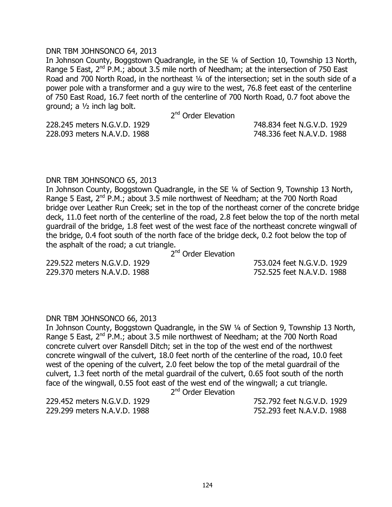#### DNR TBM JOHNSONCO 64, 2013

In Johnson County, Boggstown Quadrangle, in the SE ¼ of Section 10, Township 13 North, Range 5 East,  $2^{nd}$  P.M.; about 3.5 mile north of Needham; at the intersection of 750 East Road and 700 North Road, in the northeast 1/4 of the intersection; set in the south side of a power pole with a transformer and a guy wire to the west, 76.8 feet east of the centerline of 750 East Road, 16.7 feet north of the centerline of 700 North Road, 0.7 foot above the ground; a ½ inch lag bolt.

2<sup>nd</sup> Order Elevation

228.245 meters N.G.V.D. 1929 748.834 feet N.G.V.D. 1929 228.093 meters N.A.V.D. 1988 748.336 feet N.A.V.D. 1988

#### DNR TBM JOHNSONCO 65, 2013

In Johnson County, Boggstown Quadrangle, in the SE ¼ of Section 9, Township 13 North, Range 5 East,  $2^{nd}$  P.M.; about 3.5 mile northwest of Needham; at the 700 North Road bridge over Leather Run Creek; set in the top of the northeast corner of the concrete bridge deck, 11.0 feet north of the centerline of the road, 2.8 feet below the top of the north metal guardrail of the bridge, 1.8 feet west of the west face of the northeast concrete wingwall of the bridge, 0.4 foot south of the north face of the bridge deck, 0.2 foot below the top of the asphalt of the road; a cut triangle.

2<sup>nd</sup> Order Elevation

229.522 meters N.G.V.D. 1929 753.024 feet N.G.V.D. 1929 229.370 meters N.A.V.D. 1988 752.525 feet N.A.V.D. 1988

# DNR TBM JOHNSONCO 66, 2013

In Johnson County, Boggstown Quadrangle, in the SW ¼ of Section 9, Township 13 North, Range 5 East, 2<sup>nd</sup> P.M.; about 3.5 mile northwest of Needham; at the 700 North Road concrete culvert over Ransdell Ditch; set in the top of the west end of the northwest concrete wingwall of the culvert, 18.0 feet north of the centerline of the road, 10.0 feet west of the opening of the culvert, 2.0 feet below the top of the metal guardrail of the culvert, 1.3 feet north of the metal guardrail of the culvert, 0.65 foot south of the north face of the wingwall, 0.55 foot east of the west end of the wingwall; a cut triangle.

2<sup>nd</sup> Order Elevation

229.299 meters N.A.V.D. 1988 752.293 feet N.A.V.D. 1988

229.452 meters N.G.V.D. 1929 752.792 feet N.G.V.D. 1929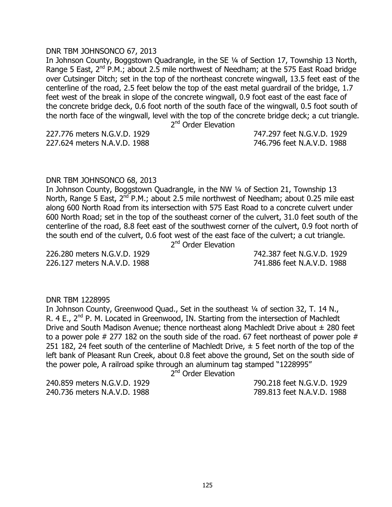#### DNR TBM JOHNSONCO 67, 2013

In Johnson County, Boggstown Quadrangle, in the SE ¼ of Section 17, Township 13 North, Range 5 East,  $2^{nd}$  P.M.; about 2.5 mile northwest of Needham; at the 575 East Road bridge over Cutsinger Ditch; set in the top of the northeast concrete wingwall, 13.5 feet east of the centerline of the road, 2.5 feet below the top of the east metal guardrail of the bridge, 1.7 feet west of the break in slope of the concrete wingwall, 0.9 foot east of the east face of the concrete bridge deck, 0.6 foot north of the south face of the wingwall, 0.5 foot south of the north face of the wingwall, level with the top of the concrete bridge deck; a cut triangle.

2<sup>nd</sup> Order Elevation

227.624 meters N.A.V.D. 1988 746.796 feet N.A.V.D. 1988

227.776 meters N.G.V.D. 1929 747.297 feet N.G.V.D. 1929

#### DNR TBM JOHNSONCO 68, 2013

In Johnson County, Boggstown Quadrangle, in the NW ¼ of Section 21, Township 13 North, Range 5 East, 2<sup>nd</sup> P.M.; about 2.5 mile northwest of Needham; about 0.25 mile east along 600 North Road from its intersection with 575 East Road to a concrete culvert under 600 North Road; set in the top of the southeast corner of the culvert, 31.0 feet south of the centerline of the road, 8.8 feet east of the southwest corner of the culvert, 0.9 foot north of the south end of the culvert, 0.6 foot west of the east face of the culvert; a cut triangle. 2<sup>nd</sup> Order Elevation

226.280 meters N.G.V.D. 1929 742.387 feet N.G.V.D. 1929 226.127 meters N.A.V.D. 1988 741.886 feet N.A.V.D. 1988

#### DNR TBM 1228995

In Johnson County, Greenwood Quad., Set in the southeast 1/4 of section 32, T. 14 N., R. 4 E., 2<sup>nd</sup> P. M. Located in Greenwood, IN. Starting from the intersection of Machledt Drive and South Madison Avenue; thence northeast along Machledt Drive about  $\pm$  280 feet to a power pole  $#$  277 182 on the south side of the road. 67 feet northeast of power pole  $#$ 251 182, 24 feet south of the centerline of Machledt Drive,  $\pm$  5 feet north of the top of the left bank of Pleasant Run Creek, about 0.8 feet above the ground, Set on the south side of the power pole, A railroad spike through an aluminum tag stamped "1228995"

2<sup>nd</sup> Order Elevation

240.859 meters N.G.V.D. 1929 790.218 feet N.G.V.D. 1929 240.736 meters N.A.V.D. 1988 789.813 feet N.A.V.D. 1988